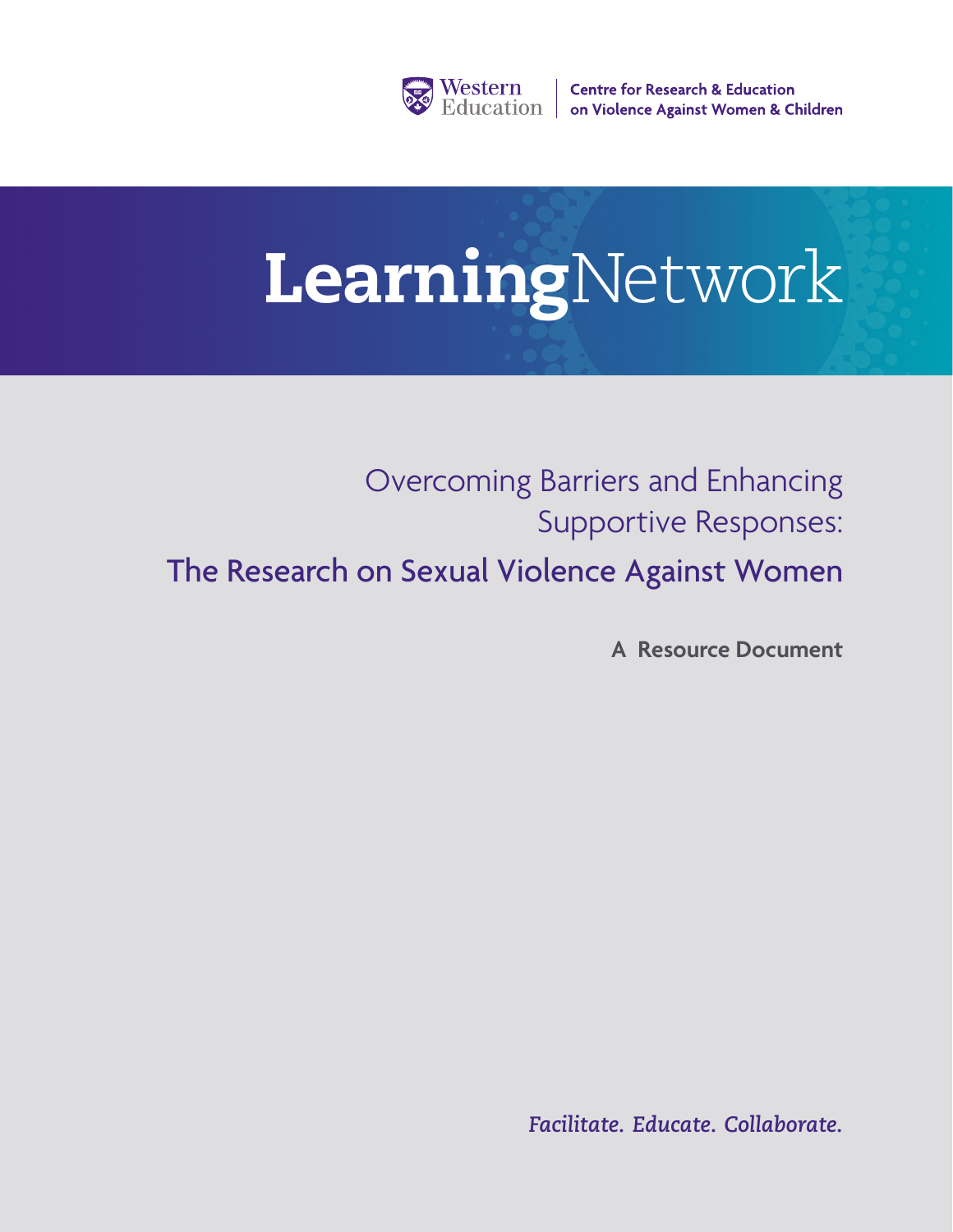

Western | Centre for Research & Education<br>
Education | on Violence Against Women & Children

# **Learning**Network

Overcoming Barriers and Enhancing Supportive Responses: The Research on Sexual Violence Against Women

**A Resource Document**

*Facilitate. Educate. Collaborate.*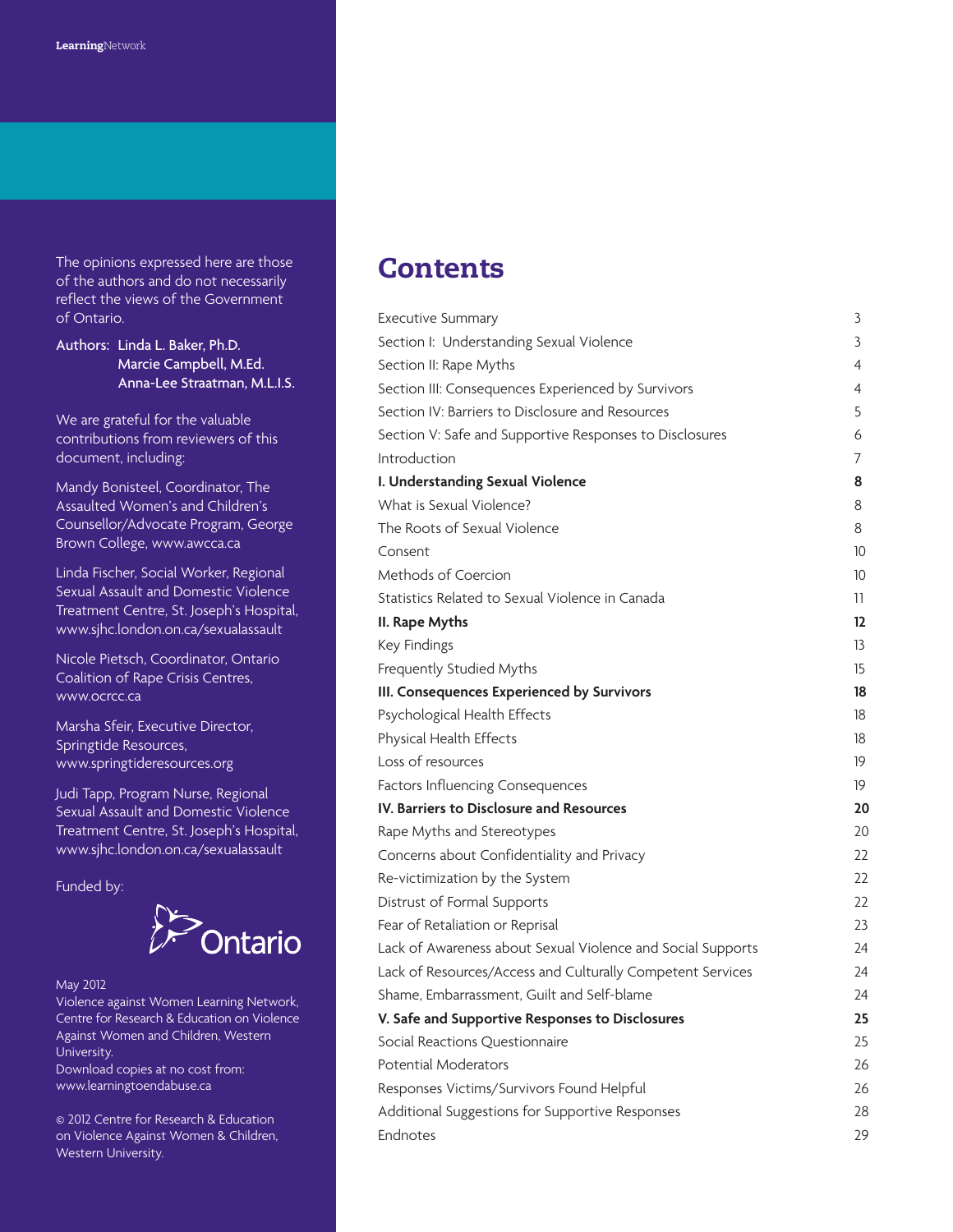The opinions expressed here are those of the authors and do not necessarily reflect the views of the Government of Ontario.

Authors: Linda L. Baker, Ph.D. Marcie Campbell, M.Ed. Anna-Lee Straatman, M.L.I.S.

We are grateful for the valuable contributions from reviewers of this document, including:

Mandy Bonisteel, Coordinator, The Assaulted Women's and Children's Counsellor/Advocate Program, George Brown College, www.awcca.ca

Linda Fischer, Social Worker, Regional Sexual Assault and Domestic Violence Treatment Centre, St. Joseph's Hospital, www.sjhc.london.on.ca/sexualassault

Nicole Pietsch, Coordinator, Ontario Coalition of Rape Crisis Centres, www.ocrcc.ca

Marsha Sfeir, Executive Director, Springtide Resources, www.springtideresources.org

Judi Tapp, Program Nurse, Regional Sexual Assault and Domestic Violence Treatment Centre, St. Joseph's Hospital, www.sjhc.london.on.ca/sexualassault

Funded by:



May 2012

Violence against Women Learning Network, Centre for Research & Education on Violence Against Women and Children, Western University. Download copies at no cost from: www.learningtoendabuse.ca

© 2012 Centre for Research & Education on Violence Against Women & Children, Western University.

### **Contents**

| <b>Executive Summary</b>                                    | 3  |
|-------------------------------------------------------------|----|
| Section I: Understanding Sexual Violence                    | 3  |
| Section II: Rape Myths                                      | 4  |
| Section III: Consequences Experienced by Survivors          | 4  |
| Section IV: Barriers to Disclosure and Resources            | 5  |
| Section V: Safe and Supportive Responses to Disclosures     | 6  |
| Introduction                                                | 7  |
| I. Understanding Sexual Violence                            | 8  |
| What is Sexual Violence?                                    | 8  |
| The Roots of Sexual Violence                                | 8  |
| Consent                                                     | 10 |
| Methods of Coercion                                         | 10 |
| Statistics Related to Sexual Violence in Canada             | 11 |
| II. Rape Myths                                              | 12 |
| Key Findings                                                | 13 |
| Frequently Studied Myths                                    | 15 |
| III. Consequences Experienced by Survivors                  | 18 |
| Psychological Health Effects                                | 18 |
| Physical Health Effects                                     | 18 |
| Loss of resources                                           | 19 |
| Factors Influencing Consequences                            | 19 |
| IV. Barriers to Disclosure and Resources                    | 20 |
| Rape Myths and Stereotypes                                  | 20 |
| Concerns about Confidentiality and Privacy                  | 22 |
| Re-victimization by the System                              | 22 |
| Distrust of Formal Supports                                 | 22 |
| Fear of Retaliation or Reprisal                             | 23 |
| Lack of Awareness about Sexual Violence and Social Supports | 24 |
| Lack of Resources/Access and Culturally Competent Services  | 24 |
| Shame, Embarrassment, Guilt and Self-blame                  | 24 |
| V. Safe and Supportive Responses to Disclosures             | 25 |
| Social Reactions Questionnaire                              | 25 |
| Potential Moderators                                        | 26 |
| Responses Victims/Survivors Found Helpful                   | 26 |
| Additional Suggestions for Supportive Responses             | 28 |
| Endnotes                                                    | 29 |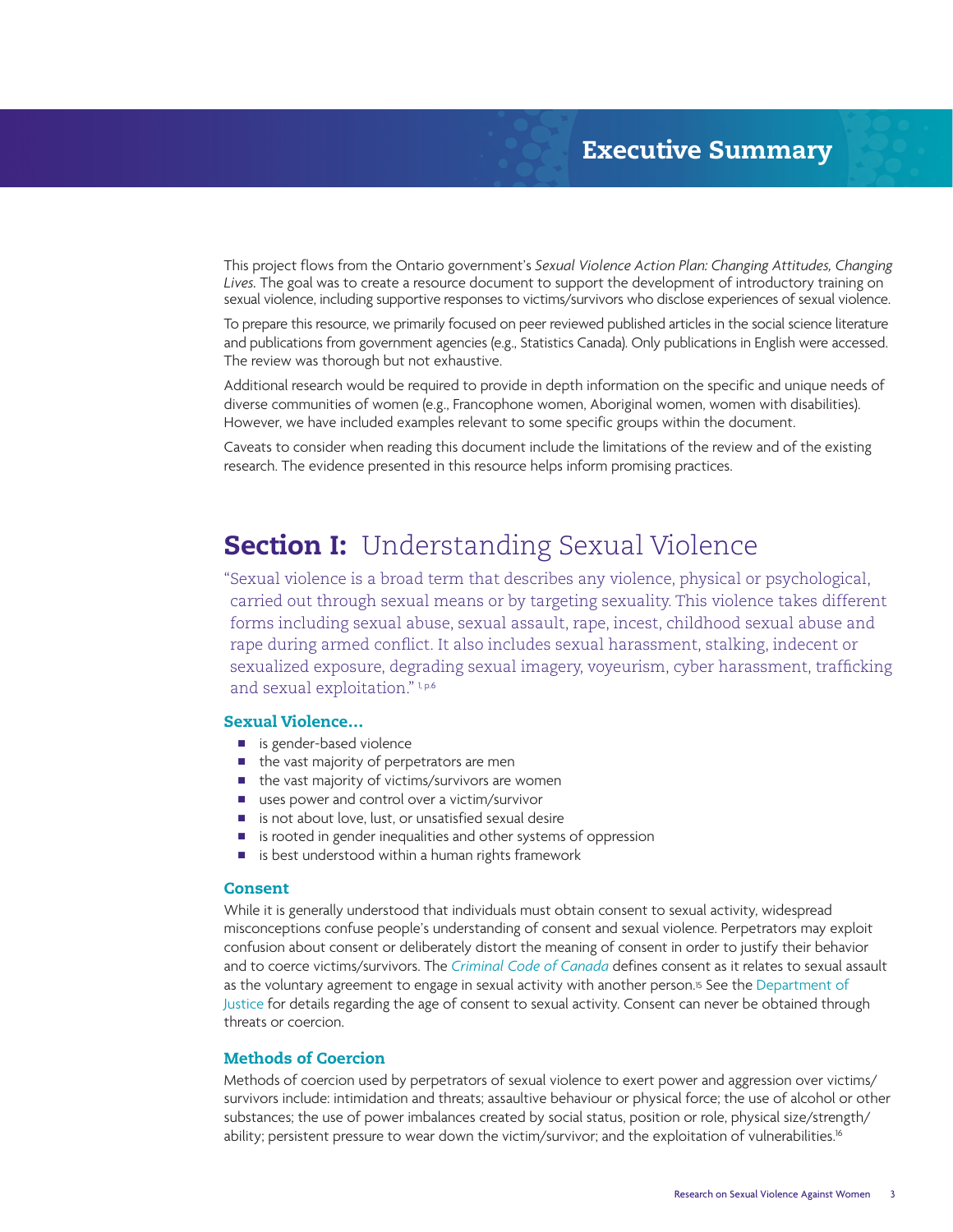This project flows from the Ontario government's *Sexual Violence Action Plan: Changing Attitudes, Changing Lives.* The goal was to create a resource document to support the development of introductory training on sexual violence, including supportive responses to victims/survivors who disclose experiences of sexual violence.

To prepare this resource, we primarily focused on peer reviewed published articles in the social science literature and publications from government agencies (e.g., Statistics Canada). Only publications in English were accessed. The review was thorough but not exhaustive.

Additional research would be required to provide in depth information on the specific and unique needs of diverse communities of women (e.g., Francophone women, Aboriginal women, women with disabilities). However, we have included examples relevant to some specific groups within the document.

Caveats to consider when reading this document include the limitations of the review and of the existing research. The evidence presented in this resource helps inform promising practices.

# **Section I:** Understanding Sexual Violence

"Sexual violence is a broad term that describes any violence, physical or psychological, carried out through sexual means or by targeting sexuality. This violence takes different forms including sexual abuse, sexual assault, rape, incest, childhood sexual abuse and rape during armed conflict. It also includes sexual harassment, stalking, indecent or sexualized exposure, degrading sexual imagery, voyeurism, cyber harassment, trafficking and sexual exploitation."<sup>1, p.6</sup>

#### **Sexual Violence…**

- is gender-based violence
- $\blacksquare$  the vast majority of perpetrators are men
- $\blacksquare$  the vast majority of victims/survivors are women
- $\Box$  uses power and control over a victim/survivor
- is not about love, lust, or unsatisfied sexual desire
- is rooted in gender inequalities and other systems of oppression
- is best understood within a human rights framework

#### **Consent**

While it is generally understood that individuals must obtain consent to sexual activity, widespread misconceptions confuse people's understanding of consent and sexual violence. Perpetrators may exploit confusion about consent or deliberately distort the meaning of consent in order to justify their behavior and to coerce victims/survivors. The *[Criminal Code of Canada](http://laws-lois.justice.gc.ca/eng/acts/C-46/)* defines consent as it relates to sexual assault as the voluntary agreement to engage in sexual activity with another person.15 See the [Department of](www.justice.gc.ca/eng/dept-min/clp/faq.html)  Justice for details regarding the age of consent to sexual activity. Consent can never be obtained through [threats or](www.justice.gc.ca/eng/dept-min/clp/faq.html) coercion.

#### **Methods of Coercion**

Methods of coercion used by perpetrators of sexual violence to exert power and aggression over victims/ survivors include: intimidation and threats; assaultive behaviour or physical force; the use of alcohol or other substances; the use of power imbalances created by social status, position or role, physical size/strength/ ability; persistent pressure to wear down the victim/survivor; and the exploitation of vulnerabilities.<sup>16</sup>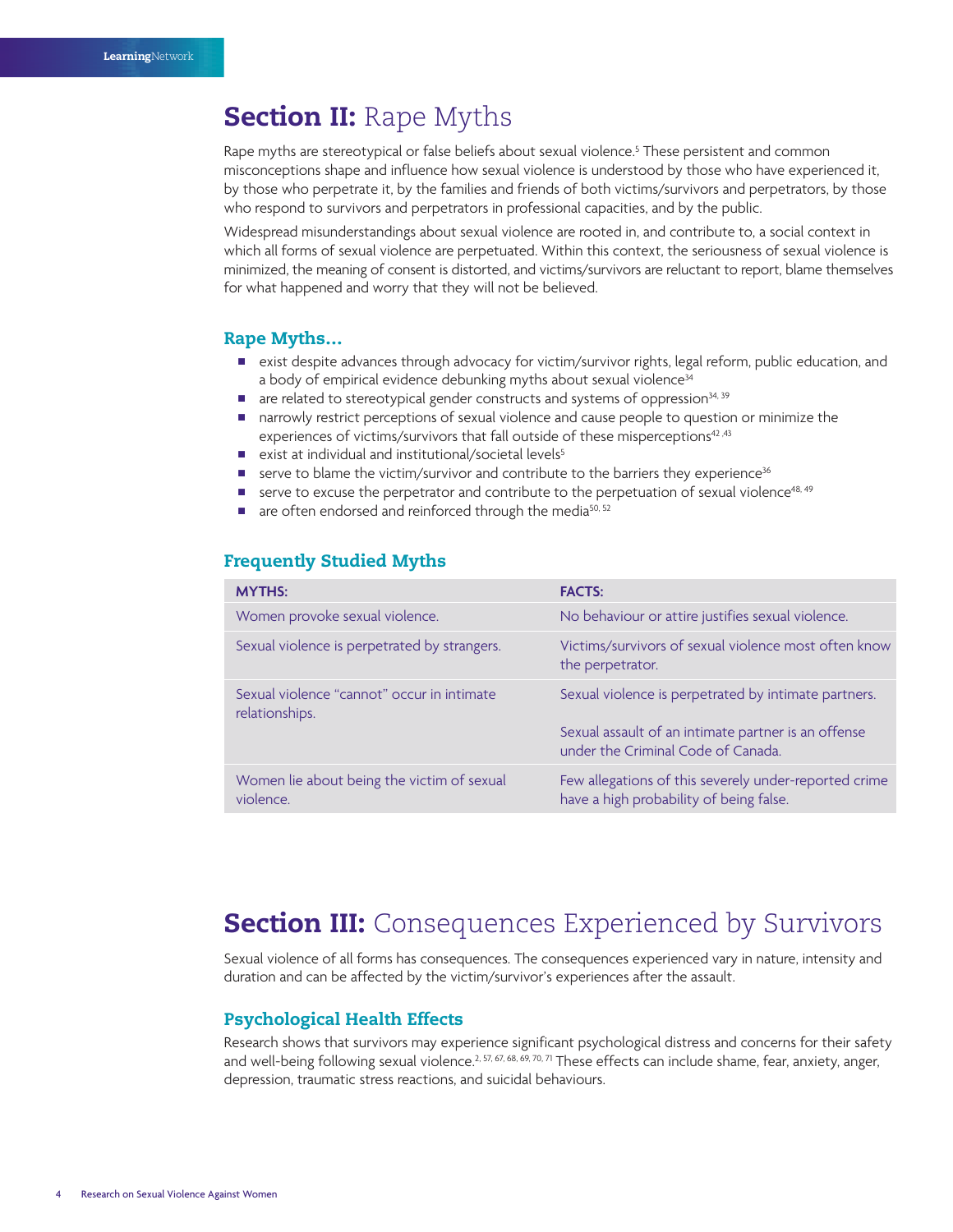## **Section II:** Rape Myths

Rape myths are stereotypical or false beliefs about sexual violence.<sup>5</sup> These persistent and common misconceptions shape and influence how sexual violence is understood by those who have experienced it, by those who perpetrate it, by the families and friends of both victims/survivors and perpetrators, by those who respond to survivors and perpetrators in professional capacities, and by the public.

Widespread misunderstandings about sexual violence are rooted in, and contribute to, a social context in which all forms of sexual violence are perpetuated. Within this context, the seriousness of sexual violence is minimized, the meaning of consent is distorted, and victims/survivors are reluctant to report, blame themselves for what happened and worry that they will not be believed.

#### **Rape Myths…**

- <sup>n</sup> exist despite advances through advocacy for victim/survivor rights, legal reform, public education, and a body of empirical evidence debunking myths about sexual violence<sup>34</sup>
- are related to stereotypical gender constructs and systems of oppression<sup>34, 39</sup>
- narrowly restrict perceptions of sexual violence and cause people to question or minimize the experiences of victims/survivors that fall outside of these misperceptions<sup>42,43</sup>
- **n** exist at individual and institutional/societal levels<sup>5</sup>
- serve to blame the victim/survivor and contribute to the barriers they experience<sup>36</sup>
- serve to excuse the perpetrator and contribute to the perpetuation of sexual violence<sup>48, 49</sup>
- are often endorsed and reinforced through the media<sup>50, 52</sup>

#### **Frequently Studied Myths**

| <b>MYTHS:</b>                                                | <b>FACTS:</b>                                                                                                                                     |
|--------------------------------------------------------------|---------------------------------------------------------------------------------------------------------------------------------------------------|
| Women provoke sexual violence.                               | No behaviour or attire justifies sexual violence.                                                                                                 |
| Sexual violence is perpetrated by strangers.                 | Victims/survivors of sexual violence most often know<br>the perpetrator.                                                                          |
| Sexual violence "cannot" occur in intimate<br>relationships. | Sexual violence is perpetrated by intimate partners.<br>Sexual assault of an intimate partner is an offense<br>under the Criminal Code of Canada. |
| Women lie about being the victim of sexual<br>violence.      | Few allegations of this severely under-reported crime<br>have a high probability of being false.                                                  |

# **Section III:** Consequences Experienced by Survivors

Sexual violence of all forms has consequences. The consequences experienced vary in nature, intensity and duration and can be affected by the victim/survivor's experiences after the assault.

#### **Psychological Health Effects**

Research shows that survivors may experience significant psychological distress and concerns for their safety and well-being following sexual violence.<sup>2, 57, 67, 68, 69, 70, 71</sup> These effects can include shame, fear, anxiety, anger, depression, traumatic stress reactions, and suicidal behaviours.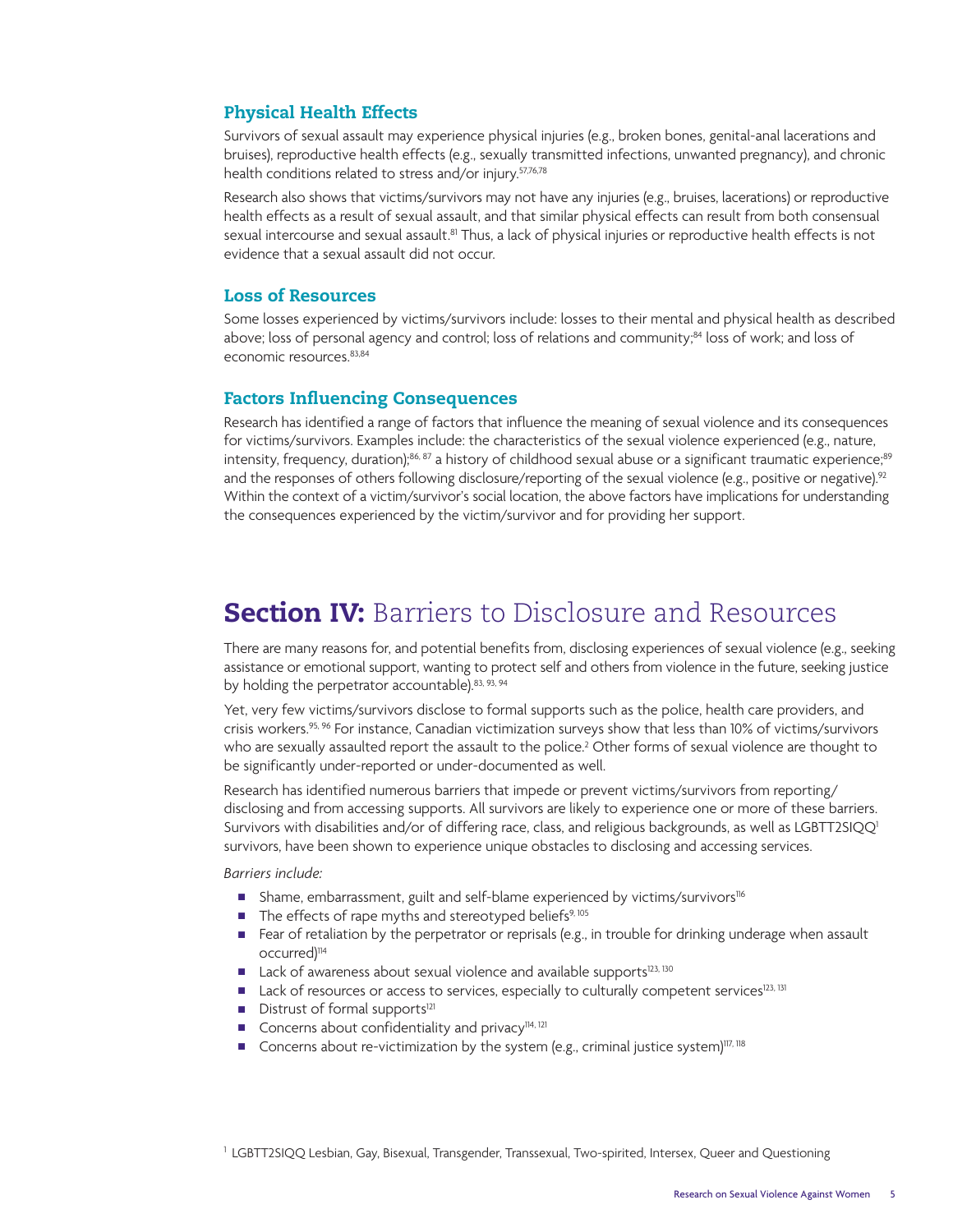#### **Physical Health Effects**

Survivors of sexual assault may experience physical injuries (e.g., broken bones, genital-anal lacerations and bruises), reproductive health effects (e.g., sexually transmitted infections, unwanted pregnancy), and chronic health conditions related to stress and/or injury.57,76,78

Research also shows that victims/survivors may not have any injuries (e.g., bruises, lacerations) or reproductive health effects as a result of sexual assault, and that similar physical effects can result from both consensual sexual intercourse and sexual assault.<sup>81</sup> Thus, a lack of physical injuries or reproductive health effects is not evidence that a sexual assault did not occur.

#### **Loss of Resources**

Some losses experienced by victims/survivors include: losses to their mental and physical health as described above; loss of personal agency and control; loss of relations and community;<sup>84</sup> loss of work; and loss of economic resources. 83,84

#### **Factors Influencing Consequences**

Research has identified a range of factors that influence the meaning of sexual violence and its consequences for victims/survivors. Examples include: the characteristics of the sexual violence experienced (e.g., nature, intensity, frequency, duration); $86, 87$  a history of childhood sexual abuse or a significant traumatic experience; $89$ and the responses of others following disclosure/reporting of the sexual violence (e.g., positive or negative).<sup>92</sup> Within the context of a victim/survivor's social location, the above factors have implications for understanding the consequences experienced by the victim/survivor and for providing her support.

# **Section IV:** Barriers to Disclosure and Resources

There are many reasons for, and potential benefits from, disclosing experiences of sexual violence (e.g., seeking assistance or emotional support, wanting to protect self and others from violence in the future, seeking justice by holding the perpetrator accountable).<sup>83, 93, 94</sup>

Yet, very few victims/survivors disclose to formal supports such as the police, health care providers, and crisis workers.95, 96 For instance, Canadian victimization surveys show that less than 10% of victims/survivors who are sexually assaulted report the assault to the police.<sup>2</sup> Other forms of sexual violence are thought to be significantly under-reported or under-documented as well.

Research has identified numerous barriers that impede or prevent victims/survivors from reporting/ disclosing and from accessing supports. All survivors are likely to experience one or more of these barriers. Survivors with disabilities and/or of differing race, class, and religious backgrounds, as well as LGBTT2SIQQ<sup>1</sup> survivors, have been shown to experience unique obstacles to disclosing and accessing services.

*Barriers include:* 

- Shame, embarrassment, guilt and self-blame experienced by victims/survivors<sup>116</sup>
- $\blacksquare$  The effects of rape myths and stereotyped beliefs<sup>9, 105</sup>
- <sup>n</sup> Fear of retaliation by the perpetrator or reprisals (e.g., in trouble for drinking underage when assault occurred)114
- Lack of awareness about sexual violence and available supports<sup>123, 130</sup>
- n Lack of resources or access to services, especially to culturally competent services<sup>123, 131</sup>
- $\blacksquare$  Distrust of formal supports<sup>121</sup>
- $\blacksquare$  Concerns about confidentiality and privacy<sup>114, 121</sup>
- Concerns about re-victimization by the system (e.g., criminal justice system) $^{117, 118}$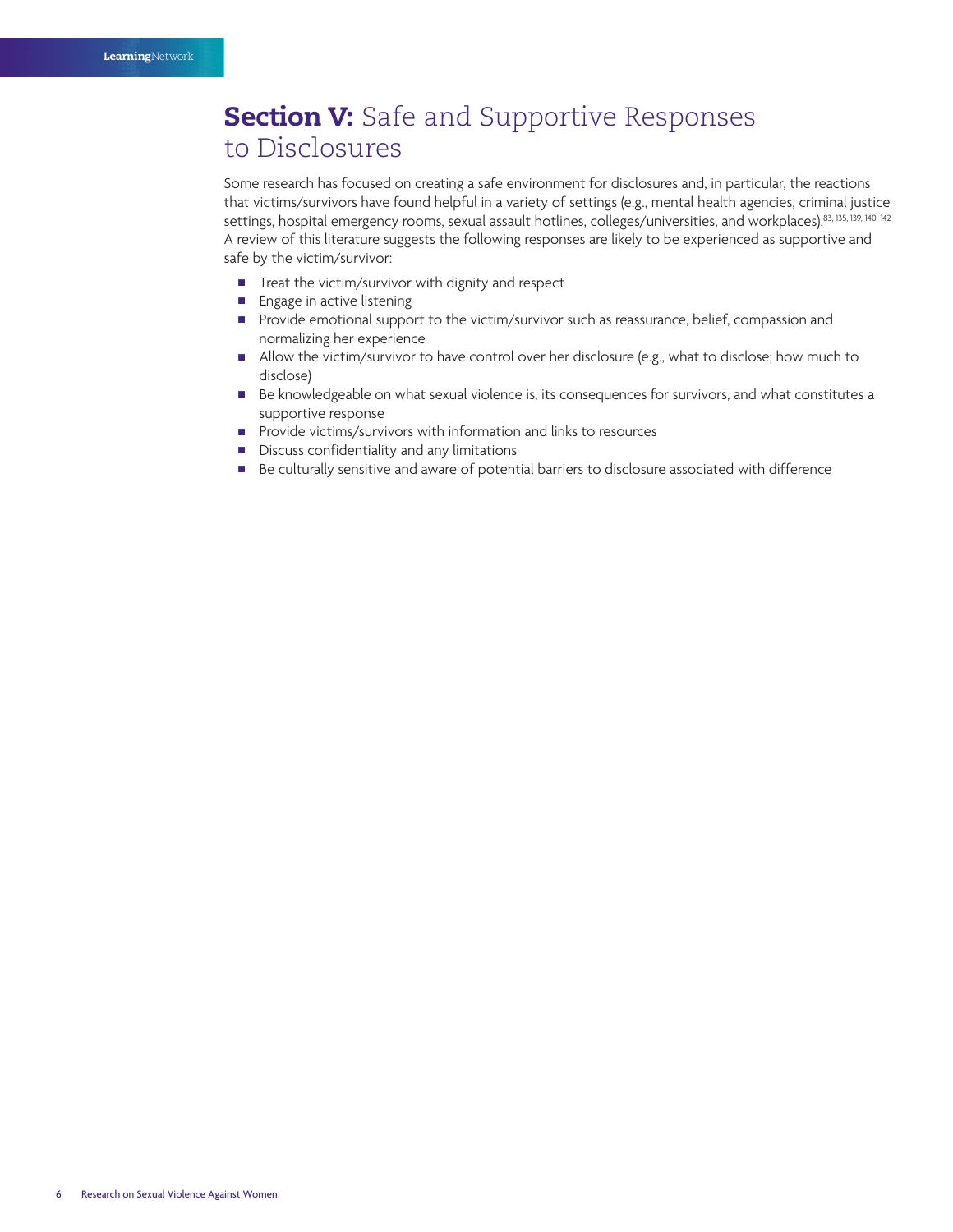# **Section V:** Safe and Supportive Responses to Disclosures

Some research has focused on creating a safe environment for disclosures and, in particular, the reactions that victims/survivors have found helpful in a variety of settings (e.g., mental health agencies, criminal justice settings, hospital emergency rooms, sexual assault hotlines, colleges/universities, and workplaces).<sup>83, 135, 139, 140, 142</sup> A review of this literature suggests the following responses are likely to be experienced as supportive and safe by the victim/survivor:

- Treat the victim/survivor with dignity and respect
- **Engage in active listening**
- <sup>n</sup> Provide emotional support to the victim/survivor such as reassurance, belief, compassion and normalizing her experience
- n Allow the victim/survivor to have control over her disclosure (e.g., what to disclose; how much to disclose)
- Be knowledgeable on what sexual violence is, its consequences for survivors, and what constitutes a supportive response
- Provide victims/survivors with information and links to resources
- $\blacksquare$  Discuss confidentiality and any limitations
- Be culturally sensitive and aware of potential barriers to disclosure associated with difference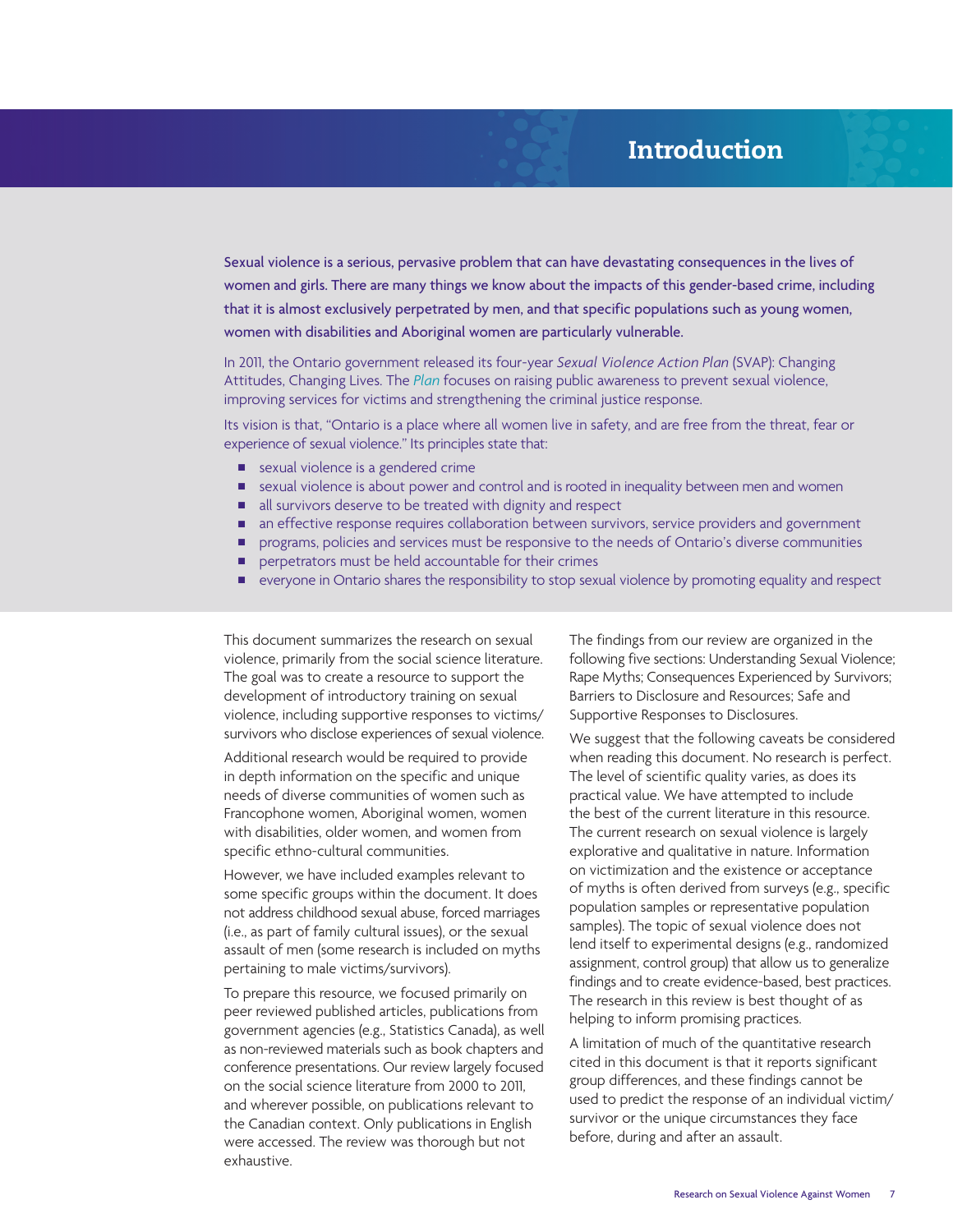# **Introduction**

Sexual violence is a serious, pervasive problem that can have devastating consequences in the lives of women and girls. There are many things we know about the impacts of this gender-based crime, including that it is almost exclusively perpetrated by men, and that specific populations such as young women, women with disabilities and Aboriginal women are particularly vulnerable.

In 2011, the Ontario government released its four-year *Sexual Violence Action Plan* (SVAP): Changing Attitudes, Changing Lives. The *[Plan](http://news.ontario.ca/owd/en/2011/03/ontarios-sexual-violence-action-plan.html)* focuses on raising public awareness to prevent sexual violence, improving services for victims and strengthening the criminal justice response.

Its vision is that, "Ontario is a place where all women live in safety, and are free from the threat, fear or experience of sexual violence." Its principles state that:

- sexual violence is a gendered crime
- **n** sexual violence is about power and control and is rooted in inequality between men and women
- all survivors deserve to be treated with dignity and respect
- n an effective response requires collaboration between survivors, service providers and government
- **n** programs, policies and services must be responsive to the needs of Ontario's diverse communities
- $\blacksquare$  perpetrators must be held accountable for their crimes
- <sup>n</sup> everyone in Ontario shares the responsibility to stop sexual violence by promoting equality and respect

This document summarizes the research on sexual violence, primarily from the social science literature. The goal was to create a resource to support the development of introductory training on sexual violence, including supportive responses to victims/ survivors who disclose experiences of sexual violence.

Additional research would be required to provide in depth information on the specific and unique needs of diverse communities of women such as Francophone women, Aboriginal women, women with disabilities, older women, and women from specific ethno-cultural communities.

However, we have included examples relevant to some specific groups within the document. It does not address childhood sexual abuse, forced marriages (i.e., as part of family cultural issues), or the sexual assault of men (some research is included on myths pertaining to male victims/survivors).

To prepare this resource, we focused primarily on peer reviewed published articles, publications from government agencies (e.g., Statistics Canada), as well as non-reviewed materials such as book chapters and conference presentations. Our review largely focused on the social science literature from 2000 to 2011, and wherever possible, on publications relevant to the Canadian context. Only publications in English were accessed. The review was thorough but not exhaustive.

The findings from our review are organized in the following five sections: Understanding Sexual Violence; Rape Myths; Consequences Experienced by Survivors; Barriers to Disclosure and Resources; Safe and Supportive Responses to Disclosures.

We suggest that the following caveats be considered when reading this document. No research is perfect. The level of scientific quality varies, as does its practical value. We have attempted to include the best of the current literature in this resource. The current research on sexual violence is largely explorative and qualitative in nature. Information on victimization and the existence or acceptance of myths is often derived from surveys (e.g., specific population samples or representative population samples). The topic of sexual violence does not lend itself to experimental designs (e.g., randomized assignment, control group) that allow us to generalize findings and to create evidence-based, best practices. The research in this review is best thought of as helping to inform promising practices.

A limitation of much of the quantitative research cited in this document is that it reports significant group differences, and these findings cannot be used to predict the response of an individual victim/ survivor or the unique circumstances they face before, during and after an assault.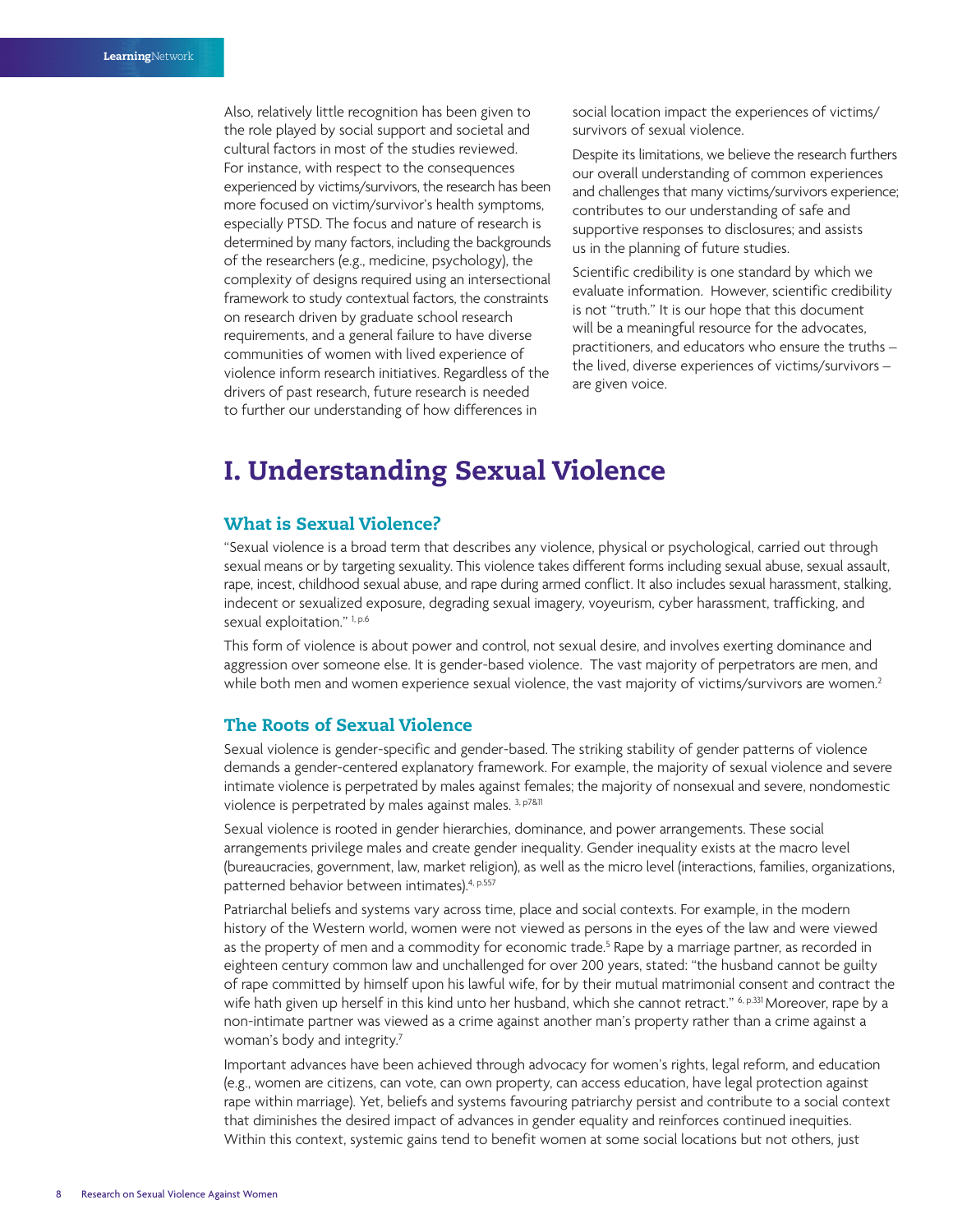Also, relatively little recognition has been given to the role played by social support and societal and cultural factors in most of the studies reviewed. For instance, with respect to the consequences experienced by victims/survivors, the research has been more focused on victim/survivor's health symptoms, especially PTSD. The focus and nature of research is determined by many factors, including the backgrounds of the researchers (e.g., medicine, psychology), the complexity of designs required using an intersectional framework to study contextual factors, the constraints on research driven by graduate school research requirements, and a general failure to have diverse communities of women with lived experience of violence inform research initiatives. Regardless of the drivers of past research, future research is needed to further our understanding of how differences in

social location impact the experiences of victims/ survivors of sexual violence.

Despite its limitations, we believe the research furthers our overall understanding of common experiences and challenges that many victims/survivors experience; contributes to our understanding of safe and supportive responses to disclosures; and assists us in the planning of future studies.

Scientific credibility is one standard by which we evaluate information. However, scientific credibility is not "truth." It is our hope that this document will be a meaningful resource for the advocates, practitioners, and educators who ensure the truths – the lived, diverse experiences of victims/survivors – are given voice.

# **I. Understanding Sexual Violence**

#### **What is Sexual Violence?**

"Sexual violence is a broad term that describes any violence, physical or psychological, carried out through sexual means or by targeting sexuality. This violence takes different forms including sexual abuse, sexual assault, rape, incest, childhood sexual abuse, and rape during armed conflict. It also includes sexual harassment, stalking, indecent or sexualized exposure, degrading sexual imagery, voyeurism, cyber harassment, trafficking, and sexual exploitation."<sup>1, p.6</sup>

This form of violence is about power and control, not sexual desire, and involves exerting dominance and aggression over someone else. It is gender-based violence. The vast majority of perpetrators are men, and while both men and women experience sexual violence, the vast majority of victims/survivors are women.<sup>2</sup>

#### **The Roots of Sexual Violence**

Sexual violence is gender-specific and gender-based. The striking stability of gender patterns of violence demands a gender-centered explanatory framework. For example, the majority of sexual violence and severe intimate violence is perpetrated by males against females; the majority of nonsexual and severe, nondomestic violence is perpetrated by males against males.<sup>3, p7&11</sup>

Sexual violence is rooted in gender hierarchies, dominance, and power arrangements. These social arrangements privilege males and create gender inequality. Gender inequality exists at the macro level (bureaucracies, government, law, market religion), as well as the micro level (interactions, families, organizations, patterned behavior between intimates).4, p.557

Patriarchal beliefs and systems vary across time, place and social contexts. For example, in the modern history of the Western world, women were not viewed as persons in the eyes of the law and were viewed as the property of men and a commodity for economic trade.<sup>5</sup> Rape by a marriage partner, as recorded in eighteen century common law and unchallenged for over 200 years, stated: "the husband cannot be guilty of rape committed by himself upon his lawful wife, for by their mutual matrimonial consent and contract the wife hath given up herself in this kind unto her husband, which she cannot retract." 6, p.331 Moreover, rape by a non-intimate partner was viewed as a crime against another man's property rather than a crime against a woman's body and integrity.7

Important advances have been achieved through advocacy for women's rights, legal reform, and education (e.g., women are citizens, can vote, can own property, can access education, have legal protection against rape within marriage). Yet, beliefs and systems favouring patriarchy persist and contribute to a social context that diminishes the desired impact of advances in gender equality and reinforces continued inequities. Within this context, systemic gains tend to benefit women at some social locations but not others, just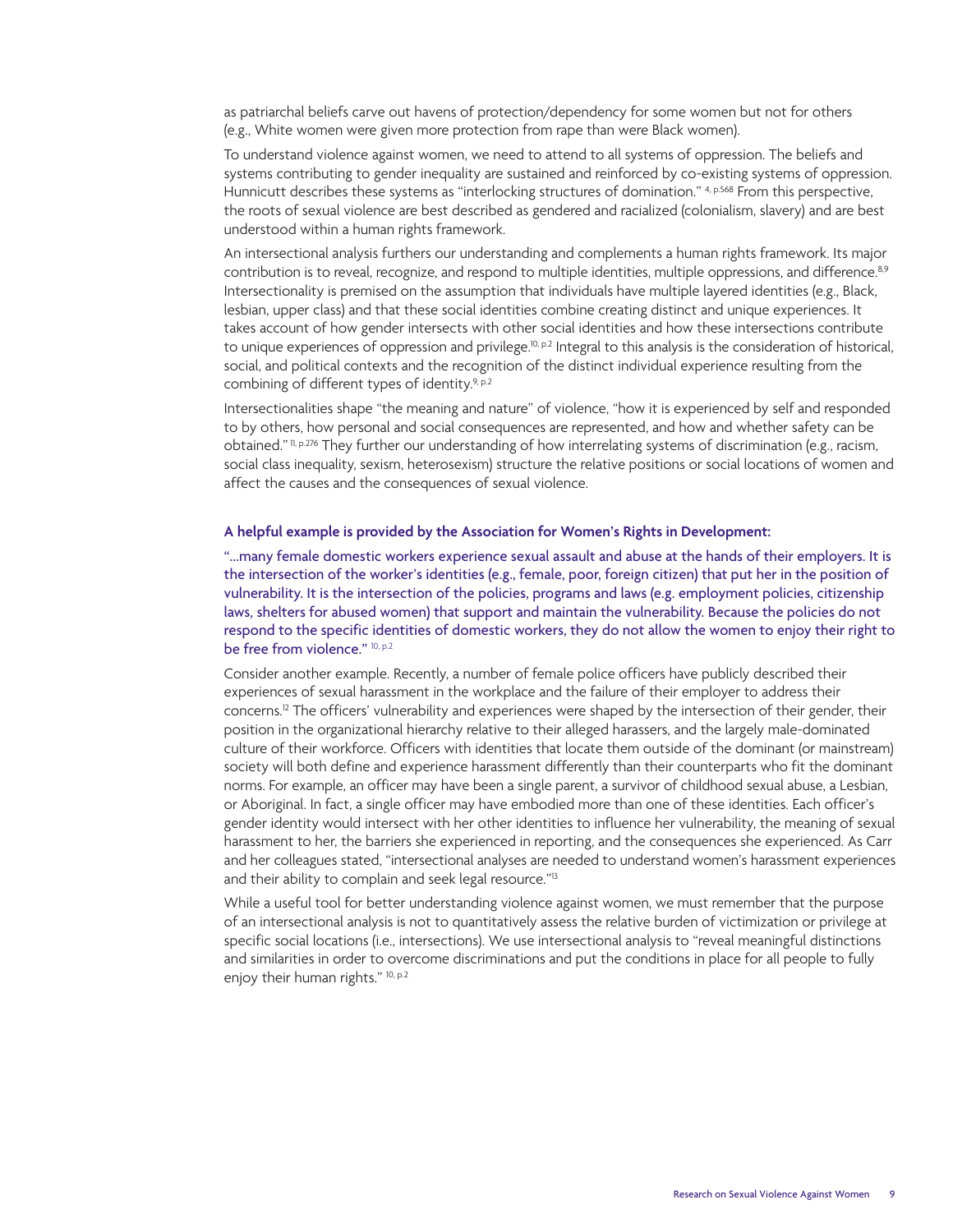as patriarchal beliefs carve out havens of protection/dependency for some women but not for others (e.g., White women were given more protection from rape than were Black women).

To understand violence against women, we need to attend to all systems of oppression. The beliefs and systems contributing to gender inequality are sustained and reinforced by co-existing systems of oppression. Hunnicutt describes these systems as "interlocking structures of domination." 4, p.568 From this perspective, the roots of sexual violence are best described as gendered and racialized (colonialism, slavery) and are best understood within a human rights framework.

An intersectional analysis furthers our understanding and complements a human rights framework. Its major contribution is to reveal, recognize, and respond to multiple identities, multiple oppressions, and difference.<sup>8,9</sup> Intersectionality is premised on the assumption that individuals have multiple layered identities (e.g., Black, lesbian, upper class) and that these social identities combine creating distinct and unique experiences. It takes account of how gender intersects with other social identities and how these intersections contribute to unique experiences of oppression and privilege.<sup>10, p.2</sup> Integral to this analysis is the consideration of historical, social, and political contexts and the recognition of the distinct individual experience resulting from the combining of different types of identity.<sup>9, p.2</sup>

Intersectionalities shape "the meaning and nature" of violence, "how it is experienced by self and responded to by others, how personal and social consequences are represented, and how and whether safety can be obtained."11, p.276 They further our understanding of how interrelating systems of discrimination (e.g., racism, social class inequality, sexism, heterosexism) structure the relative positions or social locations of women and affect the causes and the consequences of sexual violence.

#### **A helpful example is provided by the Association for Women's Rights in Development:**

"…many female domestic workers experience sexual assault and abuse at the hands of their employers. It is the intersection of the worker's identities (e.g., female, poor, foreign citizen) that put her in the position of vulnerability. It is the intersection of the policies, programs and laws (e.g. employment policies, citizenship laws, shelters for abused women) that support and maintain the vulnerability. Because the policies do not respond to the specific identities of domestic workers, they do not allow the women to enjoy their right to be free from violence." 10, p.2

Consider another example. Recently, a number of female police officers have publicly described their experiences of sexual harassment in the workplace and the failure of their employer to address their concerns.12 The officers' vulnerability and experiences were shaped by the intersection of their gender, their position in the organizational hierarchy relative to their alleged harassers, and the largely male-dominated culture of their workforce. Officers with identities that locate them outside of the dominant (or mainstream) society will both define and experience harassment differently than their counterparts who fit the dominant norms. For example, an officer may have been a single parent, a survivor of childhood sexual abuse, a Lesbian, or Aboriginal. In fact, a single officer may have embodied more than one of these identities. Each officer's gender identity would intersect with her other identities to influence her vulnerability, the meaning of sexual harassment to her, the barriers she experienced in reporting, and the consequences she experienced. As Carr and her colleagues stated, "intersectional analyses are needed to understand women's harassment experiences and their ability to complain and seek legal resource."13

While a useful tool for better understanding violence against women, we must remember that the purpose of an intersectional analysis is not to quantitatively assess the relative burden of victimization or privilege at specific social locations (i.e., intersections). We use intersectional analysis to "reveal meaningful distinctions and similarities in order to overcome discriminations and put the conditions in place for all people to fully enjoy their human rights." 10, p.2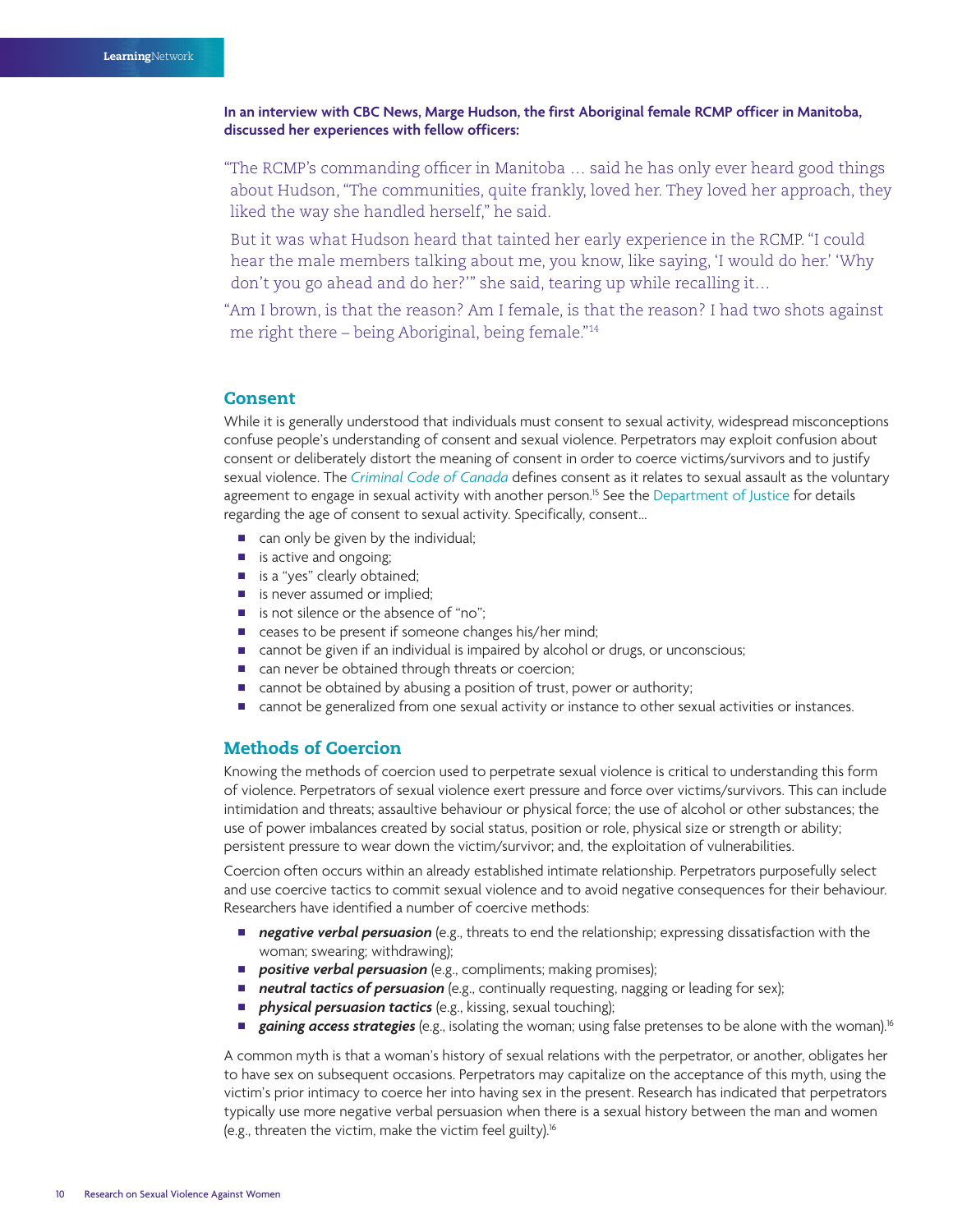**In an interview with CBC News, Marge Hudson, the first Aboriginal female RCMP officer in Manitoba, discussed her experiences with fellow officers:**

"The RCMP's commanding officer in Manitoba … said he has only ever heard good things about Hudson, "The communities, quite frankly, loved her. They loved her approach, they liked the way she handled herself," he said.

But it was what Hudson heard that tainted her early experience in the RCMP. "I could hear the male members talking about me, you know, like saying, 'I would do her.' 'Why don't you go ahead and do her?'" she said, tearing up while recalling it…

"Am I brown, is that the reason? Am I female, is that the reason? I had two shots against me right there – being Aboriginal, being female."14

#### **Consent**

While it is generally understood that individuals must consent to sexual activity, widespread misconceptions confuse people's understanding of consent and sexual violence. Perpetrators may exploit confusion about consent or deliberately distort the meaning of consent in order to coerce victims/survivors and to justify sexual violence. The *[Criminal Code of Canada](http://laws-lois.justice.gc.ca/eng/acts/C-46/)* defines consent as it relates to sexual assault as the voluntary agreement to engage in sexual activity with another person.<sup>15</sup> See t[he Department of Justice](www.justice.gc.ca/eng/dept-min/clp/faq.html) for details regarding the age of consent to sexual activity. Specifically, consent…

- $\blacksquare$  can only be given by the individual;
- $\blacksquare$  is active and ongoing;
- is a "yes" clearly obtained;
- is never assumed or implied;
- $\blacksquare$  is not silence or the absence of "no";
- ceases to be present if someone changes his/her mind;
- cannot be given if an individual is impaired by alcohol or drugs, or unconscious;
- can never be obtained through threats or coercion;
- $\blacksquare$  cannot be obtained by abusing a position of trust, power or authority;
- n cannot be generalized from one sexual activity or instance to other sexual activities or instances.

#### **Methods of Coercion**

Knowing the methods of coercion used to perpetrate sexual violence is critical to understanding this form of violence. Perpetrators of sexual violence exert pressure and force over victims/survivors. This can include intimidation and threats; assaultive behaviour or physical force; the use of alcohol or other substances; the use of power imbalances created by social status, position or role, physical size or strength or ability; persistent pressure to wear down the victim/survivor; and, the exploitation of vulnerabilities.

Coercion often occurs within an already established intimate relationship. Perpetrators purposefully select and use coercive tactics to commit sexual violence and to avoid negative consequences for their behaviour. Researchers have identified a number of coercive methods:

- <sup>n</sup> *negative verbal persuasion* (e.g., threats to end the relationship; expressing dissatisfaction with the woman; swearing; withdrawing);
- *positive verbal persuasion* (e.g., compliments; making promises);<br>■ *neutral tactics of persuasion* (e.g., continually requesting naggin
- **neutral tactics of persuasion** (e.g., continually requesting, nagging or leading for sex);
- *physical persuasion tactics* (e.g., kissing, sexual touching);<br>■ *gaining access strategies* (e.g., isolating the woman; using f
- gaining access strategies (e.g., isolating the woman; using false pretenses to be alone with the woman).<sup>16</sup>

A common myth is that a woman's history of sexual relations with the perpetrator, or another, obligates her to have sex on subsequent occasions. Perpetrators may capitalize on the acceptance of this myth, using the victim's prior intimacy to coerce her into having sex in the present. Research has indicated that perpetrators typically use more negative verbal persuasion when there is a sexual history between the man and women (e.g., threaten the victim, make the victim feel guilty).16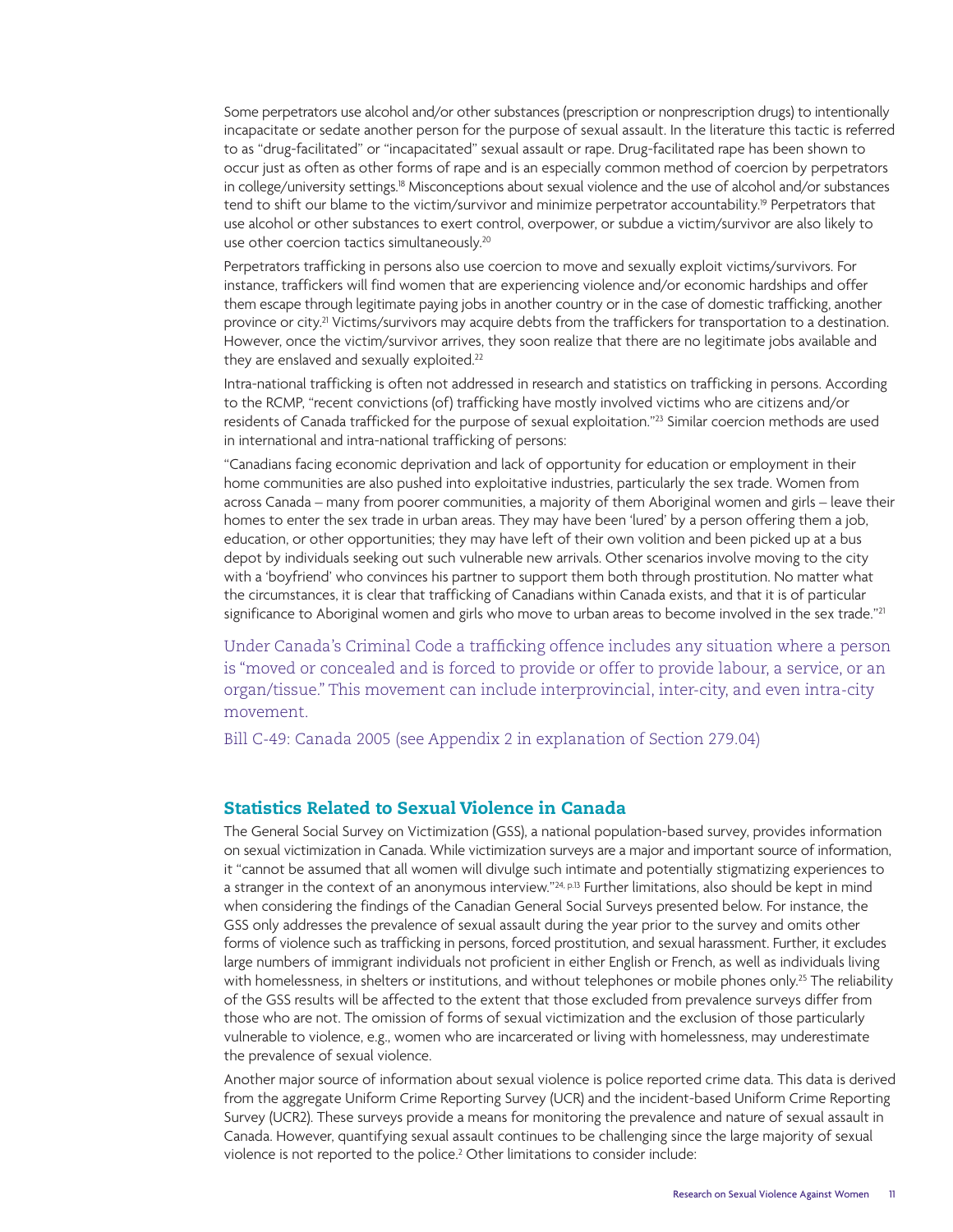Some perpetrators use alcohol and/or other substances (prescription or nonprescription drugs) to intentionally incapacitate or sedate another person for the purpose of sexual assault. In the literature this tactic is referred to as "drug-facilitated" or "incapacitated" sexual assault or rape. Drug-facilitated rape has been shown to occur just as often as other forms of rape and is an especially common method of coercion by perpetrators in college/university settings.18 Misconceptions about sexual violence and the use of alcohol and/or substances tend to shift our blame to the victim/survivor and minimize perpetrator accountability.<sup>19</sup> Perpetrators that use alcohol or other substances to exert control, overpower, or subdue a victim/survivor are also likely to use other coercion tactics simultaneously.20

Perpetrators trafficking in persons also use coercion to move and sexually exploit victims/survivors. For instance, traffickers will find women that are experiencing violence and/or economic hardships and offer them escape through legitimate paying jobs in another country or in the case of domestic trafficking, another province or city.<sup>21</sup> Victims/survivors may acquire debts from the traffickers for transportation to a destination. However, once the victim/survivor arrives, they soon realize that there are no legitimate jobs available and they are enslaved and sexually exploited.<sup>22</sup>

Intra-national trafficking is often not addressed in research and statistics on trafficking in persons. According to the RCMP, "recent convictions (of) trafficking have mostly involved victims who are citizens and/or residents of Canada trafficked for the purpose of sexual exploitation."23 Similar coercion methods are used in international and intra-national trafficking of persons:

"Canadians facing economic deprivation and lack of opportunity for education or employment in their home communities are also pushed into exploitative industries, particularly the sex trade. Women from across Canada – many from poorer communities, a majority of them Aboriginal women and girls – leave their homes to enter the sex trade in urban areas. They may have been 'lured' by a person offering them a job, education, or other opportunities; they may have left of their own volition and been picked up at a bus depot by individuals seeking out such vulnerable new arrivals. Other scenarios involve moving to the city with a 'boyfriend' who convinces his partner to support them both through prostitution. No matter what the circumstances, it is clear that trafficking of Canadians within Canada exists, and that it is of particular significance to Aboriginal women and girls who move to urban areas to become involved in the sex trade."<sup>21</sup>

Under Canada's Criminal Code a trafficking offence includes any situation where a person is "moved or concealed and is forced to provide or offer to provide labour, a service, or an organ/tissue." This movement can include interprovincial, inter-city, and even intra-city movement.

Bill C-49: Canada 2005 (see Appendix 2 in explanation of Section 279.04)

#### **Statistics Related to Sexual Violence in Canada**

The General Social Survey on Victimization (GSS), a national population-based survey, provides information on sexual victimization in Canada. While victimization surveys are a major and important source of information, it "cannot be assumed that all women will divulge such intimate and potentially stigmatizing experiences to a stranger in the context of an anonymous interview."<sup>24, p.13</sup> Further limitations, also should be kept in mind when considering the findings of the Canadian General Social Surveys presented below. For instance, the GSS only addresses the prevalence of sexual assault during the year prior to the survey and omits other forms of violence such as trafficking in persons, forced prostitution, and sexual harassment. Further, it excludes large numbers of immigrant individuals not proficient in either English or French, as well as individuals living with homelessness, in shelters or institutions, and without telephones or mobile phones only.<sup>25</sup> The reliability of the GSS results will be affected to the extent that those excluded from prevalence surveys differ from those who are not. The omission of forms of sexual victimization and the exclusion of those particularly vulnerable to violence, e.g., women who are incarcerated or living with homelessness, may underestimate the prevalence of sexual violence.

Another major source of information about sexual violence is police reported crime data. This data is derived from the aggregate Uniform Crime Reporting Survey (UCR) and the incident-based Uniform Crime Reporting Survey (UCR2). These surveys provide a means for monitoring the prevalence and nature of sexual assault in Canada. However, quantifying sexual assault continues to be challenging since the large majority of sexual violence is not reported to the police.2 Other limitations to consider include: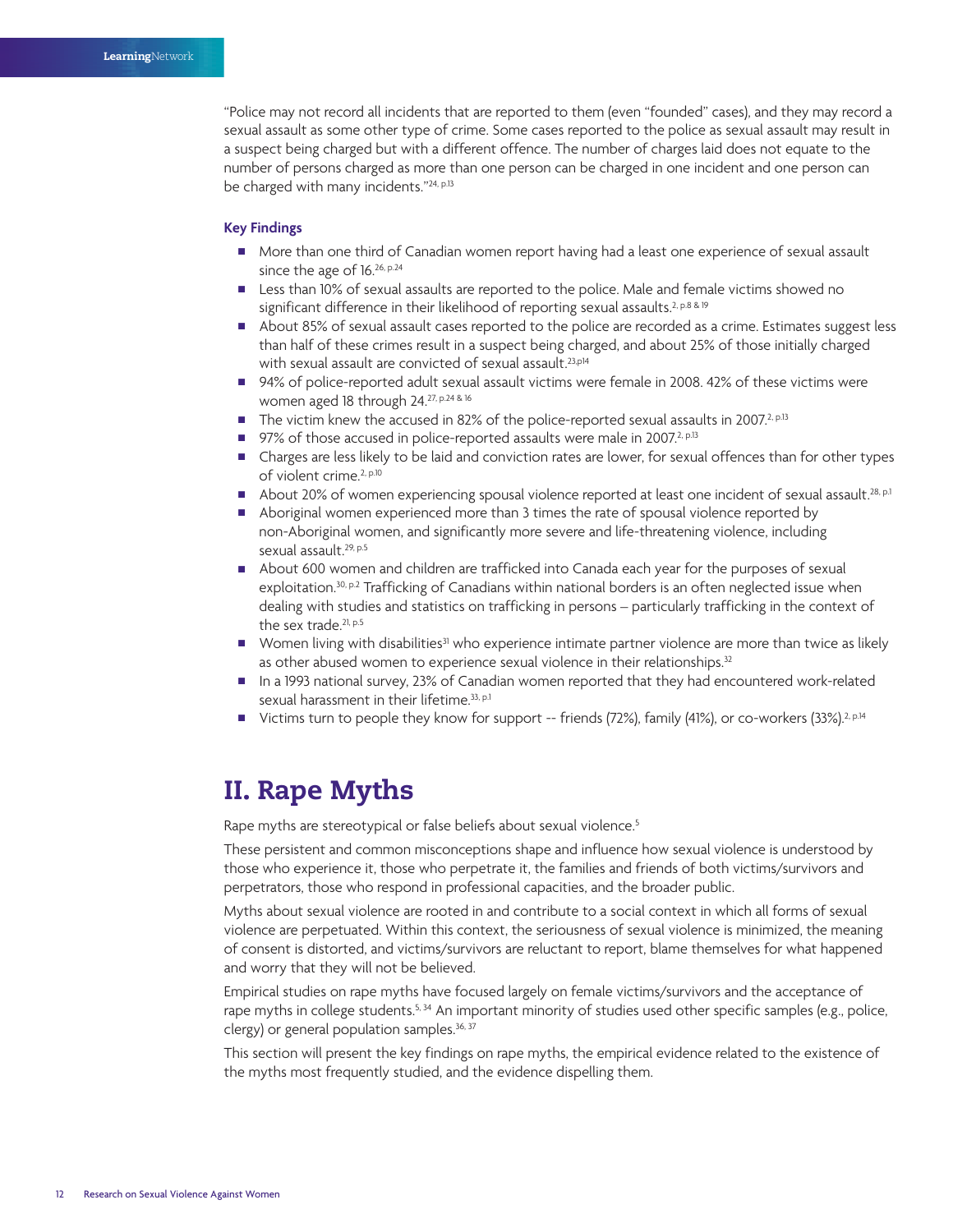"Police may not record all incidents that are reported to them (even "founded" cases), and they may record a sexual assault as some other type of crime. Some cases reported to the police as sexual assault may result in a suspect being charged but with a different offence. The number of charges laid does not equate to the number of persons charged as more than one person can be charged in one incident and one person can be charged with many incidents."24, p.13

#### **Key Findings**

- More than one third of Canadian women report having had a least one experience of sexual assault since the age of 16.<sup>26, p.24</sup>
- **Example 10%** of sexual assaults are reported to the police. Male and female victims showed no significant difference in their likelihood of reporting sexual assaults.<sup>2, p.8 & 19</sup>
- About 85% of sexual assault cases reported to the police are recorded as a crime. Estimates suggest less than half of these crimes result in a suspect being charged, and about 25% of those initially charged with sexual assault are convicted of sexual assault.<sup>23,p14</sup>
- 94% of police-reported adult sexual assault victims were female in 2008. 42% of these victims were women aged 18 through 24.27, p.24 & 16
- The victim knew the accused in 82% of the police-reported sexual assaults in 2007.<sup>2, p.13</sup>
- 97% of those accused in police-reported assaults were male in 2007.<sup>2, p.13</sup>
- <sup>n</sup> Charges are less likely to be laid and conviction rates are lower, for sexual offences than for other types of violent crime.<sup>2, p.10</sup>
- About 20% of women experiencing spousal violence reported at least one incident of sexual assault.<sup>28, p.1</sup>
- **n** Aboriginal women experienced more than 3 times the rate of spousal violence reported by non-Aboriginal women, and significantly more severe and life-threatening violence, including sexual assault.<sup>29, p.5</sup>
- <sup>n</sup> About 600 women and children are trafficked into Canada each year for the purposes of sexual exploitation.<sup>30, p.2</sup> Trafficking of Canadians within national borders is an often neglected issue when dealing with studies and statistics on trafficking in persons – particularly trafficking in the context of the sex trade.<sup>21, p.5</sup>
- Women living with disabilities<sup>31</sup> who experience intimate partner violence are more than twice as likely as other abused women to experience sexual violence in their relationships.<sup>32</sup>
- <sup>n</sup> In a 1993 national survey, 23% of Canadian women reported that they had encountered work-related sexual harassment in their lifetime.<sup>33, p.1</sup>
- Victims turn to people they know for support -- friends (72%), family (41%), or co-workers (33%).<sup>2, p.14</sup>

## **II. Rape Myths**

Rape myths are stereotypical or false beliefs about sexual violence.<sup>5</sup>

These persistent and common misconceptions shape and influence how sexual violence is understood by those who experience it, those who perpetrate it, the families and friends of both victims/survivors and perpetrators, those who respond in professional capacities, and the broader public.

Myths about sexual violence are rooted in and contribute to a social context in which all forms of sexual violence are perpetuated. Within this context, the seriousness of sexual violence is minimized, the meaning of consent is distorted, and victims/survivors are reluctant to report, blame themselves for what happened and worry that they will not be believed.

Empirical studies on rape myths have focused largely on female victims/survivors and the acceptance of rape myths in college students.<sup>5, 34</sup> An important minority of studies used other specific samples (e.g., police, clergy) or general population samples.36, 37

This section will present the key findings on rape myths, the empirical evidence related to the existence of the myths most frequently studied, and the evidence dispelling them.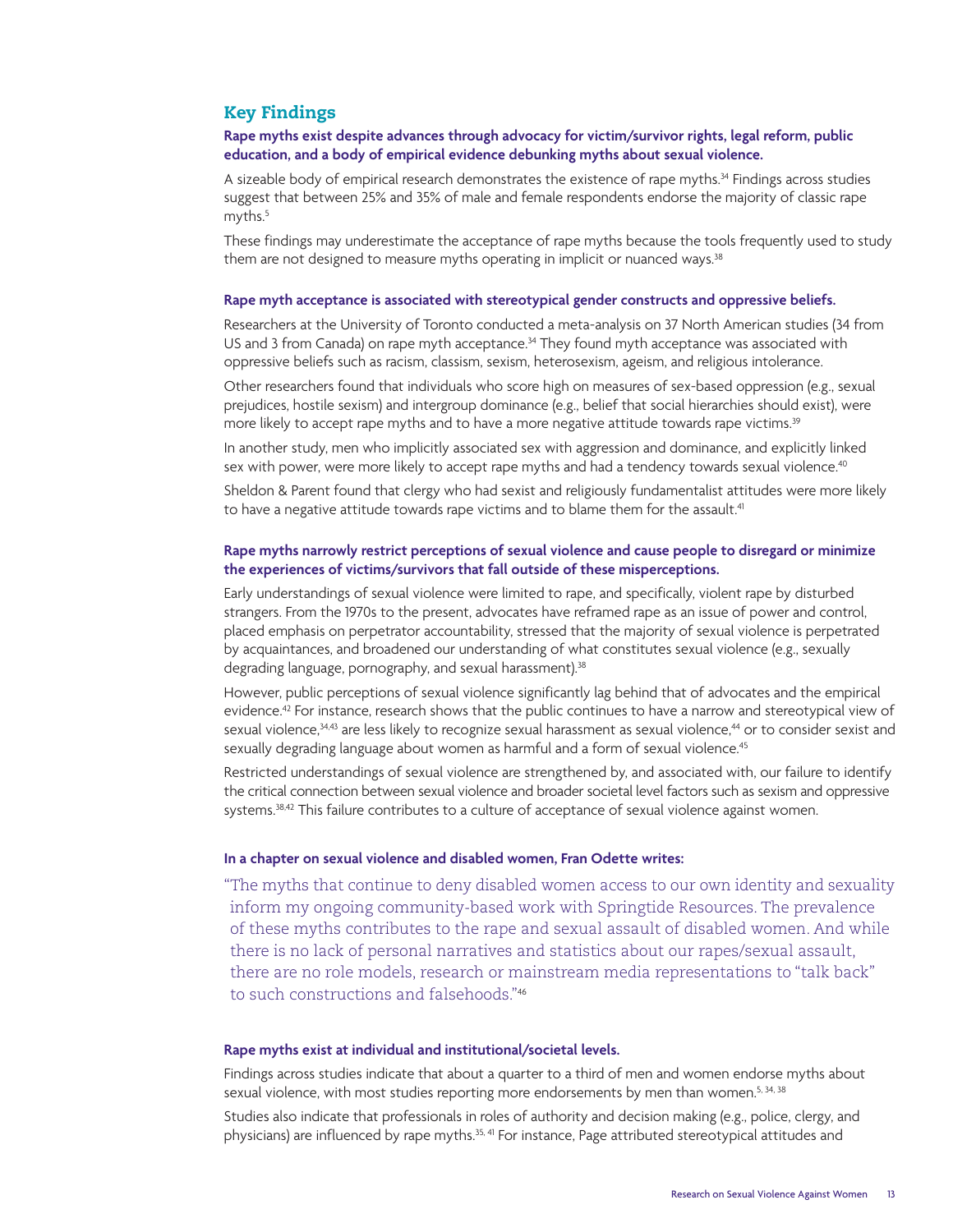#### **Key Findings**

#### **Rape myths exist despite advances through advocacy for victim/survivor rights, legal reform, public education, and a body of empirical evidence debunking myths about sexual violence.**

A sizeable body of empirical research demonstrates the existence of rape myths.<sup>34</sup> Findings across studies suggest that between 25% and 35% of male and female respondents endorse the majority of classic rape myths.<sup>5</sup>

These findings may underestimate the acceptance of rape myths because the tools frequently used to study them are not designed to measure myths operating in implicit or nuanced ways.<sup>38</sup>

#### **Rape myth acceptance is associated with stereotypical gender constructs and oppressive beliefs.**

Researchers at the University of Toronto conducted a meta-analysis on 37 North American studies (34 from US and 3 from Canada) on rape myth acceptance.<sup>34</sup> They found myth acceptance was associated with oppressive beliefs such as racism, classism, sexism, heterosexism, ageism, and religious intolerance.

Other researchers found that individuals who score high on measures of sex-based oppression (e.g., sexual prejudices, hostile sexism) and intergroup dominance (e.g., belief that social hierarchies should exist), were more likely to accept rape myths and to have a more negative attitude towards rape victims.<sup>39</sup>

In another study, men who implicitly associated sex with aggression and dominance, and explicitly linked sex with power, were more likely to accept rape myths and had a tendency towards sexual violence.<sup>40</sup>

Sheldon & Parent found that clergy who had sexist and religiously fundamentalist attitudes were more likely to have a negative attitude towards rape victims and to blame them for the assault.<sup>41</sup>

#### **Rape myths narrowly restrict perceptions of sexual violence and cause people to disregard or minimize the experiences of victims/survivors that fall outside of these misperceptions.**

Early understandings of sexual violence were limited to rape, and specifically, violent rape by disturbed strangers. From the 1970s to the present, advocates have reframed rape as an issue of power and control, placed emphasis on perpetrator accountability, stressed that the majority of sexual violence is perpetrated by acquaintances, and broadened our understanding of what constitutes sexual violence (e.g., sexually degrading language, pornography, and sexual harassment).<sup>38</sup>

However, public perceptions of sexual violence significantly lag behind that of advocates and the empirical evidence.42 For instance, research shows that the public continues to have a narrow and stereotypical view of sexual violence,<sup>34,43</sup> are less likely to recognize sexual harassment as sexual violence,<sup>44</sup> or to consider sexist and sexually degrading language about women as harmful and a form of sexual violence.<sup>45</sup>

Restricted understandings of sexual violence are strengthened by, and associated with, our failure to identify the critical connection between sexual violence and broader societal level factors such as sexism and oppressive systems.<sup>38,42</sup> This failure contributes to a culture of acceptance of sexual violence against women.

#### **In a chapter on sexual violence and disabled women, Fran Odette writes:**

"The myths that continue to deny disabled women access to our own identity and sexuality inform my ongoing community-based work with Springtide Resources. The prevalence of these myths contributes to the rape and sexual assault of disabled women. And while there is no lack of personal narratives and statistics about our rapes/sexual assault, there are no role models, research or mainstream media representations to "talk back" to such constructions and falsehoods."<sup>46</sup>

#### **Rape myths exist at individual and institutional/societal levels.**

Findings across studies indicate that about a quarter to a third of men and women endorse myths about sexual violence, with most studies reporting more endorsements by men than women.<sup>5, 34, 38</sup>

Studies also indicate that professionals in roles of authority and decision making (e.g., police, clergy, and physicians) are influenced by rape myths.<sup>35, 41</sup> For instance, Page attributed stereotypical attitudes and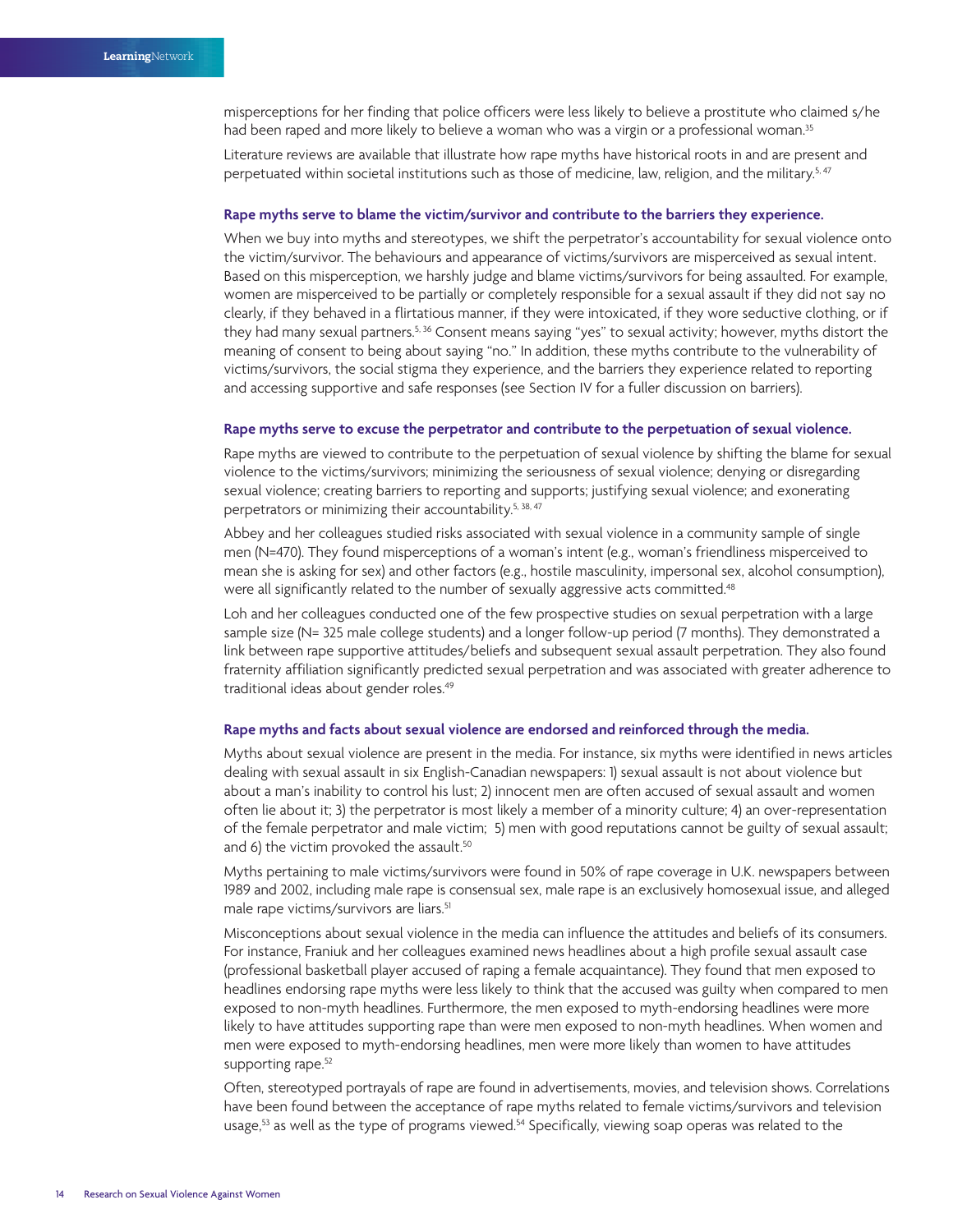misperceptions for her finding that police officers were less likely to believe a prostitute who claimed s/he had been raped and more likely to believe a woman who was a virgin or a professional woman.<sup>35</sup>

Literature reviews are available that illustrate how rape myths have historical roots in and are present and perpetuated within societal institutions such as those of medicine, law, religion, and the military.<sup>5, 47</sup>

#### **Rape myths serve to blame the victim/survivor and contribute to the barriers they experience.**

When we buy into myths and stereotypes, we shift the perpetrator's accountability for sexual violence onto the victim/survivor. The behaviours and appearance of victims/survivors are misperceived as sexual intent. Based on this misperception, we harshly judge and blame victims/survivors for being assaulted. For example, women are misperceived to be partially or completely responsible for a sexual assault if they did not say no clearly, if they behaved in a flirtatious manner, if they were intoxicated, if they wore seductive clothing, or if they had many sexual partners.<sup>5, 36</sup> Consent means saying "yes" to sexual activity; however, myths distort the meaning of consent to being about saying "no." In addition, these myths contribute to the vulnerability of victims/survivors, the social stigma they experience, and the barriers they experience related to reporting and accessing supportive and safe responses (see Section IV for a fuller discussion on barriers).

#### **Rape myths serve to excuse the perpetrator and contribute to the perpetuation of sexual violence.**

Rape myths are viewed to contribute to the perpetuation of sexual violence by shifting the blame for sexual violence to the victims/survivors; minimizing the seriousness of sexual violence; denying or disregarding sexual violence; creating barriers to reporting and supports; justifying sexual violence; and exonerating perpetrators or minimizing their accountability.<sup>5, 38, 47</sup>

Abbey and her colleagues studied risks associated with sexual violence in a community sample of single men (N=470). They found misperceptions of a woman's intent (e.g., woman's friendliness misperceived to mean she is asking for sex) and other factors (e.g., hostile masculinity, impersonal sex, alcohol consumption), were all significantly related to the number of sexually aggressive acts committed.<sup>48</sup>

Loh and her colleagues conducted one of the few prospective studies on sexual perpetration with a large sample size (N= 325 male college students) and a longer follow-up period (7 months). They demonstrated a link between rape supportive attitudes/beliefs and subsequent sexual assault perpetration. They also found fraternity affiliation significantly predicted sexual perpetration and was associated with greater adherence to traditional ideas about gender roles.49

#### **Rape myths and facts about sexual violence are endorsed and reinforced through the media.**

Myths about sexual violence are present in the media. For instance, six myths were identified in news articles dealing with sexual assault in six English-Canadian newspapers: 1) sexual assault is not about violence but about a man's inability to control his lust; 2) innocent men are often accused of sexual assault and women often lie about it; 3) the perpetrator is most likely a member of a minority culture; 4) an over-representation of the female perpetrator and male victim; 5) men with good reputations cannot be guilty of sexual assault; and 6) the victim provoked the assault.<sup>50</sup>

Myths pertaining to male victims/survivors were found in 50% of rape coverage in U.K. newspapers between 1989 and 2002, including male rape is consensual sex, male rape is an exclusively homosexual issue, and alleged male rape victims/survivors are liars.<sup>51</sup>

Misconceptions about sexual violence in the media can influence the attitudes and beliefs of its consumers. For instance, Franiuk and her colleagues examined news headlines about a high profile sexual assault case (professional basketball player accused of raping a female acquaintance). They found that men exposed to headlines endorsing rape myths were less likely to think that the accused was guilty when compared to men exposed to non-myth headlines. Furthermore, the men exposed to myth-endorsing headlines were more likely to have attitudes supporting rape than were men exposed to non-myth headlines. When women and men were exposed to myth-endorsing headlines, men were more likely than women to have attitudes supporting rape.<sup>52</sup>

Often, stereotyped portrayals of rape are found in advertisements, movies, and television shows. Correlations have been found between the acceptance of rape myths related to female victims/survivors and television usage,53 as well as the type of programs viewed.54 Specifically, viewing soap operas was related to the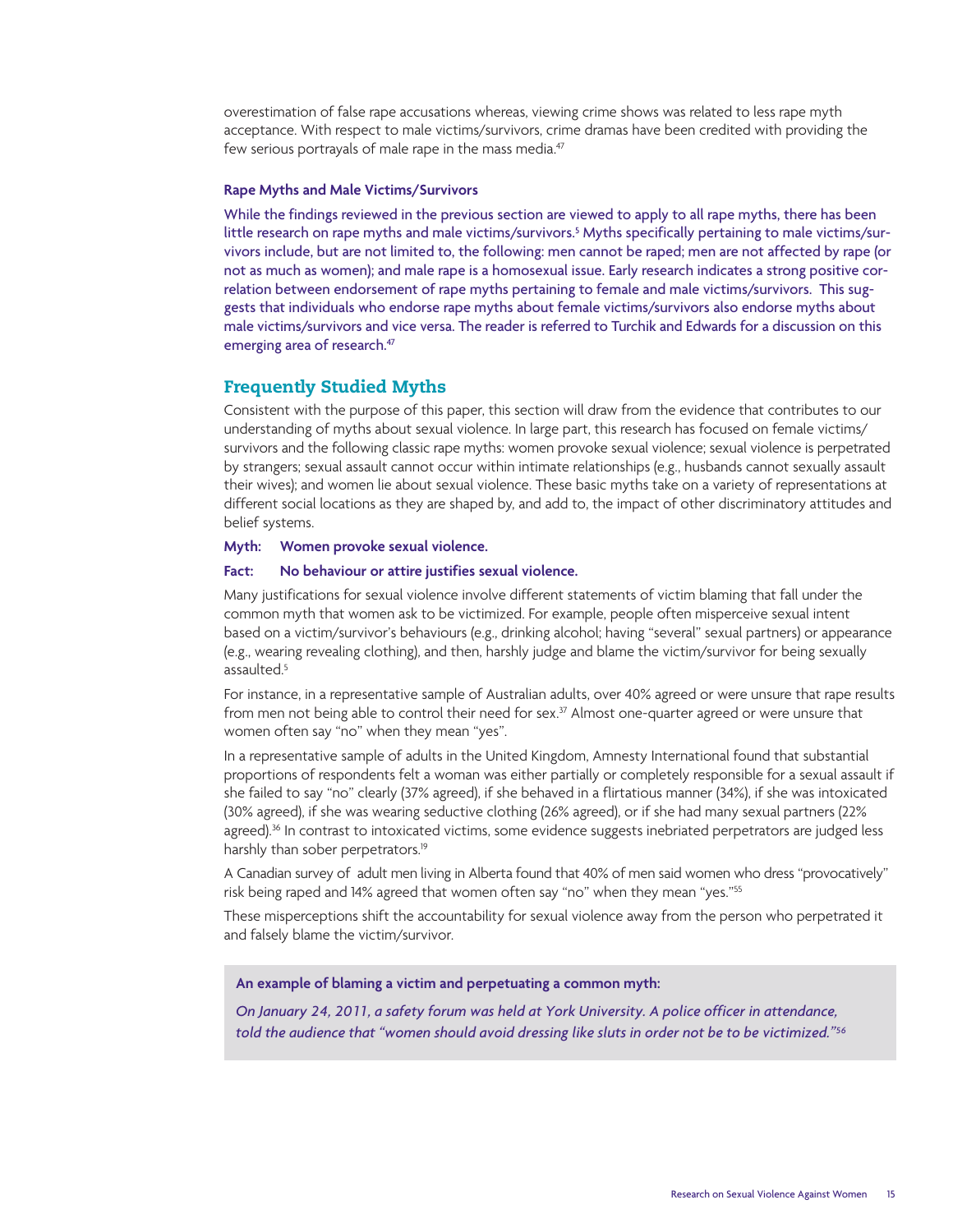overestimation of false rape accusations whereas, viewing crime shows was related to less rape myth acceptance. With respect to male victims/survivors, crime dramas have been credited with providing the few serious portrayals of male rape in the mass media.<sup>47</sup>

#### **Rape Myths and Male Victims/Survivors**

While the findings reviewed in the previous section are viewed to apply to all rape myths, there has been little research on rape myths and male victims/survivors.<sup>5</sup> Myths specifically pertaining to male victims/survivors include, but are not limited to, the following: men cannot be raped; men are not affected by rape (or not as much as women); and male rape is a homosexual issue. Early research indicates a strong positive correlation between endorsement of rape myths pertaining to female and male victims/survivors. This suggests that individuals who endorse rape myths about female victims/survivors also endorse myths about male victims/survivors and vice versa. The reader is referred to Turchik and Edwards for a discussion on this emerging area of research.<sup>47</sup>

#### **Frequently Studied Myths**

Consistent with the purpose of this paper, this section will draw from the evidence that contributes to our understanding of myths about sexual violence. In large part, this research has focused on female victims/ survivors and the following classic rape myths: women provoke sexual violence; sexual violence is perpetrated by strangers; sexual assault cannot occur within intimate relationships (e.g., husbands cannot sexually assault their wives); and women lie about sexual violence. These basic myths take on a variety of representations at different social locations as they are shaped by, and add to, the impact of other discriminatory attitudes and belief systems.

#### **Myth: Women provoke sexual violence.**

#### **Fact: No behaviour or attire justifies sexual violence.**

Many justifications for sexual violence involve different statements of victim blaming that fall under the common myth that women ask to be victimized. For example, people often misperceive sexual intent based on a victim/survivor's behaviours (e.g., drinking alcohol; having "several" sexual partners) or appearance (e.g., wearing revealing clothing), and then, harshly judge and blame the victim/survivor for being sexually assaulted.5

For instance, in a representative sample of Australian adults, over 40% agreed or were unsure that rape results from men not being able to control their need for sex.<sup>37</sup> Almost one-quarter agreed or were unsure that women often say "no" when they mean "yes".

In a representative sample of adults in the United Kingdom, Amnesty International found that substantial proportions of respondents felt a woman was either partially or completely responsible for a sexual assault if she failed to say "no" clearly (37% agreed), if she behaved in a flirtatious manner (34%), if she was intoxicated (30% agreed), if she was wearing seductive clothing (26% agreed), or if she had many sexual partners (22% agreed).<sup>36</sup> In contrast to intoxicated victims, some evidence suggests inebriated perpetrators are judged less harshly than sober perpetrators.<sup>19</sup>

A Canadian survey of adult men living in Alberta found that 40% of men said women who dress "provocatively" risk being raped and 14% agreed that women often say "no" when they mean "yes."55

These misperceptions shift the accountability for sexual violence away from the person who perpetrated it and falsely blame the victim/survivor.

#### **An example of blaming a victim and perpetuating a common myth:**

*On January 24, 2011, a safety forum was held at York University. A police officer in attendance, told the audience that "women should avoid dressing like sluts in order not be to be victimized."56*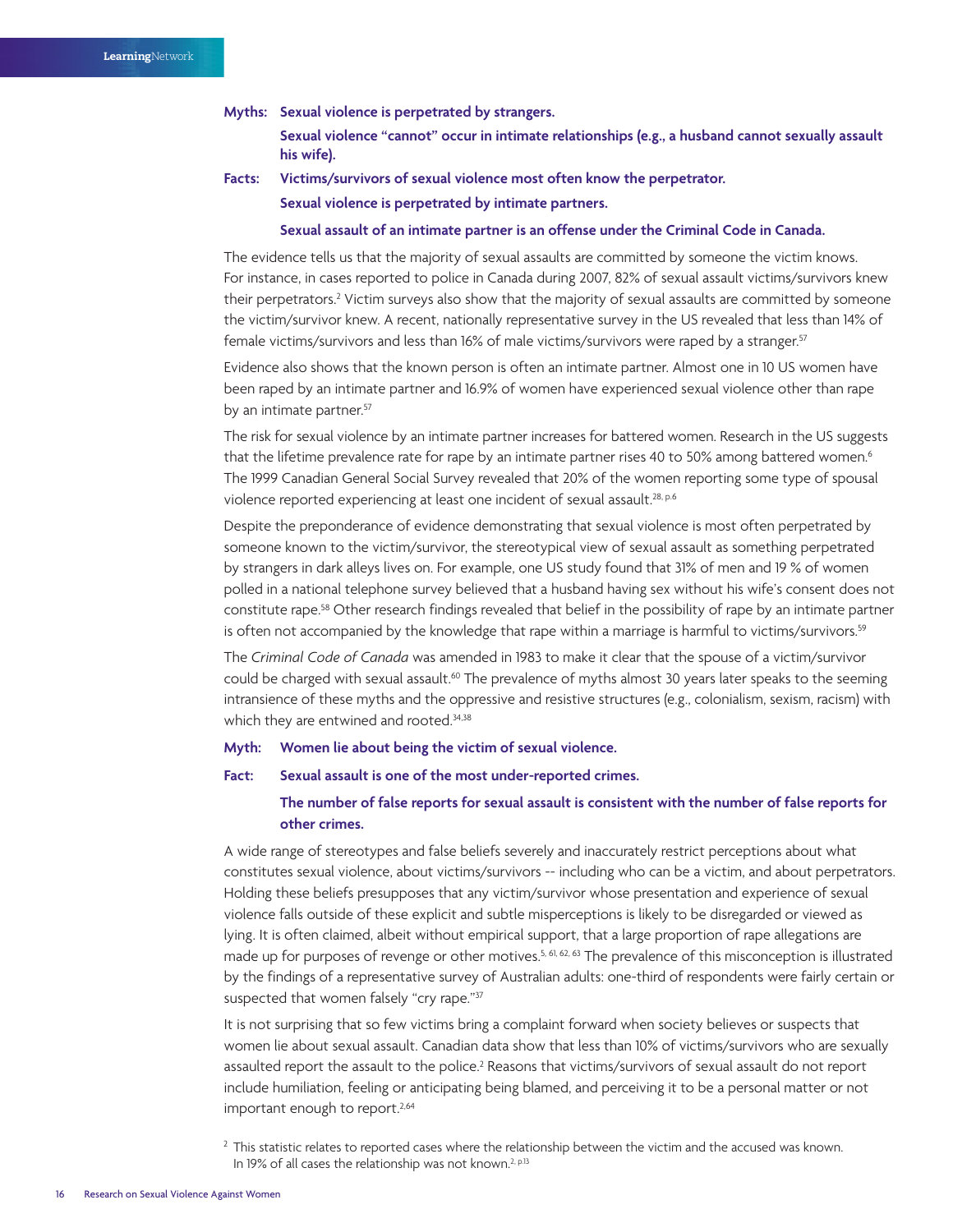#### **Myths: Sexual violence is perpetrated by strangers.**

**Sexual violence "cannot" occur in intimate relationships (e.g., a husband cannot sexually assault his wife).**

#### **Facts: Victims/survivors of sexual violence most often know the perpetrator. Sexual violence is perpetrated by intimate partners.**

#### **Sexual assault of an intimate partner is an offense under the Criminal Code in Canada.**

The evidence tells us that the majority of sexual assaults are committed by someone the victim knows. For instance, in cases reported to police in Canada during 2007, 82% of sexual assault victims/survivors knew their perpetrators.<sup>2</sup> Victim surveys also show that the majority of sexual assaults are committed by someone the victim/survivor knew. A recent, nationally representative survey in the US revealed that less than 14% of female victims/survivors and less than 16% of male victims/survivors were raped by a stranger.<sup>57</sup>

Evidence also shows that the known person is often an intimate partner. Almost one in 10 US women have been raped by an intimate partner and 16.9% of women have experienced sexual violence other than rape by an intimate partner.<sup>57</sup>

The risk for sexual violence by an intimate partner increases for battered women. Research in the US suggests that the lifetime prevalence rate for rape by an intimate partner rises 40 to 50% among battered women.<sup>6</sup> The 1999 Canadian General Social Survey revealed that 20% of the women reporting some type of spousal violence reported experiencing at least one incident of sexual assault.<sup>28, p.6</sup>

Despite the preponderance of evidence demonstrating that sexual violence is most often perpetrated by someone known to the victim/survivor, the stereotypical view of sexual assault as something perpetrated by strangers in dark alleys lives on. For example, one US study found that 31% of men and 19 % of women polled in a national telephone survey believed that a husband having sex without his wife's consent does not constitute rape.58 Other research findings revealed that belief in the possibility of rape by an intimate partner is often not accompanied by the knowledge that rape within a marriage is harmful to victims/survivors.59

The *Criminal Code of Canada* was amended in 1983 to make it clear that the spouse of a victim/survivor could be charged with sexual assault.<sup>60</sup> The prevalence of myths almost 30 years later speaks to the seeming intransience of these myths and the oppressive and resistive structures (e.g., colonialism, sexism, racism) with which they are entwined and rooted.<sup>34,38</sup>

#### **Myth: Women lie about being the victim of sexual violence.**

#### **Fact: Sexual assault is one of the most under-reported crimes.**

#### **The number of false reports for sexual assault is consistent with the number of false reports for other crimes.**

A wide range of stereotypes and false beliefs severely and inaccurately restrict perceptions about what constitutes sexual violence, about victims/survivors -- including who can be a victim, and about perpetrators. Holding these beliefs presupposes that any victim/survivor whose presentation and experience of sexual violence falls outside of these explicit and subtle misperceptions is likely to be disregarded or viewed as lying. It is often claimed, albeit without empirical support, that a large proportion of rape allegations are made up for purposes of revenge or other motives.<sup>5, 61, 62, 63</sup> The prevalence of this misconception is illustrated by the findings of a representative survey of Australian adults: one-third of respondents were fairly certain or suspected that women falsely "cry rape."37

It is not surprising that so few victims bring a complaint forward when society believes or suspects that women lie about sexual assault. Canadian data show that less than 10% of victims/survivors who are sexually assaulted report the assault to the police.2 Reasons that victims/survivors of sexual assault do not report include humiliation, feeling or anticipating being blamed, and perceiving it to be a personal matter or not important enough to report.<sup>2,64</sup>

 $2$  This statistic relates to reported cases where the relationship between the victim and the accused was known. In 19% of all cases the relationship was not known.<sup>2, p.13</sup>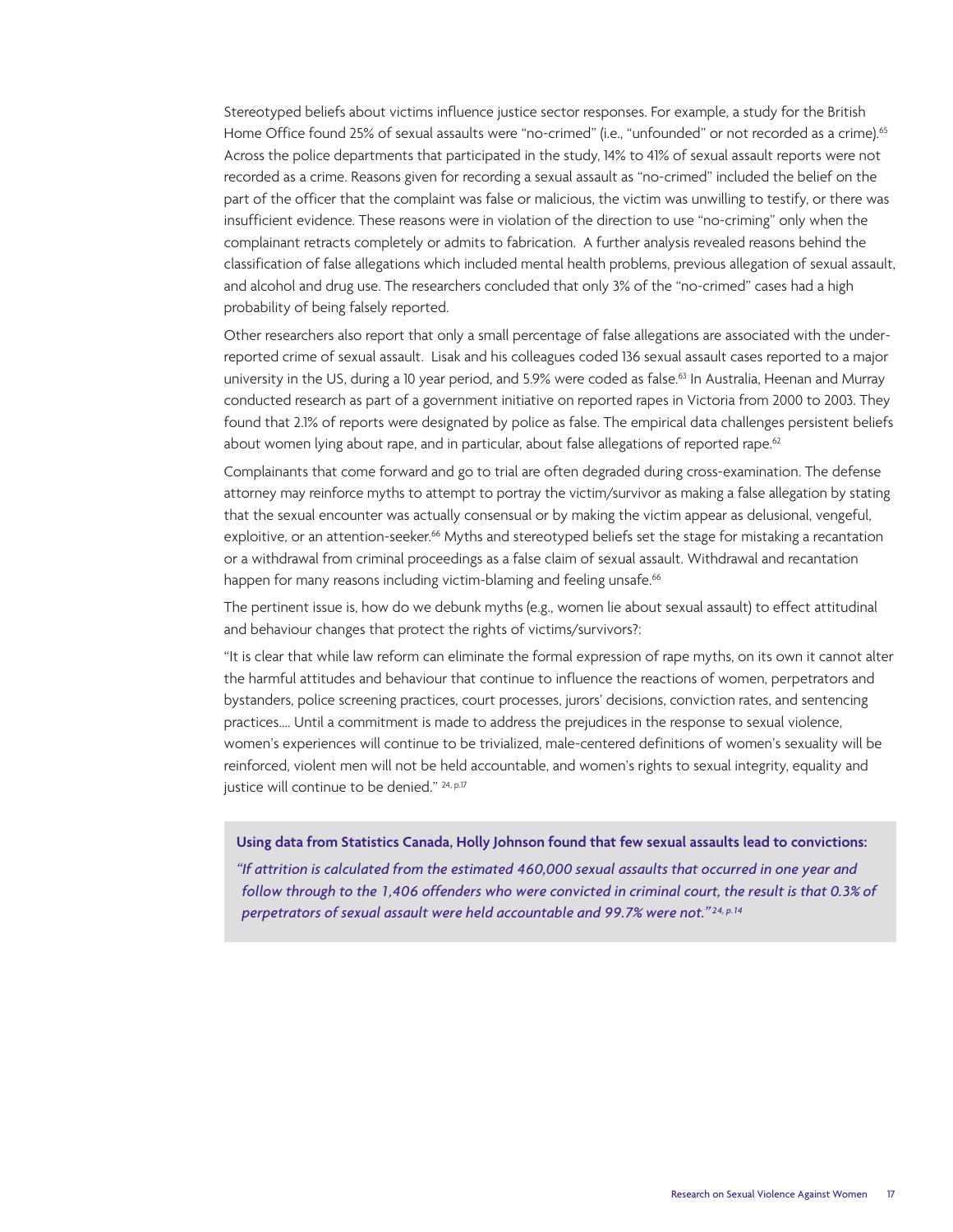Stereotyped beliefs about victims influence justice sector responses. For example, a study for the British Home Office found 25% of sexual assaults were "no-crimed" (i.e., "unfounded" or not recorded as a crime).<sup>65</sup> Across the police departments that participated in the study, 14% to 41% of sexual assault reports were not recorded as a crime. Reasons given for recording a sexual assault as "no-crimed" included the belief on the part of the officer that the complaint was false or malicious, the victim was unwilling to testify, or there was insufficient evidence. These reasons were in violation of the direction to use "no-criming" only when the complainant retracts completely or admits to fabrication. A further analysis revealed reasons behind the classification of false allegations which included mental health problems, previous allegation of sexual assault, and alcohol and drug use. The researchers concluded that only 3% of the "no-crimed" cases had a high probability of being falsely reported.

Other researchers also report that only a small percentage of false allegations are associated with the underreported crime of sexual assault. Lisak and his colleagues coded 136 sexual assault cases reported to a major university in the US, during a 10 year period, and 5.9% were coded as false.<sup>63</sup> In Australia, Heenan and Murray conducted research as part of a government initiative on reported rapes in Victoria from 2000 to 2003. They found that 2.1% of reports were designated by police as false. The empirical data challenges persistent beliefs about women lying about rape, and in particular, about false allegations of reported rape.<sup>62</sup>

Complainants that come forward and go to trial are often degraded during cross-examination. The defense attorney may reinforce myths to attempt to portray the victim/survivor as making a false allegation by stating that the sexual encounter was actually consensual or by making the victim appear as delusional, vengeful, exploitive, or an attention-seeker.<sup>66</sup> Myths and stereotyped beliefs set the stage for mistaking a recantation or a withdrawal from criminal proceedings as a false claim of sexual assault. Withdrawal and recantation happen for many reasons including victim-blaming and feeling unsafe.<sup>66</sup>

The pertinent issue is, how do we debunk myths (e.g., women lie about sexual assault) to effect attitudinal and behaviour changes that protect the rights of victims/survivors?:

"It is clear that while law reform can eliminate the formal expression of rape myths, on its own it cannot alter the harmful attitudes and behaviour that continue to influence the reactions of women, perpetrators and bystanders, police screening practices, court processes, jurors' decisions, conviction rates, and sentencing practices…. Until a commitment is made to address the prejudices in the response to sexual violence, women's experiences will continue to be trivialized, male-centered definitions of women's sexuality will be reinforced, violent men will not be held accountable, and women's rights to sexual integrity, equality and justice will continue to be denied." 24, p.17

#### **Using data from Statistics Canada, Holly Johnson found that few sexual assaults lead to convictions:**

*"If attrition is calculated from the estimated 460,000 sexual assaults that occurred in one year and follow through to the 1,406 offenders who were convicted in criminal court, the result is that 0.3% of perpetrators of sexual assault were held accountable and 99.7% were not." 24, p.14*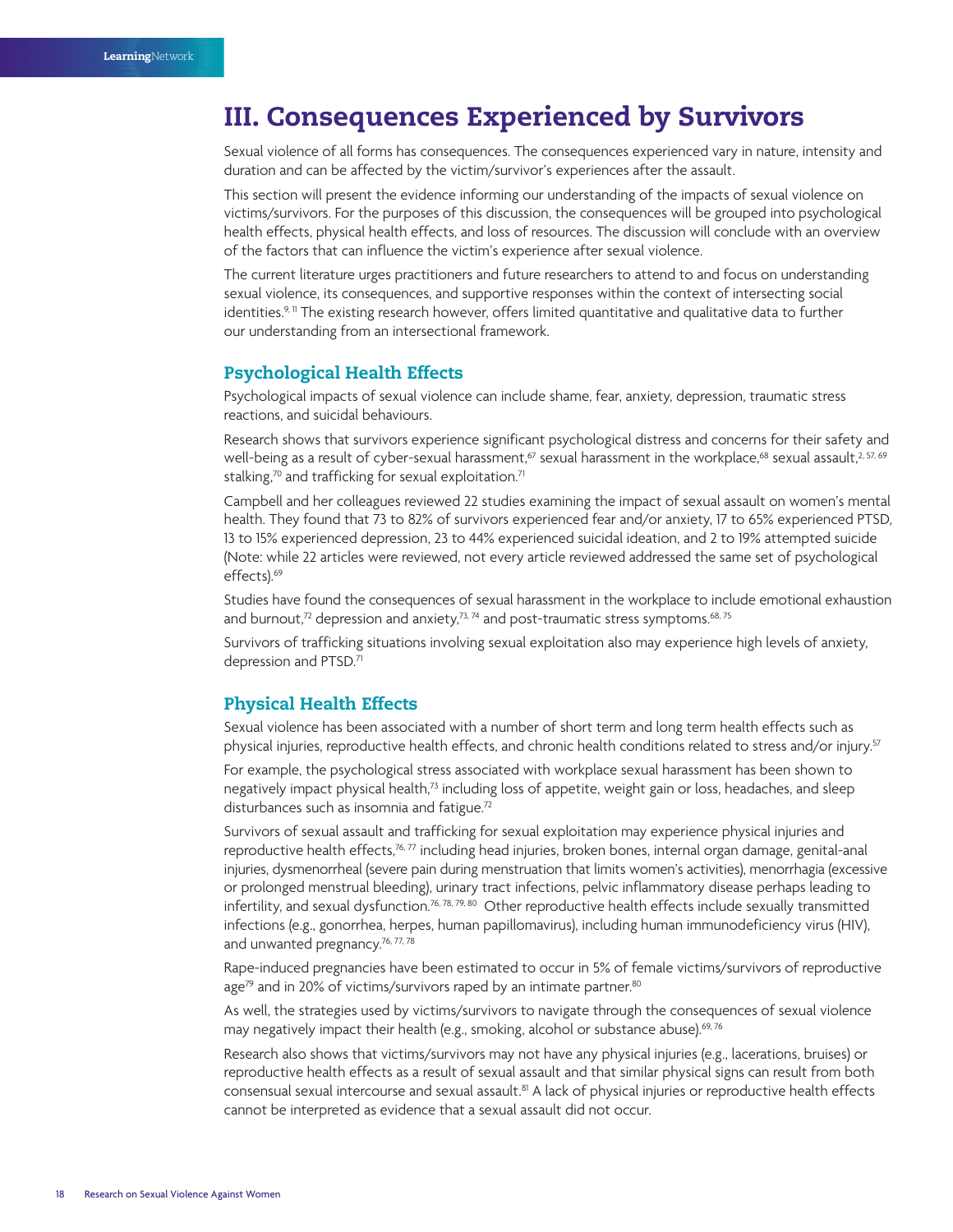# **III. Consequences Experienced by Survivors**

Sexual violence of all forms has consequences. The consequences experienced vary in nature, intensity and duration and can be affected by the victim/survivor's experiences after the assault.

This section will present the evidence informing our understanding of the impacts of sexual violence on victims/survivors. For the purposes of this discussion, the consequences will be grouped into psychological health effects, physical health effects, and loss of resources. The discussion will conclude with an overview of the factors that can influence the victim's experience after sexual violence.

The current literature urges practitioners and future researchers to attend to and focus on understanding sexual violence, its consequences, and supportive responses within the context of intersecting social identities.<sup>9, 11</sup> The existing research however, offers limited quantitative and qualitative data to further our understanding from an intersectional framework.

#### **Psychological Health Effects**

Psychological impacts of sexual violence can include shame, fear, anxiety, depression, traumatic stress reactions, and suicidal behaviours.

Research shows that survivors experience significant psychological distress and concerns for their safety and well-being as a result of cyber-sexual harassment,<sup>67</sup> sexual harassment in the workplace,<sup>68</sup> sexual assault,<sup>2, 57, 69</sup> stalking, $70$  and trafficking for sexual exploitation. $71$ 

Campbell and her colleagues reviewed 22 studies examining the impact of sexual assault on women's mental health. They found that 73 to 82% of survivors experienced fear and/or anxiety, 17 to 65% experienced PTSD, 13 to 15% experienced depression, 23 to 44% experienced suicidal ideation, and 2 to 19% attempted suicide (Note: while 22 articles were reviewed, not every article reviewed addressed the same set of psychological effects).69

Studies have found the consequences of sexual harassment in the workplace to include emotional exhaustion and burnout, $72$  depression and anxiety, $73,74$  and post-traumatic stress symptoms.<sup>68,75</sup>

Survivors of trafficking situations involving sexual exploitation also may experience high levels of anxiety, depression and PTSD.<sup>71</sup>

#### **Physical Health Effects**

Sexual violence has been associated with a number of short term and long term health effects such as physical injuries, reproductive health effects, and chronic health conditions related to stress and/or injury.57

For example, the psychological stress associated with workplace sexual harassment has been shown to negatively impact physical health,<sup>73</sup> including loss of appetite, weight gain or loss, headaches, and sleep disturbances such as insomnia and fatigue.<sup>72</sup>

Survivors of sexual assault and trafficking for sexual exploitation may experience physical injuries and reproductive health effects,<sup>76, 77</sup> including head injuries, broken bones, internal organ damage, genital-anal injuries, dysmenorrheal (severe pain during menstruation that limits women's activities), menorrhagia (excessive or prolonged menstrual bleeding), urinary tract infections, pelvic inflammatory disease perhaps leading to infertility, and sexual dysfunction.<sup>76, 78, 79, 80</sup> Other reproductive health effects include sexually transmitted infections (e.g., gonorrhea, herpes, human papillomavirus), including human immunodeficiency virus (HIV), and unwanted pregnancy.<sup>76, 77, 78</sup>

Rape-induced pregnancies have been estimated to occur in 5% of female victims/survivors of reproductive age<sup>79</sup> and in 20% of victims/survivors raped by an intimate partner.<sup>80</sup>

As well, the strategies used by victims/survivors to navigate through the consequences of sexual violence may negatively impact their health (e.g., smoking, alcohol or substance abuse).<sup>69, 76</sup>

Research also shows that victims/survivors may not have any physical injuries (e.g., lacerations, bruises) or reproductive health effects as a result of sexual assault and that similar physical signs can result from both consensual sexual intercourse and sexual assault.81 A lack of physical injuries or reproductive health effects cannot be interpreted as evidence that a sexual assault did not occur.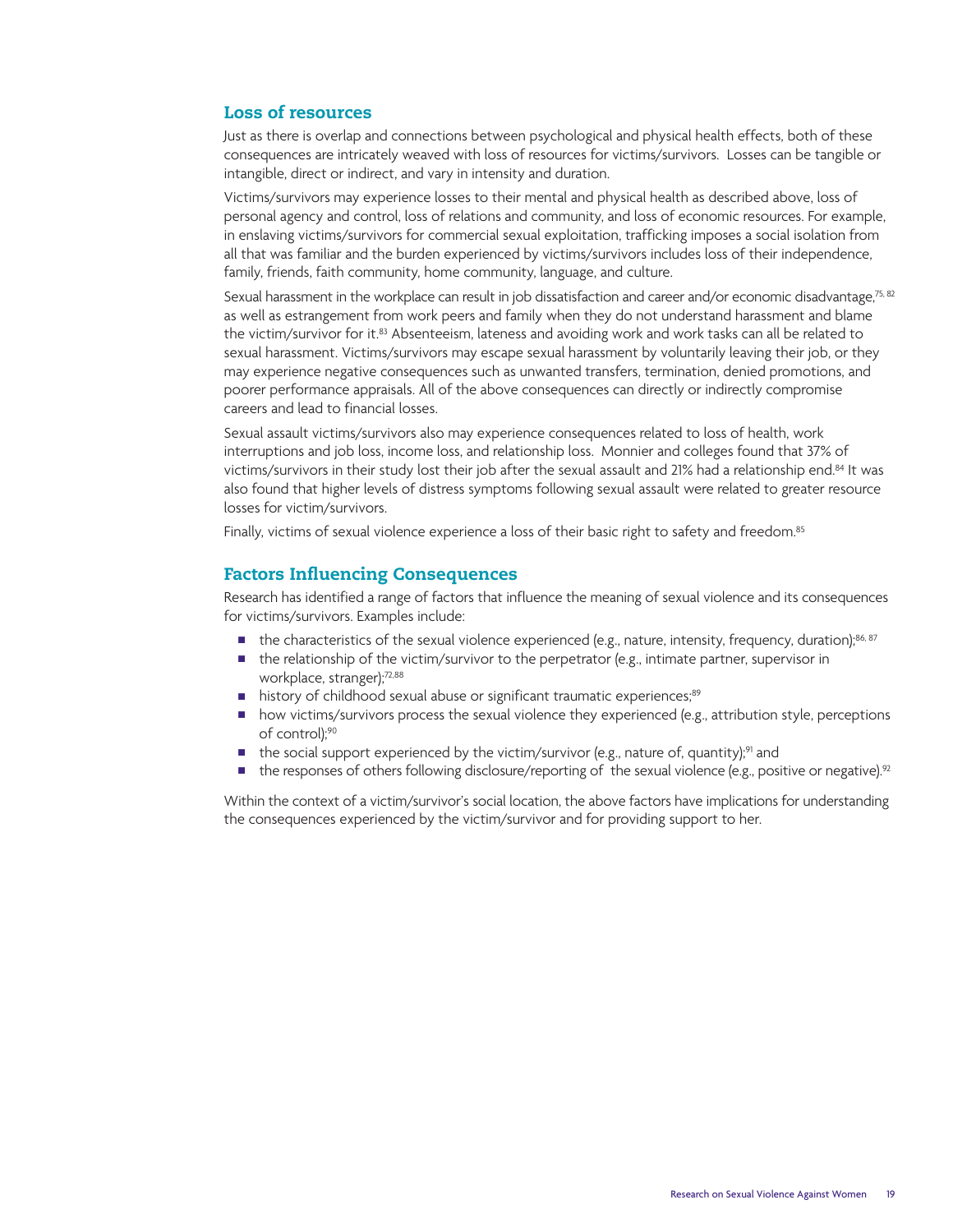#### **Loss of resources**

Just as there is overlap and connections between psychological and physical health effects, both of these consequences are intricately weaved with loss of resources for victims/survivors. Losses can be tangible or intangible, direct or indirect, and vary in intensity and duration.

Victims/survivors may experience losses to their mental and physical health as described above, loss of personal agency and control, loss of relations and community, and loss of economic resources. For example, in enslaving victims/survivors for commercial sexual exploitation, trafficking imposes a social isolation from all that was familiar and the burden experienced by victims/survivors includes loss of their independence, family, friends, faith community, home community, language, and culture.

Sexual harassment in the workplace can result in job dissatisfaction and career and/or economic disadvantage,<sup>75, 82</sup> as well as estrangement from work peers and family when they do not understand harassment and blame the victim/survivor for it.83 Absenteeism, lateness and avoiding work and work tasks can all be related to sexual harassment. Victims/survivors may escape sexual harassment by voluntarily leaving their job, or they may experience negative consequences such as unwanted transfers, termination, denied promotions, and poorer performance appraisals. All of the above consequences can directly or indirectly compromise careers and lead to financial losses.

Sexual assault victims/survivors also may experience consequences related to loss of health, work interruptions and job loss, income loss, and relationship loss. Monnier and colleges found that 37% of victims/survivors in their study lost their job after the sexual assault and 21% had a relationship end.84 It was also found that higher levels of distress symptoms following sexual assault were related to greater resource losses for victim/survivors.

Finally, victims of sexual violence experience a loss of their basic right to safety and freedom.<sup>85</sup>

#### **Factors Influencing Consequences**

Research has identified a range of factors that influence the meaning of sexual violence and its consequences for victims/survivors. Examples include:

- n the characteristics of the sexual violence experienced (e.g., nature, intensity, frequency, duration);<sup>86, 87</sup>
- n the relationship of the victim/survivor to the perpetrator (e.g., intimate partner, supervisor in workplace, stranger);72,88
- history of childhood sexual abuse or significant traumatic experiences;<sup>89</sup>
- how victims/survivors process the sexual violence they experienced (e.g., attribution style, perceptions of control);90
- the social support experienced by the victim/survivor (e.g., nature of, quantity);<sup>91</sup> and
- $\blacksquare$  the responses of others following disclosure/reporting of the sexual violence (e.g., positive or negative).<sup>92</sup>

Within the context of a victim/survivor's social location, the above factors have implications for understanding the consequences experienced by the victim/survivor and for providing support to her.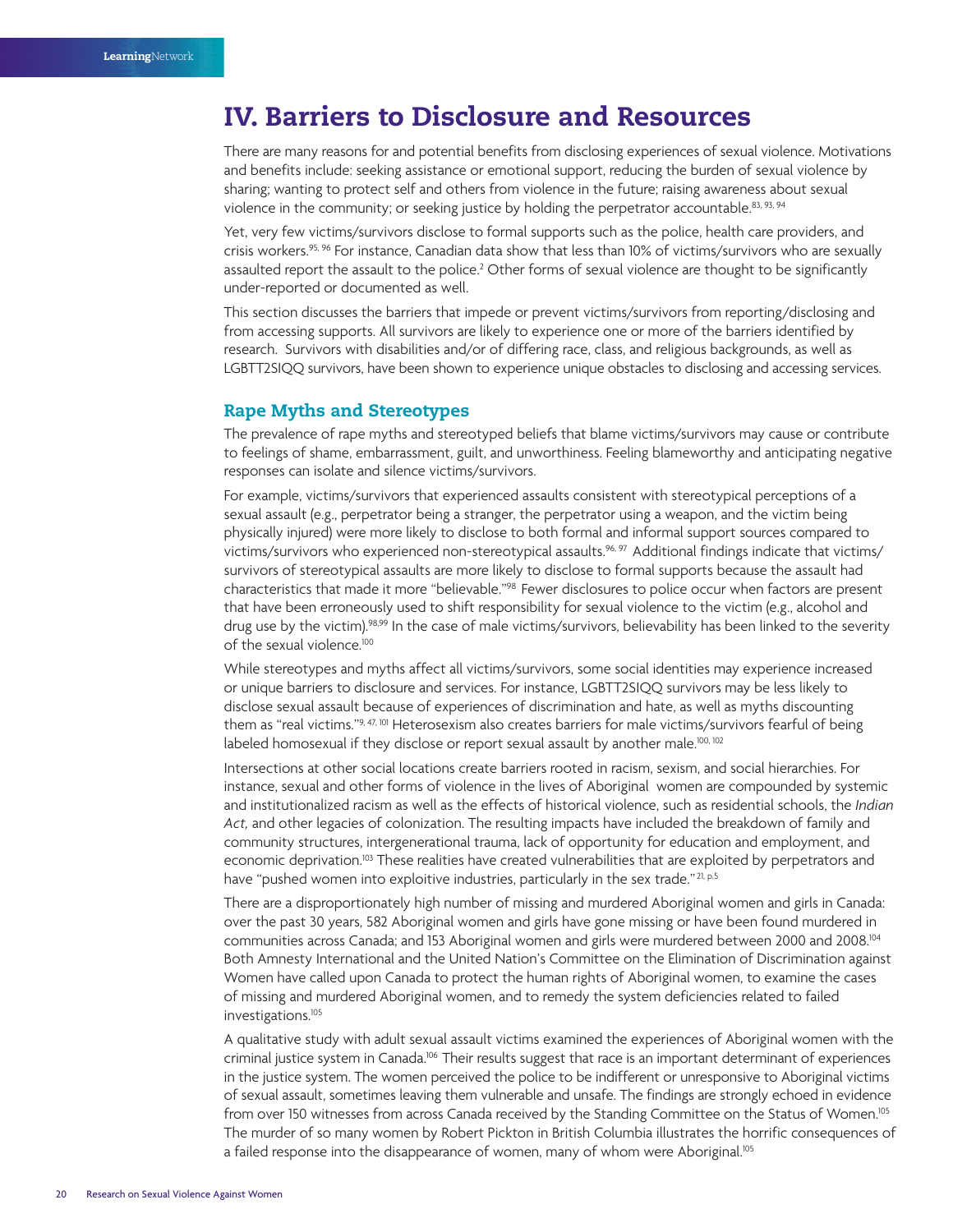# **IV. Barriers to Disclosure and Resources**

There are many reasons for and potential benefits from disclosing experiences of sexual violence. Motivations and benefits include: seeking assistance or emotional support, reducing the burden of sexual violence by sharing; wanting to protect self and others from violence in the future; raising awareness about sexual violence in the community; or seeking justice by holding the perpetrator accountable.<sup>83, 93, 94</sup>

Yet, very few victims/survivors disclose to formal supports such as the police, health care providers, and crisis workers.95, 96 For instance, Canadian data show that less than 10% of victims/survivors who are sexually assaulted report the assault to the police.<sup>2</sup> Other forms of sexual violence are thought to be significantly under-reported or documented as well.

This section discusses the barriers that impede or prevent victims/survivors from reporting/disclosing and from accessing supports. All survivors are likely to experience one or more of the barriers identified by research. Survivors with disabilities and/or of differing race, class, and religious backgrounds, as well as LGBTT2SIQQ survivors, have been shown to experience unique obstacles to disclosing and accessing services.

#### **Rape Myths and Stereotypes**

The prevalence of rape myths and stereotyped beliefs that blame victims/survivors may cause or contribute to feelings of shame, embarrassment, guilt, and unworthiness. Feeling blameworthy and anticipating negative responses can isolate and silence victims/survivors.

For example, victims/survivors that experienced assaults consistent with stereotypical perceptions of a sexual assault (e.g., perpetrator being a stranger, the perpetrator using a weapon, and the victim being physically injured) were more likely to disclose to both formal and informal support sources compared to victims/survivors who experienced non-stereotypical assaults.<sup>96, 97</sup> Additional findings indicate that victims/ survivors of stereotypical assaults are more likely to disclose to formal supports because the assault had characteristics that made it more "believable."98 Fewer disclosures to police occur when factors are present that have been erroneously used to shift responsibility for sexual violence to the victim (e.g., alcohol and drug use by the victim).<sup>98,99</sup> In the case of male victims/survivors, believability has been linked to the severity of the sexual violence.<sup>100</sup>

While stereotypes and myths affect all victims/survivors, some social identities may experience increased or unique barriers to disclosure and services. For instance, LGBTT2SIQQ survivors may be less likely to disclose sexual assault because of experiences of discrimination and hate, as well as myths discounting them as "real victims."9,47,101 Heterosexism also creates barriers for male victims/survivors fearful of being labeled homosexual if they disclose or report sexual assault by another male.<sup>100, 102</sup>

Intersections at other social locations create barriers rooted in racism, sexism, and social hierarchies. For instance, sexual and other forms of violence in the lives of Aboriginal women are compounded by systemic and institutionalized racism as well as the effects of historical violence, such as residential schools, the *Indian Act,* and other legacies of colonization. The resulting impacts have included the breakdown of family and community structures, intergenerational trauma, lack of opportunity for education and employment, and economic deprivation.103 These realities have created vulnerabilities that are exploited by perpetrators and have "pushed women into exploitive industries, particularly in the sex trade."<sup>21, p.5</sup>

There are a disproportionately high number of missing and murdered Aboriginal women and girls in Canada: over the past 30 years, 582 Aboriginal women and girls have gone missing or have been found murdered in communities across Canada; and 153 Aboriginal women and girls were murdered between 2000 and 2008.104 Both Amnesty International and the United Nation's Committee on the Elimination of Discrimination against Women have called upon Canada to protect the human rights of Aboriginal women, to examine the cases of missing and murdered Aboriginal women, and to remedy the system deficiencies related to failed investigations.105

A qualitative study with adult sexual assault victims examined the experiences of Aboriginal women with the criminal justice system in Canada.106 Their results suggest that race is an important determinant of experiences in the justice system. The women perceived the police to be indifferent or unresponsive to Aboriginal victims of sexual assault, sometimes leaving them vulnerable and unsafe. The findings are strongly echoed in evidence from over 150 witnesses from across Canada received by the Standing Committee on the Status of Women.<sup>105</sup> The murder of so many women by Robert Pickton in British Columbia illustrates the horrific consequences of a failed response into the disappearance of women, many of whom were Aboriginal.<sup>105</sup>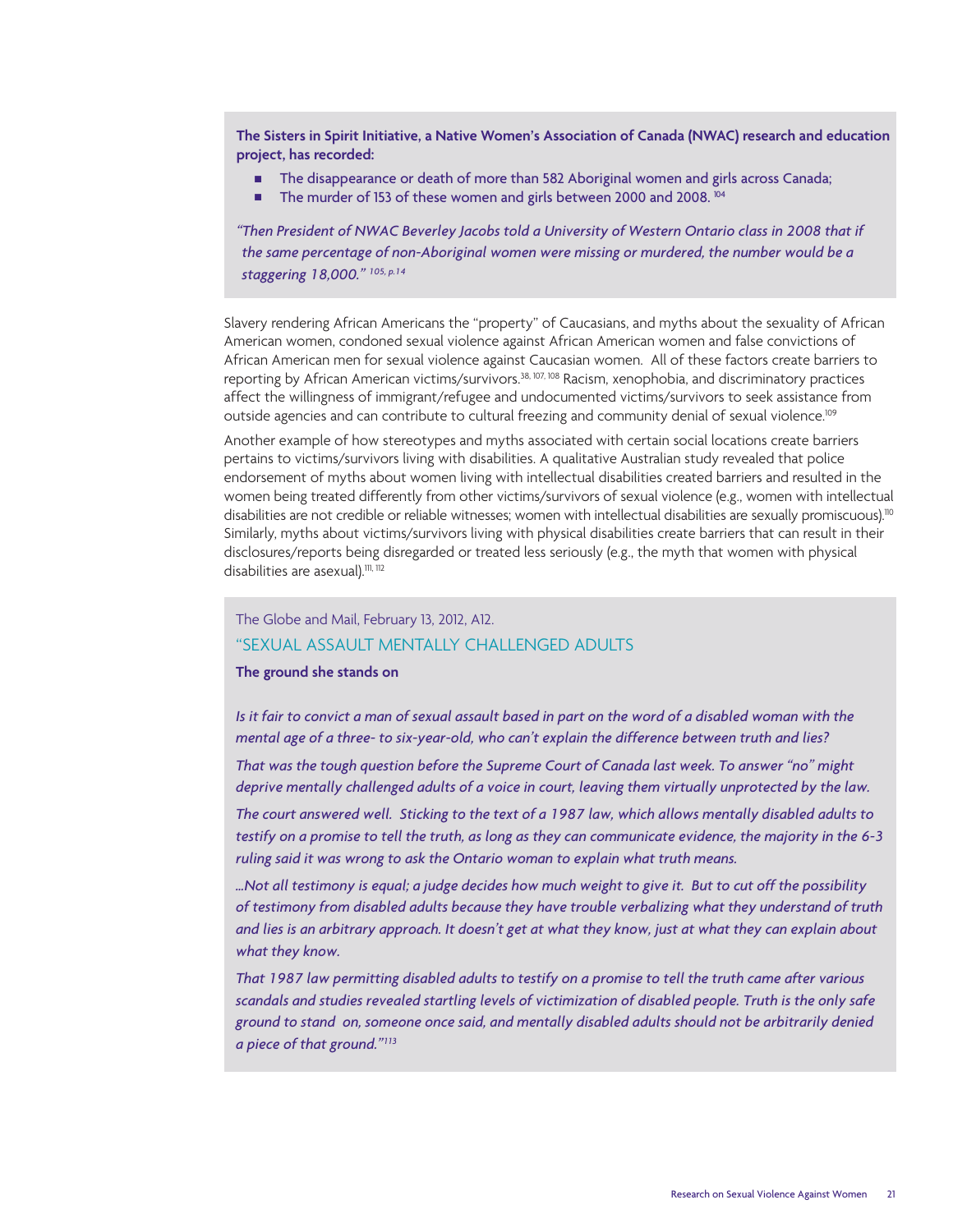**The Sisters in Spirit Initiative, a Native Women's Association of Canada (NWAC) research and education project, has recorded:**

- <sup>n</sup> The disappearance or death of more than 582 Aboriginal women and girls across Canada;
- The murder of 153 of these women and girls between 2000 and 2008. 104

*"Then President of NWAC Beverley Jacobs told a University of Western Ontario class in 2008 that if the same percentage of non-Aboriginal women were missing or murdered, the number would be a staggering 18,000." 105, p.14*

Slavery rendering African Americans the "property" of Caucasians, and myths about the sexuality of African American women, condoned sexual violence against African American women and false convictions of African American men for sexual violence against Caucasian women. All of these factors create barriers to reporting by African American victims/survivors.38, 107, 108 Racism, xenophobia, and discriminatory practices affect the willingness of immigrant/refugee and undocumented victims/survivors to seek assistance from outside agencies and can contribute to cultural freezing and community denial of sexual violence.109

Another example of how stereotypes and myths associated with certain social locations create barriers pertains to victims/survivors living with disabilities. A qualitative Australian study revealed that police endorsement of myths about women living with intellectual disabilities created barriers and resulted in the women being treated differently from other victims/survivors of sexual violence (e.g., women with intellectual disabilities are not credible or reliable witnesses; women with intellectual disabilities are sexually promiscuous).<sup>110</sup> Similarly, myths about victims/survivors living with physical disabilities create barriers that can result in their disclosures/reports being disregarded or treated less seriously (e.g., the myth that women with physical disabilities are asexual).<sup>111, 112</sup>

#### The Globe and Mail, February 13, 2012, A12. "SEXUAL ASSAULT MENTALLY CHALLENGED ADULTS

#### **The ground she stands on**

*Is it fair to convict a man of sexual assault based in part on the word of a disabled woman with the mental age of a three- to six-year-old, who can't explain the difference between truth and lies?*

*That was the tough question before the Supreme Court of Canada last week. To answer "no" might deprive mentally challenged adults of a voice in court, leaving them virtually unprotected by the law.*

*The court answered well. Sticking to the text of a 1987 law, which allows mentally disabled adults to testify on a promise to tell the truth, as long as they can communicate evidence, the majority in the 6-3 ruling said it was wrong to ask the Ontario woman to explain what truth means.*

*…Not all testimony is equal; a judge decides how much weight to give it. But to cut off the possibility of testimony from disabled adults because they have trouble verbalizing what they understand of truth and lies is an arbitrary approach. It doesn't get at what they know, just at what they can explain about what they know.*

*That 1987 law permitting disabled adults to testify on a promise to tell the truth came after various scandals and studies revealed startling levels of victimization of disabled people. Truth is the only safe ground to stand on, someone once said, and mentally disabled adults should not be arbitrarily denied a piece of that ground."113*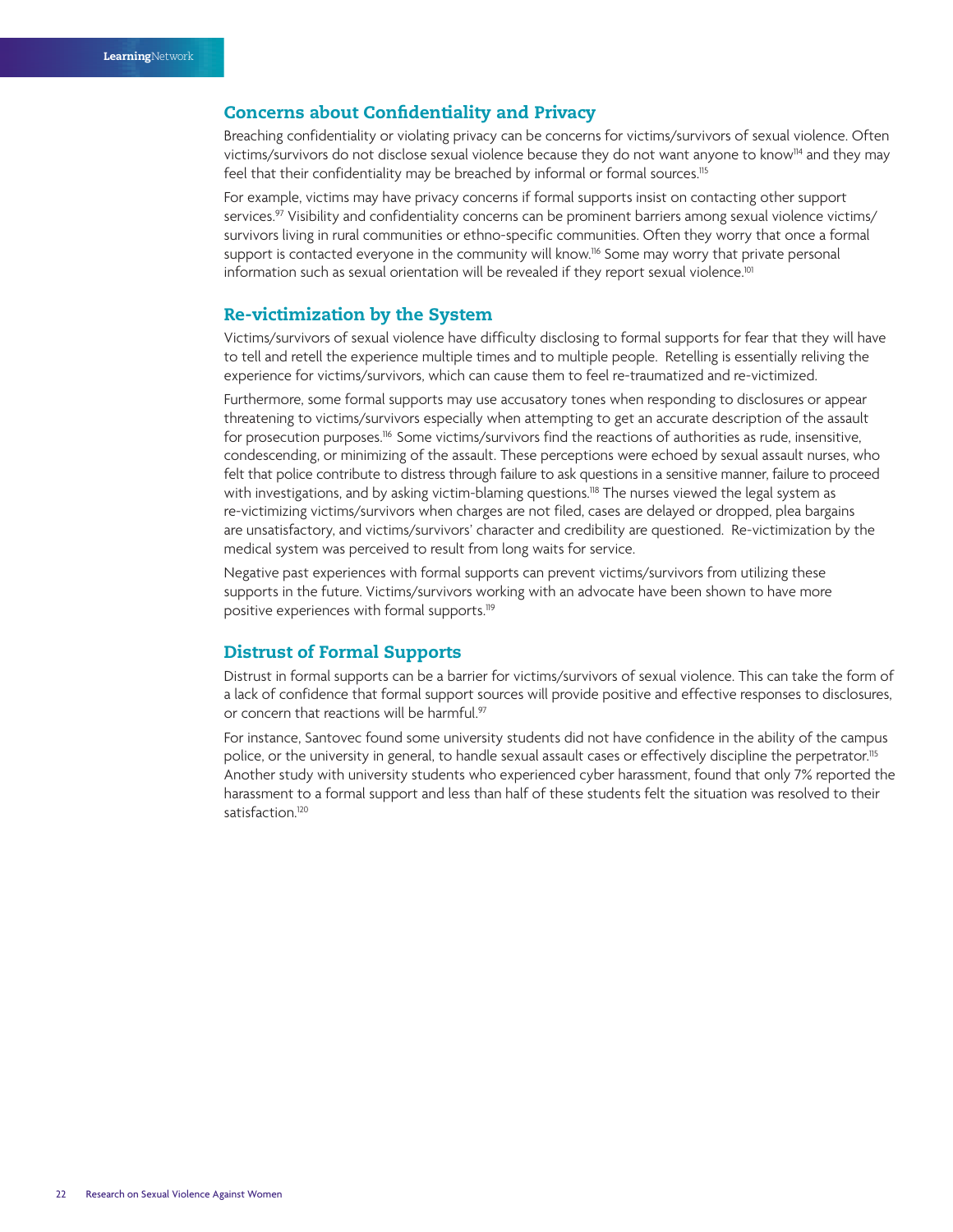#### **Concerns about Confidentiality and Privacy**

Breaching confidentiality or violating privacy can be concerns for victims/survivors of sexual violence. Often victims/survivors do not disclose sexual violence because they do not want anyone to know<sup>114</sup> and they may feel that their confidentiality may be breached by informal or formal sources.<sup>115</sup>

For example, victims may have privacy concerns if formal supports insist on contacting other support services.<sup>97</sup> Visibility and confidentiality concerns can be prominent barriers among sexual violence victims/ survivors living in rural communities or ethno-specific communities. Often they worry that once a formal support is contacted everyone in the community will know.<sup>116</sup> Some may worry that private personal information such as sexual orientation will be revealed if they report sexual violence.<sup>101</sup>

#### **Re-victimization by the System**

Victims/survivors of sexual violence have difficulty disclosing to formal supports for fear that they will have to tell and retell the experience multiple times and to multiple people. Retelling is essentially reliving the experience for victims/survivors, which can cause them to feel re-traumatized and re-victimized.

Furthermore, some formal supports may use accusatory tones when responding to disclosures or appear threatening to victims/survivors especially when attempting to get an accurate description of the assault for prosecution purposes.<sup>116</sup> Some victims/survivors find the reactions of authorities as rude, insensitive, condescending, or minimizing of the assault. These perceptions were echoed by sexual assault nurses, who felt that police contribute to distress through failure to ask questions in a sensitive manner, failure to proceed with investigations, and by asking victim-blaming questions.<sup>118</sup> The nurses viewed the legal system as re-victimizing victims/survivors when charges are not filed, cases are delayed or dropped, plea bargains are unsatisfactory, and victims/survivors' character and credibility are questioned. Re-victimization by the medical system was perceived to result from long waits for service.

Negative past experiences with formal supports can prevent victims/survivors from utilizing these supports in the future. Victims/survivors working with an advocate have been shown to have more positive experiences with formal supports.119

#### **Distrust of Formal Supports**

Distrust in formal supports can be a barrier for victims/survivors of sexual violence. This can take the form of a lack of confidence that formal support sources will provide positive and effective responses to disclosures, or concern that reactions will be harmful.<sup>97</sup>

For instance, Santovec found some university students did not have confidence in the ability of the campus police, or the university in general, to handle sexual assault cases or effectively discipline the perpetrator.<sup>115</sup> Another study with university students who experienced cyber harassment, found that only 7% reported the harassment to a formal support and less than half of these students felt the situation was resolved to their satisfaction.<sup>120</sup>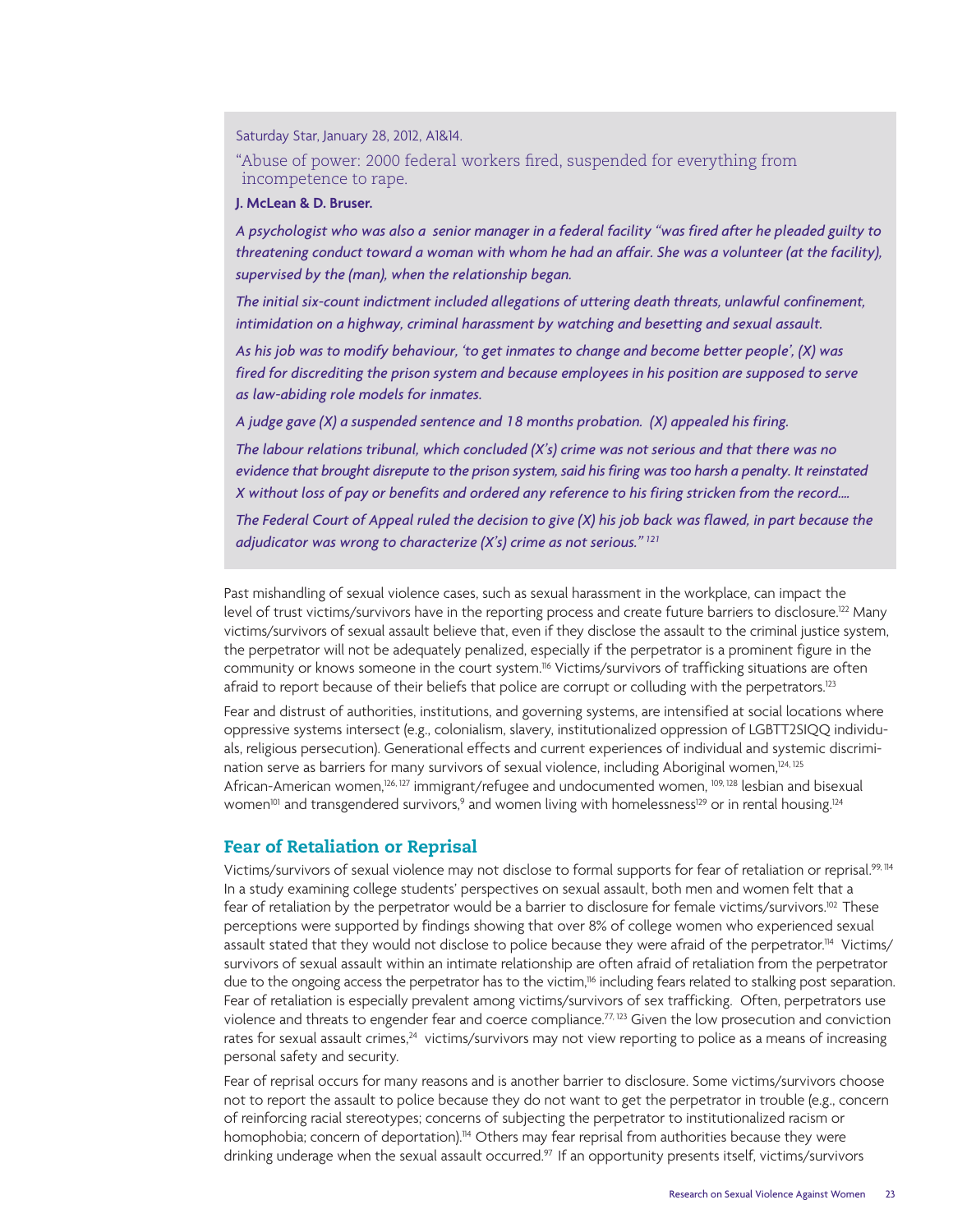Saturday Star, January 28, 2012, A1&14.

"Abuse of power: 2000 federal workers fired, suspended for everything from incompetence to rape.

#### **J. McLean & D. Bruser.**

*A psychologist who was also a senior manager in a federal facility "was fired after he pleaded guilty to threatening conduct toward a woman with whom he had an affair. She was a volunteer (at the facility), supervised by the (man), when the relationship began.* 

*The initial six-count indictment included allegations of uttering death threats, unlawful confinement, intimidation on a highway, criminal harassment by watching and besetting and sexual assault.*

*As his job was to modify behaviour, 'to get inmates to change and become better people', (X) was fired for discrediting the prison system and because employees in his position are supposed to serve as law-abiding role models for inmates.*

*A judge gave (X) a suspended sentence and 18 months probation. (X) appealed his firing.*

*The labour relations tribunal, which concluded (X's) crime was not serious and that there was no evidence that brought disrepute to the prison system, said his firing was too harsh a penalty. It reinstated X without loss of pay or benefits and ordered any reference to his firing stricken from the record.…*

*The Federal Court of Appeal ruled the decision to give (X) his job back was flawed, in part because the adjudicator was wrong to characterize (X's) crime as not serious." <sup>121</sup>*

Past mishandling of sexual violence cases, such as sexual harassment in the workplace, can impact the level of trust victims/survivors have in the reporting process and create future barriers to disclosure.122 Many victims/survivors of sexual assault believe that, even if they disclose the assault to the criminal justice system, the perpetrator will not be adequately penalized, especially if the perpetrator is a prominent figure in the community or knows someone in the court system.<sup>116</sup> Victims/survivors of trafficking situations are often afraid to report because of their beliefs that police are corrupt or colluding with the perpetrators.<sup>123</sup>

Fear and distrust of authorities, institutions, and governing systems, are intensified at social locations where oppressive systems intersect (e.g., colonialism, slavery, institutionalized oppression of LGBTT2SIQQ individuals, religious persecution). Generational effects and current experiences of individual and systemic discrimination serve as barriers for many survivors of sexual violence, including Aboriginal women,<sup>124, 125</sup> African-American women,<sup>126, 127</sup> immigrant/refugee and undocumented women, <sup>109, 128</sup> lesbian and bisexual women<sup>101</sup> and transgendered survivors,<sup>9</sup> and women living with homelessness<sup>129</sup> or in rental housing.<sup>124</sup>

#### **Fear of Retaliation or Reprisal**

Victims/survivors of sexual violence may not disclose to formal supports for fear of retaliation or reprisal.<sup>99, 114</sup> In a study examining college students' perspectives on sexual assault, both men and women felt that a fear of retaliation by the perpetrator would be a barrier to disclosure for female victims/survivors.<sup>102</sup> These perceptions were supported by findings showing that over 8% of college women who experienced sexual assault stated that they would not disclose to police because they were afraid of the perpetrator.114 Victims/ survivors of sexual assault within an intimate relationship are often afraid of retaliation from the perpetrator due to the ongoing access the perpetrator has to the victim,<sup>116</sup> including fears related to stalking post separation. Fear of retaliation is especially prevalent among victims/survivors of sex trafficking. Often, perpetrators use violence and threats to engender fear and coerce compliance.77, 123 Given the low prosecution and conviction rates for sexual assault crimes,<sup>24</sup> victims/survivors may not view reporting to police as a means of increasing personal safety and security.

Fear of reprisal occurs for many reasons and is another barrier to disclosure. Some victims/survivors choose not to report the assault to police because they do not want to get the perpetrator in trouble (e.g., concern of reinforcing racial stereotypes; concerns of subjecting the perpetrator to institutionalized racism or homophobia; concern of deportation).<sup>114</sup> Others may fear reprisal from authorities because they were drinking underage when the sexual assault occurred.<sup>97</sup> If an opportunity presents itself, victims/survivors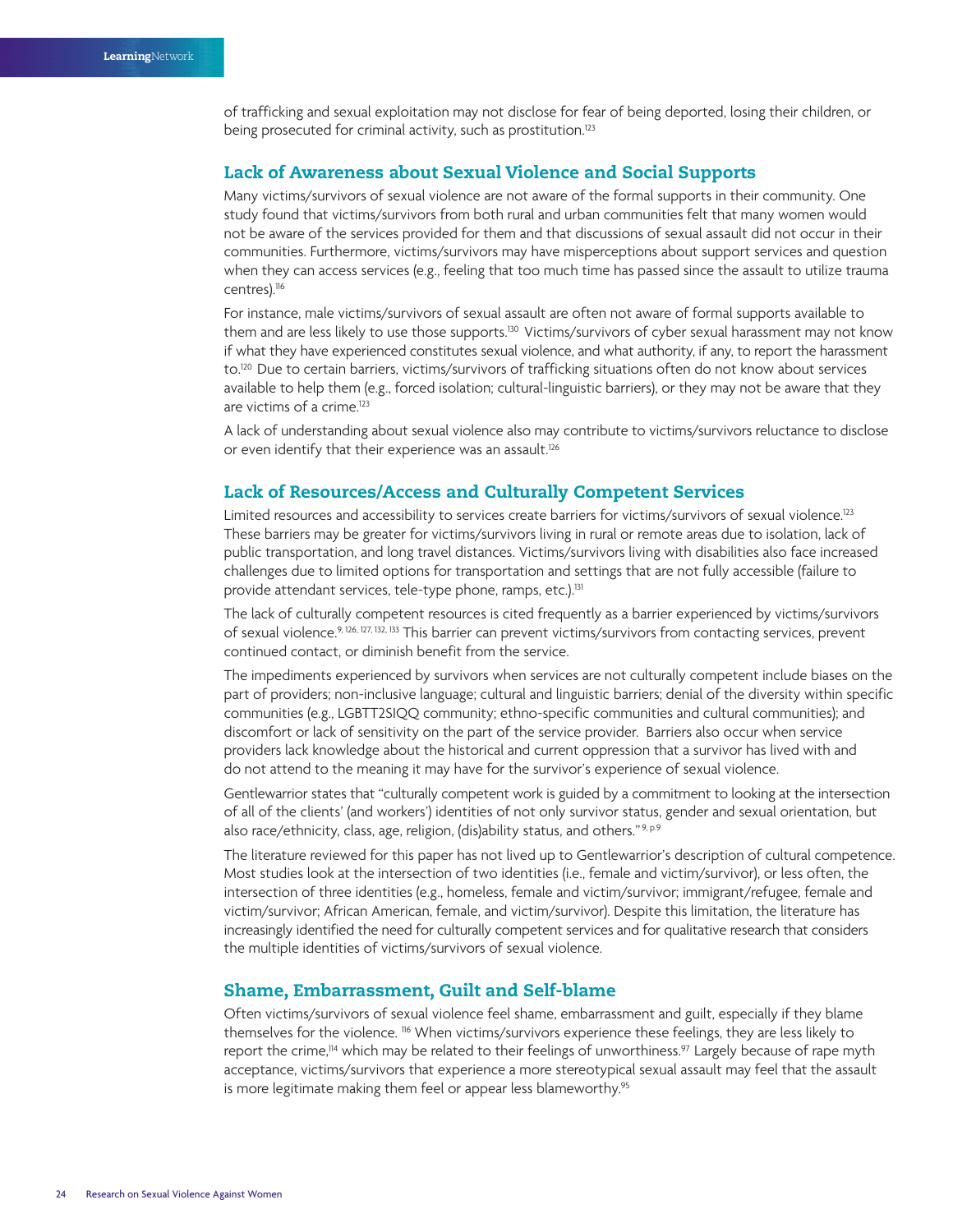of trafficking and sexual exploitation may not disclose for fear of being deported, losing their children, or being prosecuted for criminal activity, such as prostitution.<sup>123</sup>

#### **Lack of Awareness about Sexual Violence and Social Supports**

Many victims/survivors of sexual violence are not aware of the formal supports in their community. One study found that victims/survivors from both rural and urban communities felt that many women would not be aware of the services provided for them and that discussions of sexual assault did not occur in their communities. Furthermore, victims/survivors may have misperceptions about support services and question when they can access services (e.g., feeling that too much time has passed since the assault to utilize trauma centres).<sup>116</sup>

For instance, male victims/survivors of sexual assault are often not aware of formal supports available to them and are less likely to use those supports.130 Victims/survivors of cyber sexual harassment may not know if what they have experienced constitutes sexual violence, and what authority, if any, to report the harassment to.120 Due to certain barriers, victims/survivors of trafficking situations often do not know about services available to help them (e.g., forced isolation; cultural-linguistic barriers), or they may not be aware that they are victims of a crime.123

A lack of understanding about sexual violence also may contribute to victims/survivors reluctance to disclose or even identify that their experience was an assault.<sup>126</sup>

#### **Lack of Resources/Access and Culturally Competent Services**

Limited resources and accessibility to services create barriers for victims/survivors of sexual violence.<sup>123</sup> These barriers may be greater for victims/survivors living in rural or remote areas due to isolation, lack of public transportation, and long travel distances. Victims/survivors living with disabilities also face increased challenges due to limited options for transportation and settings that are not fully accessible (failure to provide attendant services, tele-type phone, ramps, etc.).<sup>131</sup>

The lack of culturally competent resources is cited frequently as a barrier experienced by victims/survivors of sexual violence.<sup>9, 126, 127, 132, 133</sup> This barrier can prevent victims/survivors from contacting services, prevent continued contact, or diminish benefit from the service.

The impediments experienced by survivors when services are not culturally competent include biases on the part of providers; non-inclusive language; cultural and linguistic barriers; denial of the diversity within specific communities (e.g., LGBTT2SIQQ community; ethno-specific communities and cultural communities); and discomfort or lack of sensitivity on the part of the service provider. Barriers also occur when service providers lack knowledge about the historical and current oppression that a survivor has lived with and do not attend to the meaning it may have for the survivor's experience of sexual violence.

Gentlewarrior states that "culturally competent work is guided by a commitment to looking at the intersection of all of the clients' (and workers') identities of not only survivor status, gender and sexual orientation, but also race/ethnicity, class, age, religion, (dis)ability status, and others."<sup>9, p.9</sup>

The literature reviewed for this paper has not lived up to Gentlewarrior's description of cultural competence. Most studies look at the intersection of two identities (i.e., female and victim/survivor), or less often, the intersection of three identities (e.g., homeless, female and victim/survivor; immigrant/refugee, female and victim/survivor; African American, female, and victim/survivor). Despite this limitation, the literature has increasingly identified the need for culturally competent services and for qualitative research that considers the multiple identities of victims/survivors of sexual violence.

#### **Shame, Embarrassment, Guilt and Self-blame**

Often victims/survivors of sexual violence feel shame, embarrassment and guilt, especially if they blame themselves for the violence. 116 When victims/survivors experience these feelings, they are less likely to report the crime,<sup>114</sup> which may be related to their feelings of unworthiness.<sup>97</sup> Largely because of rape myth acceptance, victims/survivors that experience a more stereotypical sexual assault may feel that the assault is more legitimate making them feel or appear less blameworthy.<sup>95</sup>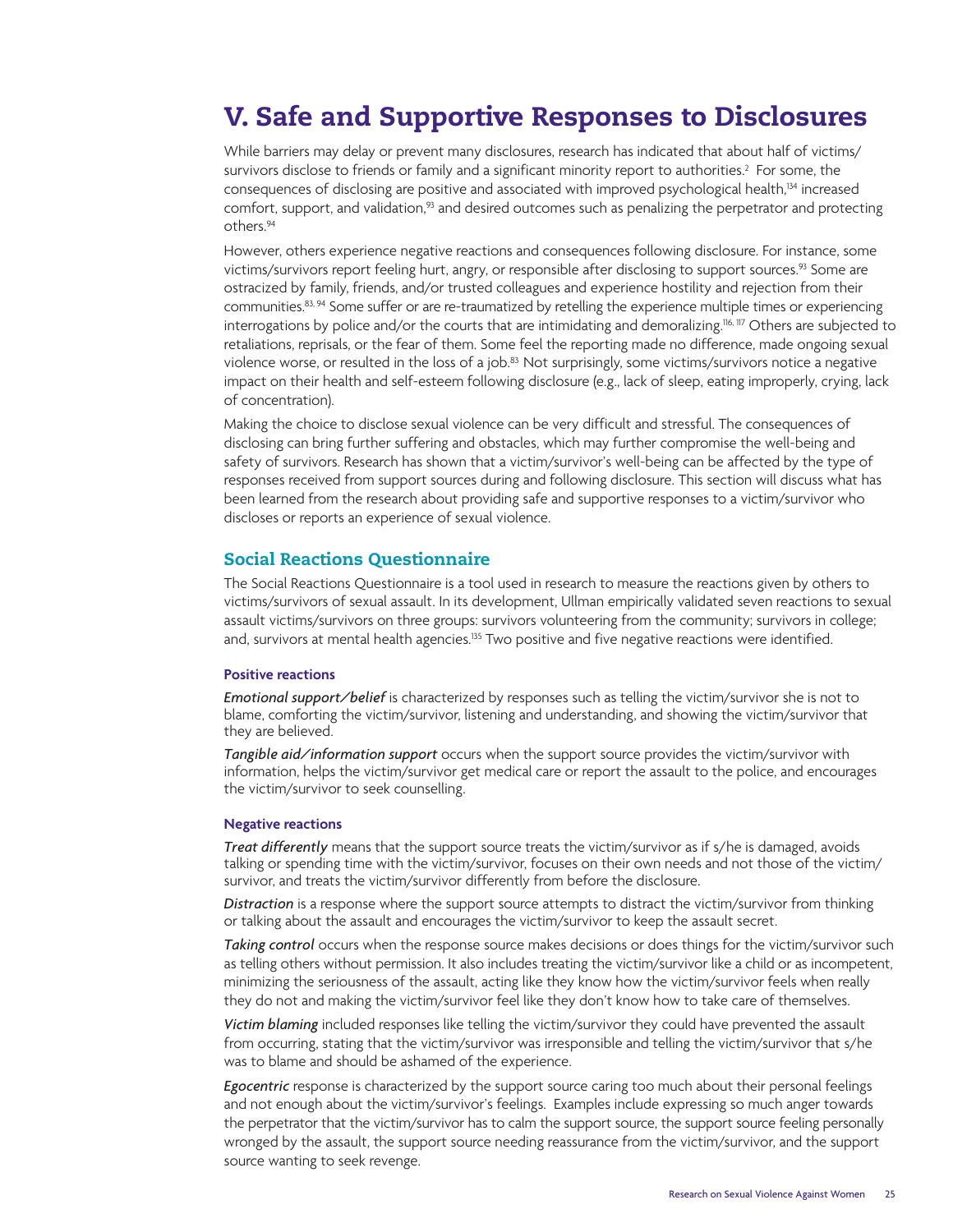# **V. Safe and Supportive Responses to Disclosures**

While barriers may delay or prevent many disclosures, research has indicated that about half of victims/ survivors disclose to friends or family and a significant minority report to authorities.<sup>2</sup> For some, the consequences of disclosing are positive and associated with improved psychological health,134 increased comfort, support, and validation,<sup>93</sup> and desired outcomes such as penalizing the perpetrator and protecting others.94

However, others experience negative reactions and consequences following disclosure. For instance, some victims/survivors report feeling hurt, angry, or responsible after disclosing to support sources.93 Some are ostracized by family, friends, and/or trusted colleagues and experience hostility and rejection from their communities.83, 94 Some suffer or are re-traumatized by retelling the experience multiple times or experiencing interrogations by police and/or the courts that are intimidating and demoralizing.116, 117 Others are subjected to retaliations, reprisals, or the fear of them. Some feel the reporting made no difference, made ongoing sexual violence worse, or resulted in the loss of a job.<sup>83</sup> Not surprisingly, some victims/survivors notice a negative impact on their health and self-esteem following disclosure (e.g., lack of sleep, eating improperly, crying, lack of concentration).

Making the choice to disclose sexual violence can be very difficult and stressful. The consequences of disclosing can bring further suffering and obstacles, which may further compromise the well-being and safety of survivors. Research has shown that a victim/survivor's well-being can be affected by the type of responses received from support sources during and following disclosure. This section will discuss what has been learned from the research about providing safe and supportive responses to a victim/survivor who discloses or reports an experience of sexual violence.

#### **Social Reactions Questionnaire**

The Social Reactions Questionnaire is a tool used in research to measure the reactions given by others to victims/survivors of sexual assault. In its development, Ullman empirically validated seven reactions to sexual assault victims/survivors on three groups: survivors volunteering from the community; survivors in college; and, survivors at mental health agencies.<sup>135</sup> Two positive and five negative reactions were identified.

#### **Positive reactions**

*Emotional support/belief* is characterized by responses such as telling the victim/survivor she is not to blame, comforting the victim/survivor, listening and understanding, and showing the victim/survivor that they are believed.

*Tangible aid/information support* occurs when the support source provides the victim/survivor with information, helps the victim/survivor get medical care or report the assault to the police, and encourages the victim/survivor to seek counselling.

#### **Negative reactions**

*Treat differently* means that the support source treats the victim/survivor as if s/he is damaged, avoids talking or spending time with the victim/survivor, focuses on their own needs and not those of the victim/ survivor, and treats the victim/survivor differently from before the disclosure.

*Distraction* is a response where the support source attempts to distract the victim/survivor from thinking or talking about the assault and encourages the victim/survivor to keep the assault secret.

*Taking control* occurs when the response source makes decisions or does things for the victim/survivor such as telling others without permission. It also includes treating the victim/survivor like a child or as incompetent, minimizing the seriousness of the assault, acting like they know how the victim/survivor feels when really they do not and making the victim/survivor feel like they don't know how to take care of themselves.

*Victim blaming* included responses like telling the victim/survivor they could have prevented the assault from occurring, stating that the victim/survivor was irresponsible and telling the victim/survivor that s/he was to blame and should be ashamed of the experience.

*Egocentric* response is characterized by the support source caring too much about their personal feelings and not enough about the victim/survivor's feelings. Examples include expressing so much anger towards the perpetrator that the victim/survivor has to calm the support source, the support source feeling personally wronged by the assault, the support source needing reassurance from the victim/survivor, and the support source wanting to seek revenge.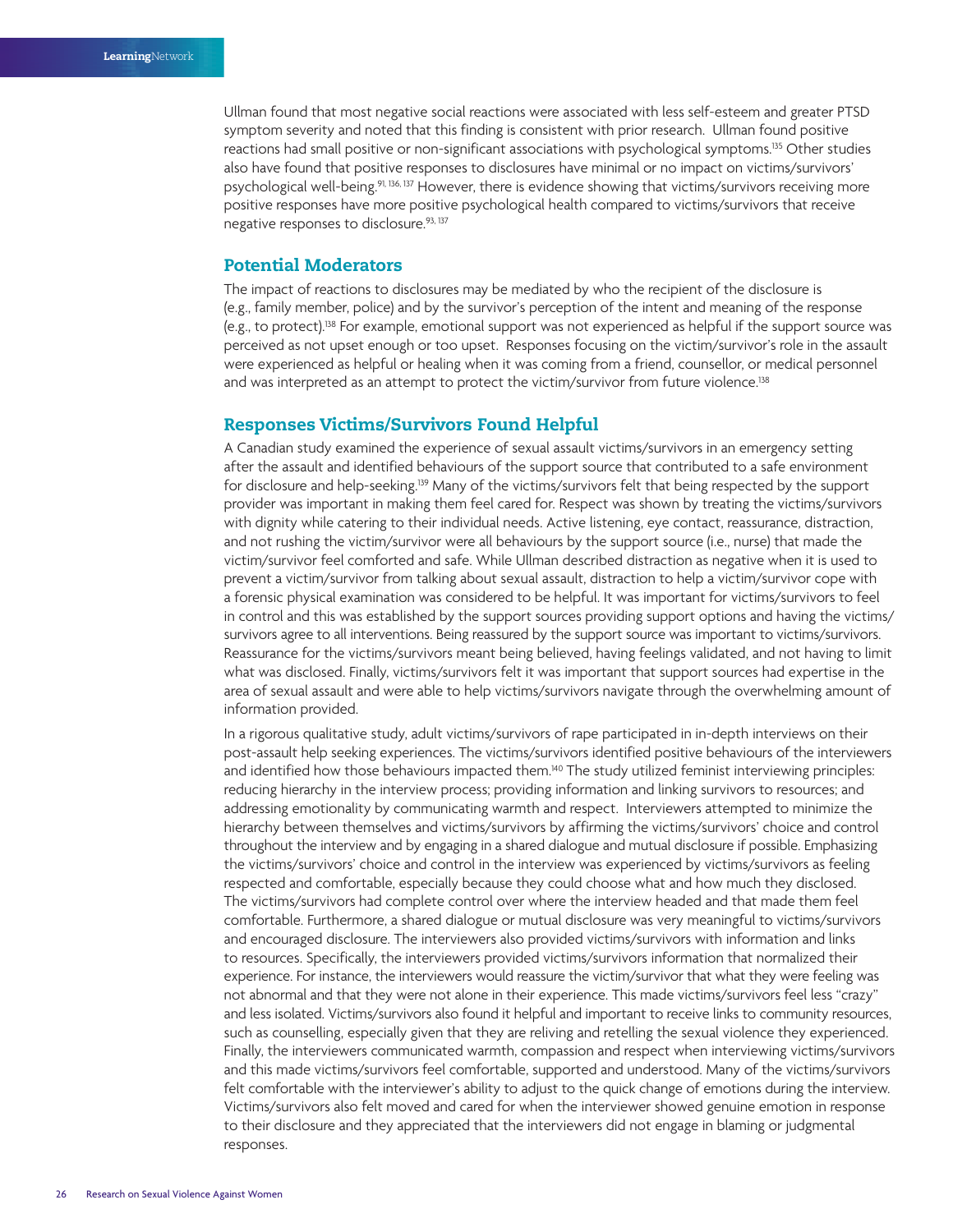Ullman found that most negative social reactions were associated with less self-esteem and greater PTSD symptom severity and noted that this finding is consistent with prior research. Ullman found positive reactions had small positive or non-significant associations with psychological symptoms.<sup>135</sup> Other studies also have found that positive responses to disclosures have minimal or no impact on victims/survivors' psychological well-being.91, 136, 137 However, there is evidence showing that victims/survivors receiving more positive responses have more positive psychological health compared to victims/survivors that receive negative responses to disclosure.93, 137

#### **Potential Moderators**

The impact of reactions to disclosures may be mediated by who the recipient of the disclosure is (e.g., family member, police) and by the survivor's perception of the intent and meaning of the response (e.g., to protect).138 For example, emotional support was not experienced as helpful if the support source was perceived as not upset enough or too upset. Responses focusing on the victim/survivor's role in the assault were experienced as helpful or healing when it was coming from a friend, counsellor, or medical personnel and was interpreted as an attempt to protect the victim/survivor from future violence.<sup>138</sup>

#### **Responses Victims/Survivors Found Helpful**

A Canadian study examined the experience of sexual assault victims/survivors in an emergency setting after the assault and identified behaviours of the support source that contributed to a safe environment for disclosure and help-seeking.139 Many of the victims/survivors felt that being respected by the support provider was important in making them feel cared for. Respect was shown by treating the victims/survivors with dignity while catering to their individual needs. Active listening, eye contact, reassurance, distraction, and not rushing the victim/survivor were all behaviours by the support source (i.e., nurse) that made the victim/survivor feel comforted and safe. While Ullman described distraction as negative when it is used to prevent a victim/survivor from talking about sexual assault, distraction to help a victim/survivor cope with a forensic physical examination was considered to be helpful. It was important for victims/survivors to feel in control and this was established by the support sources providing support options and having the victims/ survivors agree to all interventions. Being reassured by the support source was important to victims/survivors. Reassurance for the victims/survivors meant being believed, having feelings validated, and not having to limit what was disclosed. Finally, victims/survivors felt it was important that support sources had expertise in the area of sexual assault and were able to help victims/survivors navigate through the overwhelming amount of information provided.

In a rigorous qualitative study, adult victims/survivors of rape participated in in-depth interviews on their post-assault help seeking experiences. The victims/survivors identified positive behaviours of the interviewers and identified how those behaviours impacted them.<sup>140</sup> The study utilized feminist interviewing principles: reducing hierarchy in the interview process; providing information and linking survivors to resources; and addressing emotionality by communicating warmth and respect. Interviewers attempted to minimize the hierarchy between themselves and victims/survivors by affirming the victims/survivors' choice and control throughout the interview and by engaging in a shared dialogue and mutual disclosure if possible. Emphasizing the victims/survivors' choice and control in the interview was experienced by victims/survivors as feeling respected and comfortable, especially because they could choose what and how much they disclosed. The victims/survivors had complete control over where the interview headed and that made them feel comfortable. Furthermore, a shared dialogue or mutual disclosure was very meaningful to victims/survivors and encouraged disclosure. The interviewers also provided victims/survivors with information and links to resources. Specifically, the interviewers provided victims/survivors information that normalized their experience. For instance, the interviewers would reassure the victim/survivor that what they were feeling was not abnormal and that they were not alone in their experience. This made victims/survivors feel less "crazy" and less isolated. Victims/survivors also found it helpful and important to receive links to community resources, such as counselling, especially given that they are reliving and retelling the sexual violence they experienced. Finally, the interviewers communicated warmth, compassion and respect when interviewing victims/survivors and this made victims/survivors feel comfortable, supported and understood. Many of the victims/survivors felt comfortable with the interviewer's ability to adjust to the quick change of emotions during the interview. Victims/survivors also felt moved and cared for when the interviewer showed genuine emotion in response to their disclosure and they appreciated that the interviewers did not engage in blaming or judgmental responses.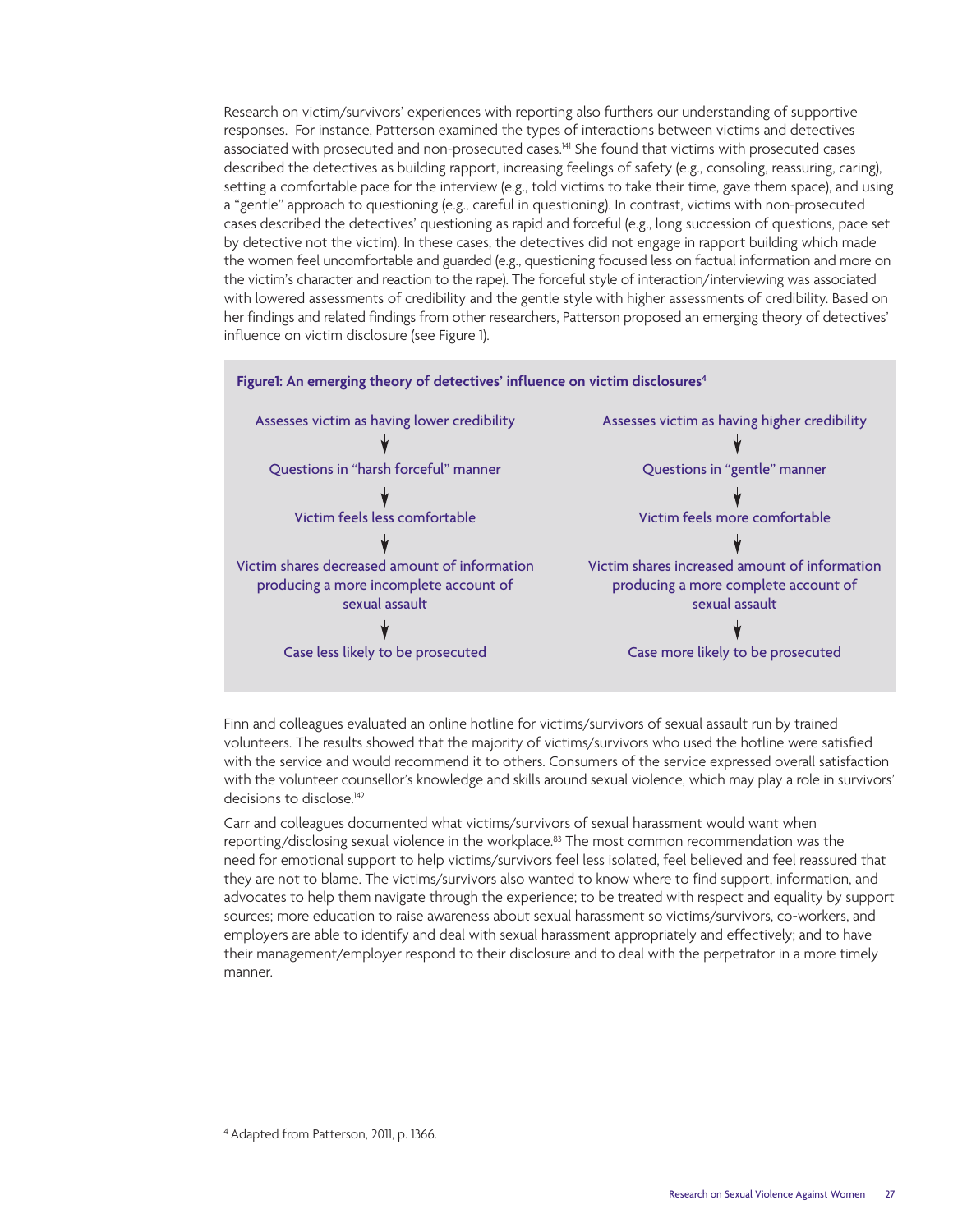Research on victim/survivors' experiences with reporting also furthers our understanding of supportive responses. For instance, Patterson examined the types of interactions between victims and detectives associated with prosecuted and non-prosecuted cases.<sup>141</sup> She found that victims with prosecuted cases described the detectives as building rapport, increasing feelings of safety (e.g., consoling, reassuring, caring), setting a comfortable pace for the interview (e.g., told victims to take their time, gave them space), and using a "gentle" approach to questioning (e.g., careful in questioning). In contrast, victims with non-prosecuted cases described the detectives' questioning as rapid and forceful (e.g., long succession of questions, pace set by detective not the victim). In these cases, the detectives did not engage in rapport building which made the women feel uncomfortable and guarded (e.g., questioning focused less on factual information and more on the victim's character and reaction to the rape). The forceful style of interaction/interviewing was associated with lowered assessments of credibility and the gentle style with higher assessments of credibility. Based on her findings and related findings from other researchers, Patterson proposed an emerging theory of detectives' influence on victim disclosure (see Figure 1).



Finn and colleagues evaluated an online hotline for victims/survivors of sexual assault run by trained volunteers. The results showed that the majority of victims/survivors who used the hotline were satisfied with the service and would recommend it to others. Consumers of the service expressed overall satisfaction with the volunteer counsellor's knowledge and skills around sexual violence, which may play a role in survivors' decisions to disclose.<sup>142</sup>

Carr and colleagues documented what victims/survivors of sexual harassment would want when reporting/disclosing sexual violence in the workplace.<sup>83</sup> The most common recommendation was the need for emotional support to help victims/survivors feel less isolated, feel believed and feel reassured that they are not to blame. The victims/survivors also wanted to know where to find support, information, and advocates to help them navigate through the experience; to be treated with respect and equality by support sources; more education to raise awareness about sexual harassment so victims/survivors, co-workers, and employers are able to identify and deal with sexual harassment appropriately and effectively; and to have their management/employer respond to their disclosure and to deal with the perpetrator in a more timely manner.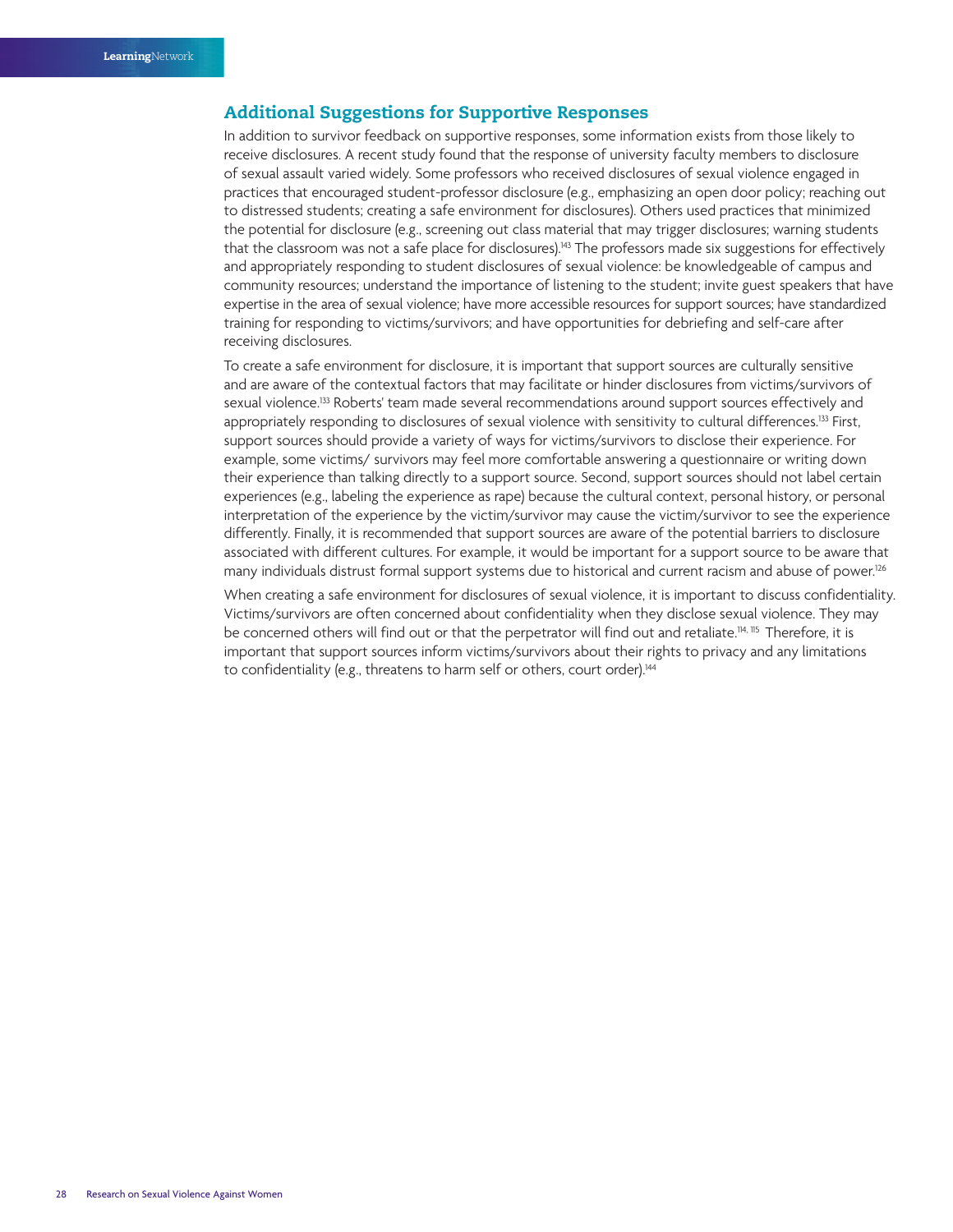#### **Additional Suggestions for Supportive Responses**

In addition to survivor feedback on supportive responses, some information exists from those likely to receive disclosures. A recent study found that the response of university faculty members to disclosure of sexual assault varied widely. Some professors who received disclosures of sexual violence engaged in practices that encouraged student-professor disclosure (e.g., emphasizing an open door policy; reaching out to distressed students; creating a safe environment for disclosures). Others used practices that minimized the potential for disclosure (e.g., screening out class material that may trigger disclosures; warning students that the classroom was not a safe place for disclosures).<sup>143</sup> The professors made six suggestions for effectively and appropriately responding to student disclosures of sexual violence: be knowledgeable of campus and community resources; understand the importance of listening to the student; invite guest speakers that have expertise in the area of sexual violence; have more accessible resources for support sources; have standardized training for responding to victims/survivors; and have opportunities for debriefing and self-care after receiving disclosures.

To create a safe environment for disclosure, it is important that support sources are culturally sensitive and are aware of the contextual factors that may facilitate or hinder disclosures from victims/survivors of sexual violence.<sup>133</sup> Roberts' team made several recommendations around support sources effectively and appropriately responding to disclosures of sexual violence with sensitivity to cultural differences.133 First, support sources should provide a variety of ways for victims/survivors to disclose their experience. For example, some victims/ survivors may feel more comfortable answering a questionnaire or writing down their experience than talking directly to a support source. Second, support sources should not label certain experiences (e.g., labeling the experience as rape) because the cultural context, personal history, or personal interpretation of the experience by the victim/survivor may cause the victim/survivor to see the experience differently. Finally, it is recommended that support sources are aware of the potential barriers to disclosure associated with different cultures. For example, it would be important for a support source to be aware that many individuals distrust formal support systems due to historical and current racism and abuse of power.126

When creating a safe environment for disclosures of sexual violence, it is important to discuss confidentiality. Victims/survivors are often concerned about confidentiality when they disclose sexual violence. They may be concerned others will find out or that the perpetrator will find out and retaliate.<sup>114, 115</sup> Therefore, it is important that support sources inform victims/survivors about their rights to privacy and any limitations to confidentiality (e.g., threatens to harm self or others, court order).<sup>144</sup>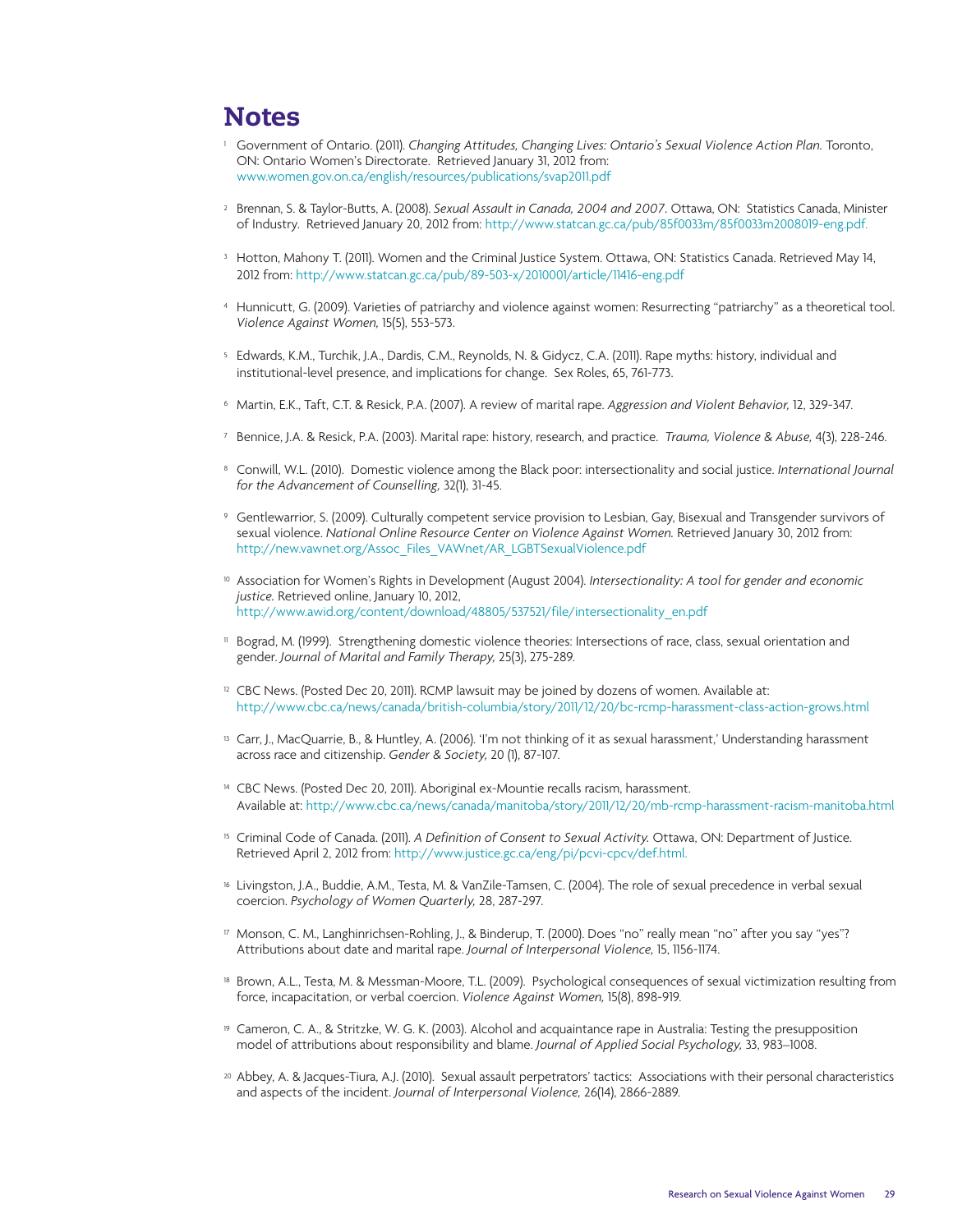# **Notes**

- <sup>1</sup> Government of Ontario. (2011). *Changing Attitudes, Changing Lives: Ontario's Sexual Violence Action Plan.* Toronto, ON: Ontario Women's Directorate. Retrieved January 31, 2012 from: www.women.gov.on.ca/english/resources/publications/svap2011.pdf
- <sup>2</sup> Brennan, S. & Taylor-Butts, A. (2008). *Sexual Assault in Canada, 2004 and 2007.* Ottawa, ON: Statistics Canada, Minister of Industry. Retrieved January 20, 2012 from: http://www.statcan.gc.ca/pub/85f0033m/85f0033m2008019-eng.pdf.
- <sup>3</sup> Hotton, Mahony T. (2011). Women and the Criminal Justice System. Ottawa, ON: Statistics Canada. Retrieved May 14, 2012 from: http://www.statcan.gc.ca/pub/89-503-x/2010001/article/11416-eng.pdf
- <sup>4</sup> Hunnicutt, G. (2009). Varieties of patriarchy and violence against women: Resurrecting "patriarchy" as a theoretical tool. *Violence Against Women,* 15(5), 553-573.
- <sup>5</sup> Edwards, K.M., Turchik, J.A., Dardis, C.M., Reynolds, N. & Gidycz, C.A. (2011). Rape myths: history, individual and institutional-level presence, and implications for change. Sex Roles, 65, 761-773.
- <sup>6</sup> Martin, E.K., Taft, C.T. & Resick, P.A. (2007). A review of marital rape. *Aggression and Violent Behavior,* 12, 329-347.
- <sup>7</sup> Bennice, J.A. & Resick, P.A. (2003). Marital rape: history, research, and practice. *Trauma, Violence & Abuse,* 4(3), 228-246.
- <sup>8</sup> Conwill, W.L. (2010). Domestic violence among the Black poor: intersectionality and social justice. *International Journal for the Advancement of Counselling,* 32(1), 31-45.
- <sup>9</sup> Gentlewarrior, S. (2009). Culturally competent service provision to Lesbian, Gay, Bisexual and Transgender survivors of sexual violence. *National Online Resource Center on Violence Against Women.* Retrieved January 30, 2012 from: http://new.vawnet.org/Assoc\_Files\_VAWnet/AR\_LGBTSexualViolence.pdf
- <sup>10</sup> Association for Women's Rights in Development (August 2004). *Intersectionality: A tool for gender and economic justice.* Retrieved online, January 10, 2012, http://www.awid.org/content/download/48805/537521/file/intersectionality\_en.pdf
- <sup>11</sup> Bograd, M. (1999). Strengthening domestic violence theories: Intersections of race, class, sexual orientation and gender. *Journal of Marital and Family Therapy,* 25(3), 275-289.
- <sup>12</sup> CBC News. (Posted Dec 20, 2011). RCMP lawsuit may be joined by dozens of women. Available at: http://www.cbc.ca/news/canada/british-columbia/story/2011/12/20/bc-rcmp-harassment-class-action-grows.html
- <sup>13</sup> Carr, J., MacQuarrie, B., & Huntley, A. (2006). 'I'm not thinking of it as sexual harassment,' Understanding harassment across race and citizenship. *Gender & Society,* 20 (1), 87-107.
- <sup>14</sup> CBC News. (Posted Dec 20, 2011). Aboriginal ex-Mountie recalls racism, harassment. Available at: http://www.cbc.ca/news/canada/manitoba/story/2011/12/20/mb-rcmp-harassment-racism-manitoba.html
- <sup>15</sup> Criminal Code of Canada. (2011). *A Definition of Consent to Sexual Activity.* Ottawa, ON: Department of Justice. Retrieved April 2, 2012 from: http://www.justice.gc.ca/eng/pi/pcvi-cpcv/def.html.
- <sup>16</sup> Livingston, J.A., Buddie, A.M., Testa, M. & VanZile-Tamsen, C. (2004). The role of sexual precedence in verbal sexual coercion. *Psychology of Women Quarterly,* 28, 287-297.
- <sup>17</sup> Monson, C. M., Langhinrichsen-Rohling, J., & Binderup, T. (2000). Does "no" really mean "no" after you say "yes"? Attributions about date and marital rape. *Journal of Interpersonal Violence,* 15, 1156-1174.
- <sup>18</sup> Brown, A.L., Testa, M. & Messman-Moore, T.L. (2009). Psychological consequences of sexual victimization resulting from force, incapacitation, or verbal coercion. *Violence Against Women,* 15(8), 898-919.
- <sup>19</sup> Cameron, C. A., & Stritzke, W. G. K. (2003). Alcohol and acquaintance rape in Australia: Testing the presupposition model of attributions about responsibility and blame. *Journal of Applied Social Psychology,* 33, 983–1008.
- <sup>20</sup> Abbey, A. & Jacques-Tiura, A.J. (2010). Sexual assault perpetrators' tactics: Associations with their personal characteristics and aspects of the incident. *Journal of Interpersonal Violence,* 26(14), 2866-2889.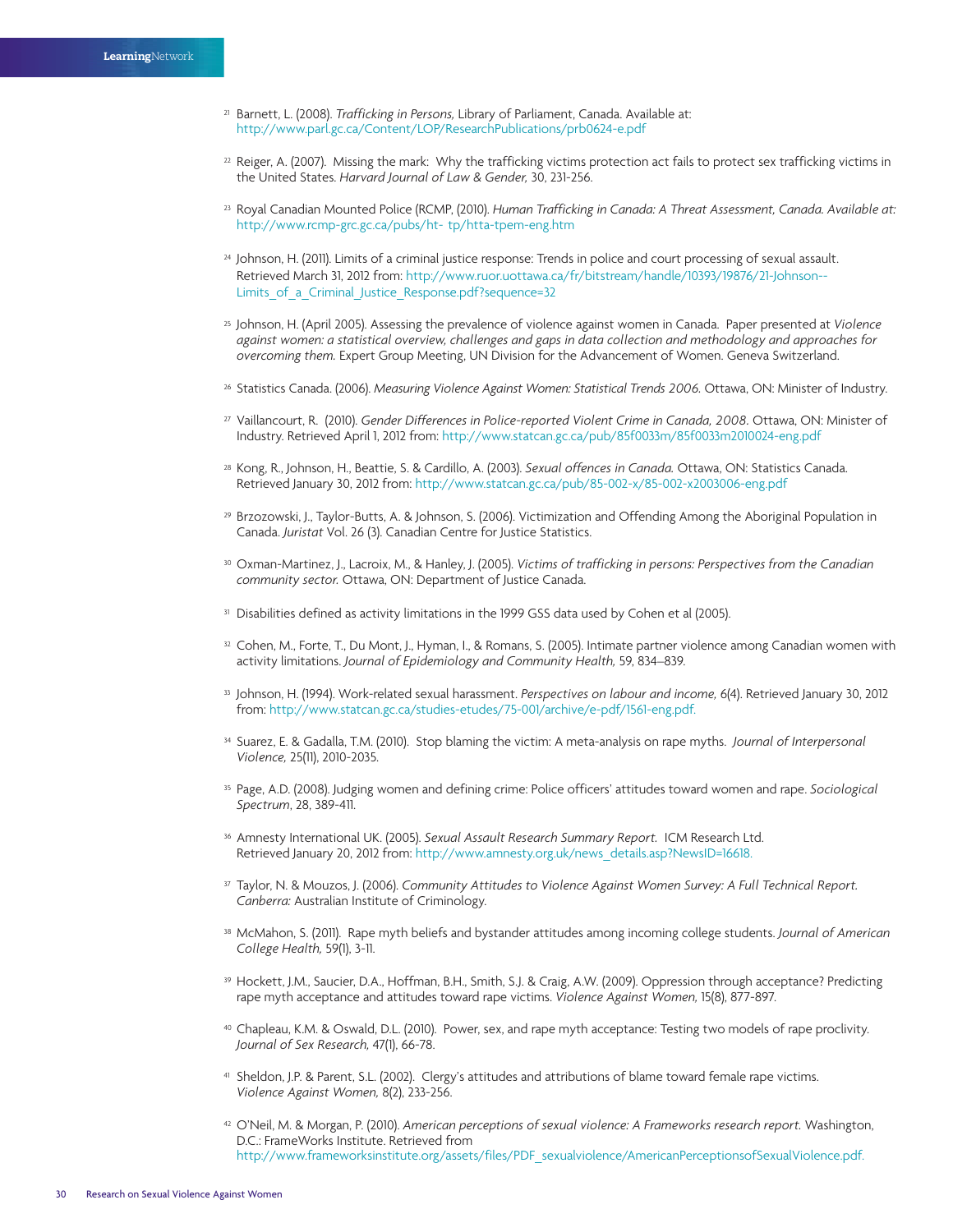- <sup>21</sup> Barnett, L. (2008). *Trafficking in Persons,* Library of Parliament, Canada. Available at: http://www.parl.gc.ca/Content/LOP/ResearchPublications/prb0624-e.pdf
- $22$  Reiger, A. (2007). Missing the mark: Why the trafficking victims protection act fails to protect sex trafficking victims in the United States. *Harvard Journal of Law & Gender,* 30, 231-256.
- <sup>23</sup> Royal Canadian Mounted Police (RCMP, (2010). *Human Trafficking in Canada: A Threat Assessment, Canada. Available at:* http://www.rcmp-grc.gc.ca/pubs/ht- tp/htta-tpem-eng.htm
- <sup>24</sup> Johnson, H. (2011). Limits of a criminal justice response: Trends in police and court processing of sexual assault. Retrieved March 31, 2012 from: http://www.ruor.uottawa.ca/fr/bitstream/handle/10393/19876/21-Johnson-- Limits\_of\_a\_Criminal\_Justice\_Response.pdf?sequence=32
- <sup>25</sup> Johnson, H. (April 2005). Assessing the prevalence of violence against women in Canada. Paper presented at *Violence against women: a statistical overview, challenges and gaps in data collection and methodology and approaches for overcoming them.* Expert Group Meeting, UN Division for the Advancement of Women. Geneva Switzerland.
- <sup>26</sup> Statistics Canada. (2006). *Measuring Violence Against Women: Statistical Trends 2006.* Ottawa, ON: Minister of Industry.
- <sup>27</sup> Vaillancourt, R. (2010). *Gender Differences in Police-reported Violent Crime in Canada, 2008.* Ottawa, ON: Minister of Industry. Retrieved April 1, 2012 from: http://www.statcan.gc.ca/pub/85f0033m/85f0033m2010024-eng.pdf
- <sup>28</sup> Kong, R., Johnson, H., Beattie, S. & Cardillo, A. (2003). *Sexual offences in Canada.* Ottawa, ON: Statistics Canada. Retrieved January 30, 2012 from: http://www.statcan.gc.ca/pub/85-002-x/85-002-x2003006-eng.pdf
- <sup>29</sup> Brzozowski, J., Taylor-Butts, A. & Johnson, S. (2006). Victimization and Offending Among the Aboriginal Population in Canada. *Juristat* Vol. 26 (3). Canadian Centre for Justice Statistics.
- <sup>30</sup> Oxman-Martinez, J., Lacroix, M., & Hanley, J. (2005). *Victims of trafficking in persons: Perspectives from the Canadian community sector.* Ottawa, ON: Department of Justice Canada.
- 31 Disabilities defined as activity limitations in the 1999 GSS data used by Cohen et al (2005).
- 32 Cohen, M., Forte, T., Du Mont, J., Hyman, I., & Romans, S. (2005). Intimate partner violence among Canadian women with activity limitations. *Journal of Epidemiology and Community Health,* 59, 834–839.
- <sup>33</sup> Johnson, H. (1994). Work-related sexual harassment. *Perspectives on labour and income,* 6(4). Retrieved January 30, 2012 from: http://www.statcan.gc.ca/studies-etudes/75-001/archive/e-pdf/1561-eng.pdf.
- <sup>34</sup> Suarez, E. & Gadalla, T.M. (2010). Stop blaming the victim: A meta-analysis on rape myths. *Journal of Interpersonal Violence,* 25(11), 2010-2035.
- <sup>35</sup> Page, A.D. (2008). Judging women and defining crime: Police officers' attitudes toward women and rape. *Sociological Spectrum*, 28, 389-411.
- <sup>36</sup> Amnesty International UK. (2005). *Sexual Assault Research Summary Report.* ICM Research Ltd. Retrieved January 20, 2012 from: http://www.amnesty.org.uk/news\_details.asp?NewsID=16618.
- <sup>37</sup> Taylor, N. & Mouzos, J. (2006). *Community Attitudes to Violence Against Women Survey: A Full Technical Report. Canberra:* Australian Institute of Criminology.
- <sup>38</sup> McMahon, S. (2011). Rape myth beliefs and bystander attitudes among incoming college students. *Journal of American College Health,* 59(1), 3-11.
- <sup>39</sup> Hockett, J.M., Saucier, D.A., Hoffman, B.H., Smith, S.J. & Craig, A.W. (2009). Oppression through acceptance? Predicting rape myth acceptance and attitudes toward rape victims. *Violence Against Women,* 15(8), 877-897.
- <sup>40</sup> Chapleau, K.M. & Oswald, D.L. (2010). Power, sex, and rape myth acceptance: Testing two models of rape proclivity. *Journal of Sex Research,* 47(1), 66-78.
- <sup>41</sup> Sheldon, J.P. & Parent, S.L. (2002). Clergy's attitudes and attributions of blame toward female rape victims. *Violence Against Women,* 8(2), 233-256.
- <sup>42</sup> O'Neil, M. & Morgan, P. (2010). *American perceptions of sexual violence: A Frameworks research report.* Washington, D.C.: FrameWorks Institute. Retrieved from http://www.frameworksinstitute.org/assets/files/PDF\_sexualviolence/AmericanPerceptionsofSexualViolence.pdf.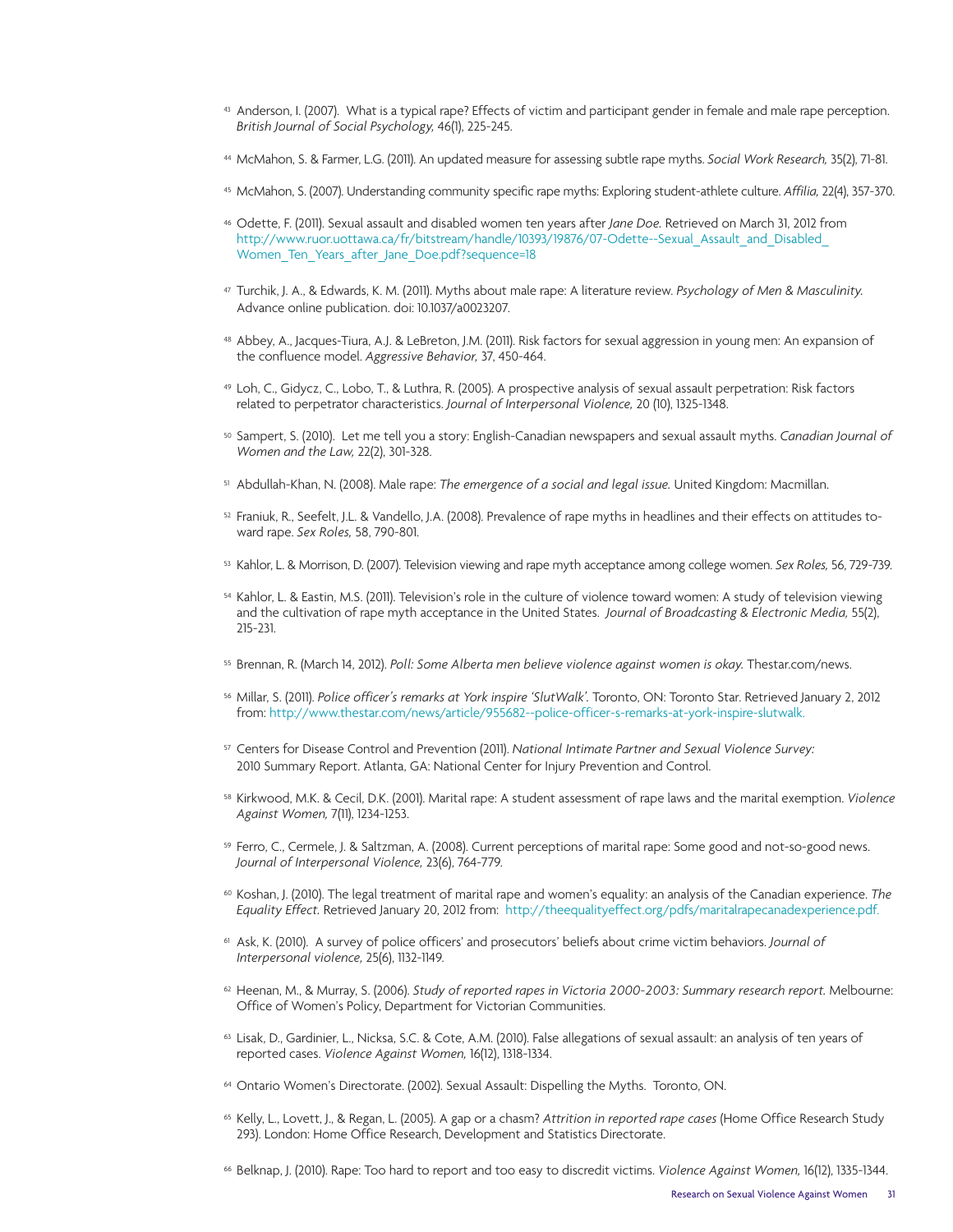- <sup>43</sup> Anderson, I. (2007). What is a typical rape? Effects of victim and participant gender in female and male rape perception. *British Journal of Social Psychology,* 46(1), 225-245.
- <sup>44</sup> McMahon, S. & Farmer, L.G. (2011). An updated measure for assessing subtle rape myths. *Social Work Research,* 35(2), 71-81.
- <sup>45</sup> McMahon, S. (2007). Understanding community specific rape myths: Exploring student-athlete culture. *Affilia,* 22(4), 357-370.
- <sup>46</sup> Odette, F. (2011). Sexual assault and disabled women ten years after *Jane Doe.* Retrieved on March 31, 2012 from http://www.ruor.uottawa.ca/fr/bitstream/handle/10393/19876/07-Odette--Sexual\_Assault\_and\_Disabled\_ Women Ten Years after Jane Doe.pdf?sequence=18
- <sup>47</sup> Turchik, J. A., & Edwards, K. M. (2011). Myths about male rape: A literature review. *Psychology of Men & Masculinity.*  Advance online publication. doi: 10.1037/a0023207.
- <sup>48</sup> Abbey, A., Jacques-Tiura, A.J. & LeBreton, J.M. (2011). Risk factors for sexual aggression in young men: An expansion of the confluence model. *Aggressive Behavior,* 37, 450-464.
- <sup>49</sup> Loh, C., Gidycz, C., Lobo, T., & Luthra, R. (2005). A prospective analysis of sexual assault perpetration: Risk factors related to perpetrator characteristics. *Journal of Interpersonal Violence,* 20 (10), 1325-1348.
- <sup>50</sup> Sampert, S. (2010). Let me tell you a story: English-Canadian newspapers and sexual assault myths. *Canadian Journal of Women and the Law,* 22(2), 301-328.
- <sup>51</sup> Abdullah-Khan, N. (2008). Male rape: *The emergence of a social and legal issue.* United Kingdom: Macmillan.
- <sup>52</sup> Franiuk, R., Seefelt, J.L. & Vandello, J.A. (2008). Prevalence of rape myths in headlines and their effects on attitudes toward rape. *Sex Roles,* 58, 790-801.
- <sup>53</sup> Kahlor, L. & Morrison, D. (2007). Television viewing and rape myth acceptance among college women. *Sex Roles,* 56, 729-739.
- 54 Kahlor, L. & Eastin, M.S. (2011). Television's role in the culture of violence toward women: A study of television viewing and the cultivation of rape myth acceptance in the United States. *Journal of Broadcasting & Electronic Media,* 55(2), 215-231.
- <sup>55</sup> Brennan, R. (March 14, 2012). *Poll: Some Alberta men believe violence against women is okay.* Thestar.com/news.
- <sup>56</sup> Millar, S. (2011). *Police officer's remarks at York inspire 'SlutWalk'.* Toronto, ON: Toronto Star. Retrieved January 2, 2012 from: http://www.thestar.com/news/article/955682--police-officer-s-remarks-at-york-inspire-slutwalk.
- <sup>57</sup> Centers for Disease Control and Prevention (2011). *National Intimate Partner and Sexual Violence Survey:* 2010 Summary Report. Atlanta, GA: National Center for Injury Prevention and Control.
- <sup>58</sup> Kirkwood, M.K. & Cecil, D.K. (2001). Marital rape: A student assessment of rape laws and the marital exemption. *Violence Against Women,* 7(11), 1234-1253.
- <sup>59</sup> Ferro, C., Cermele, J. & Saltzman, A. (2008). Current perceptions of marital rape: Some good and not-so-good news. *Journal of Interpersonal Violence,* 23(6), 764-779.
- <sup>60</sup> Koshan, J. (2010). The legal treatment of marital rape and women's equality: an analysis of the Canadian experience. *The Equality Effect.* Retrieved January 20, 2012 from: http://theequalityeffect.org/pdfs/maritalrapecanadexperience.pdf.
- <sup>61</sup> Ask, K. (2010). A survey of police officers' and prosecutors' beliefs about crime victim behaviors. *Journal of Interpersonal violence,* 25(6), 1132-1149.
- <sup>62</sup> Heenan, M., & Murray, S. (2006). *Study of reported rapes in Victoria 2000-2003: Summary research report.* Melbourne: Office of Women's Policy, Department for Victorian Communities.
- <sup>63</sup> Lisak, D., Gardinier, L., Nicksa, S.C. & Cote, A.M. (2010). False allegations of sexual assault: an analysis of ten years of reported cases. *Violence Against Women,* 16(12), 1318-1334.
- <sup>64</sup> Ontario Women's Directorate. (2002). Sexual Assault: Dispelling the Myths. Toronto, ON.
- <sup>65</sup> Kelly, L., Lovett, J., & Regan, L. (2005). A gap or a chasm? *Attrition in reported rape cases* (Home Office Research Study 293). London: Home Office Research, Development and Statistics Directorate.
- <sup>66</sup> Belknap, J. (2010). Rape: Too hard to report and too easy to discredit victims. *Violence Against Women,* 16(12), 1335-1344.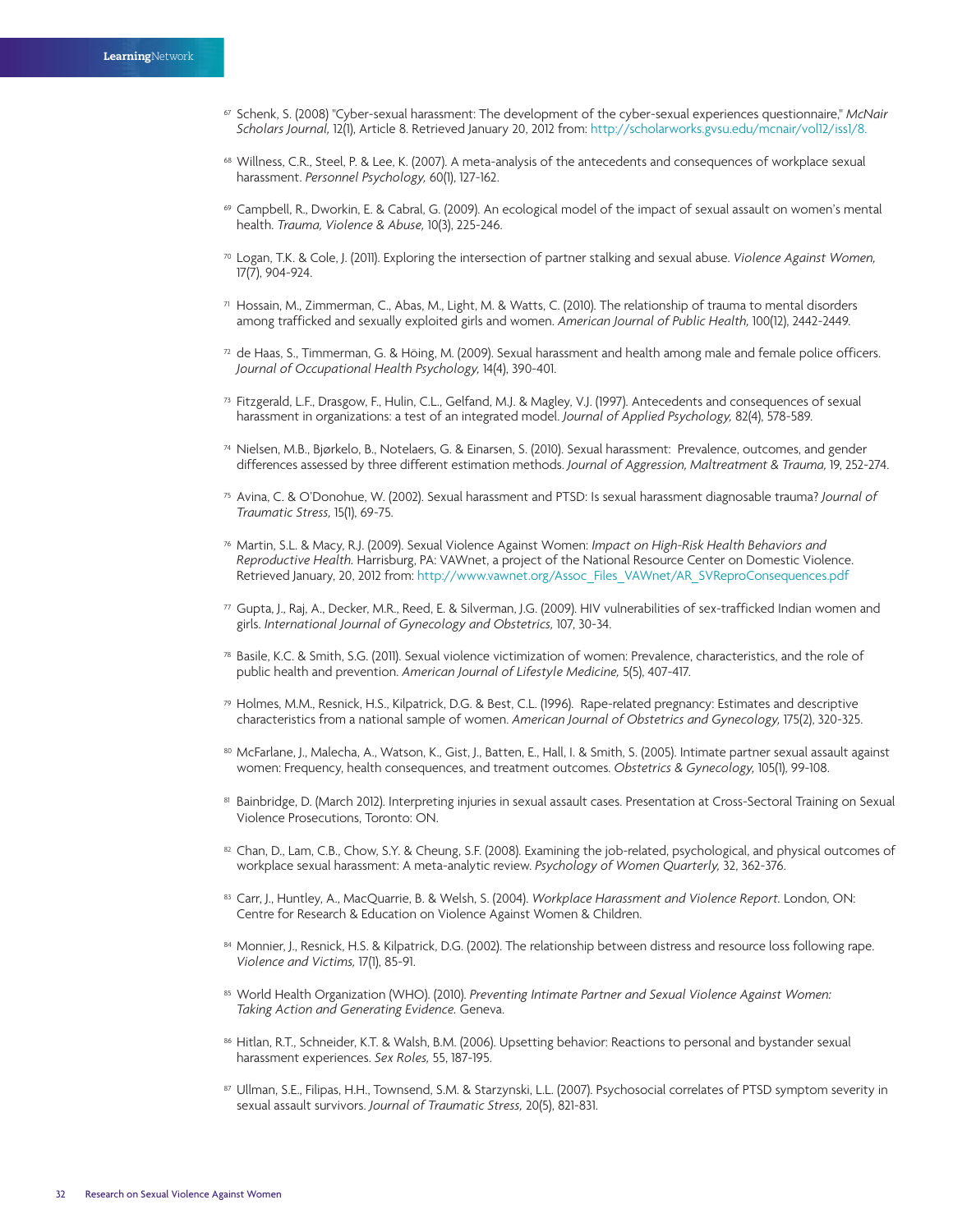- <sup>67</sup> Schenk, S. (2008) "Cyber-sexual harassment: The development of the cyber-sexual experiences questionnaire," *McNair Scholars Journal,* 12(1), Article 8. Retrieved January 20, 2012 from: http://scholarworks.gvsu.edu/mcnair/vol12/iss1/8.
- 68 Willness, C.R., Steel, P. & Lee, K. (2007). A meta-analysis of the antecedents and consequences of workplace sexual harassment. *Personnel Psychology,* 60(1), 127-162.
- <sup>69</sup> Campbell, R., Dworkin, E. & Cabral, G. (2009). An ecological model of the impact of sexual assault on women's mental health. *Trauma, Violence & Abuse,* 10(3), 225-246.
- <sup>70</sup> Logan, T.K. & Cole, J. (2011). Exploring the intersection of partner stalking and sexual abuse. *Violence Against Women,* 17(7), 904-924.
- <sup>71</sup> Hossain, M., Zimmerman, C., Abas, M., Light, M. & Watts, C. (2010). The relationship of trauma to mental disorders among trafficked and sexually exploited girls and women. *American Journal of Public Health,* 100(12), 2442-2449.
- $\alpha$  de Haas, S., Timmerman, G. & Höing, M. (2009). Sexual harassment and health among male and female police officers. *Journal of Occupational Health Psychology,* 14(4), 390-401.
- <sup>73</sup> Fitzgerald, L.F., Drasgow, F., Hulin, C.L., Gelfand, M.J. & Magley, V.J. (1997). Antecedents and consequences of sexual harassment in organizations: a test of an integrated model. *Journal of Applied Psychology,* 82(4), 578-589.
- <sup>74</sup> Nielsen, M.B., Bjørkelo, B., Notelaers, G. & Einarsen, S. (2010). Sexual harassment: Prevalence, outcomes, and gender differences assessed by three different estimation methods. *Journal of Aggression, Maltreatment & Trauma,* 19, 252-274.
- <sup>75</sup> Avina, C. & O'Donohue, W. (2002). Sexual harassment and PTSD: Is sexual harassment diagnosable trauma? *Journal of Traumatic Stress,* 15(1), 69-75.
- <sup>76</sup> Martin, S.L. & Macy, R.J. (2009). Sexual Violence Against Women: *Impact on High-Risk Health Behaviors and Reproductive Health.* Harrisburg, PA: VAWnet, a project of the National Resource Center on Domestic Violence. Retrieved January, 20, 2012 from: http://www.vawnet.org/Assoc\_Files\_VAWnet/AR\_SVReproConsequences.pdf
- $\pi$  Gupta, J., Raj, A., Decker, M.R., Reed, E. & Silverman, J.G. (2009). HIV vulnerabilities of sex-trafficked Indian women and girls. *International Journal of Gynecology and Obstetrics,* 107, 30-34.
- <sup>78</sup> Basile, K.C. & Smith, S.G. (2011). Sexual violence victimization of women: Prevalence, characteristics, and the role of public health and prevention. *American Journal of Lifestyle Medicine,* 5(5), 407-417.
- <sup>79</sup> Holmes, M.M., Resnick, H.S., Kilpatrick, D.G. & Best, C.L. (1996). Rape-related pregnancy: Estimates and descriptive characteristics from a national sample of women. *American Journal of Obstetrics and Gynecology,* 175(2), 320-325.
- 80 McFarlane, J., Malecha, A., Watson, K., Gist, J., Batten, E., Hall, I. & Smith, S. (2005). Intimate partner sexual assault against women: Frequency, health consequences, and treatment outcomes. *Obstetrics & Gynecology,* 105(1), 99-108.
- 81 Bainbridge, D. (March 2012). Interpreting injuries in sexual assault cases. Presentation at Cross-Sectoral Training on Sexual Violence Prosecutions, Toronto: ON.
- 82 Chan, D., Lam, C.B., Chow, S.Y. & Cheung, S.F. (2008). Examining the job-related, psychological, and physical outcomes of workplace sexual harassment: A meta-analytic review. *Psychology of Women Quarterly,* 32, 362-376.
- <sup>83</sup> Carr, J., Huntley, A., MacQuarrie, B. & Welsh, S. (2004). *Workplace Harassment and Violence Report.* London, ON: Centre for Research & Education on Violence Against Women & Children.
- 84 Monnier, J., Resnick, H.S. & Kilpatrick, D.G. (2002). The relationship between distress and resource loss following rape. *Violence and Victims,* 17(1), 85-91.
- 85 World Health Organization (WHO). (2010). Preventing Intimate Partner and Sexual Violence Against Women: *Taking Action and Generating Evidence.* Geneva.
- 86 Hitlan, R.T., Schneider, K.T. & Walsh, B.M. (2006). Upsetting behavior: Reactions to personal and bystander sexual harassment experiences. *Sex Roles,* 55, 187-195.
- 87 Ullman, S.E., Filipas, H.H., Townsend, S.M. & Starzynski, L.L. (2007). Psychosocial correlates of PTSD symptom severity in sexual assault survivors. *Journal of Traumatic Stress,* 20(5), 821-831.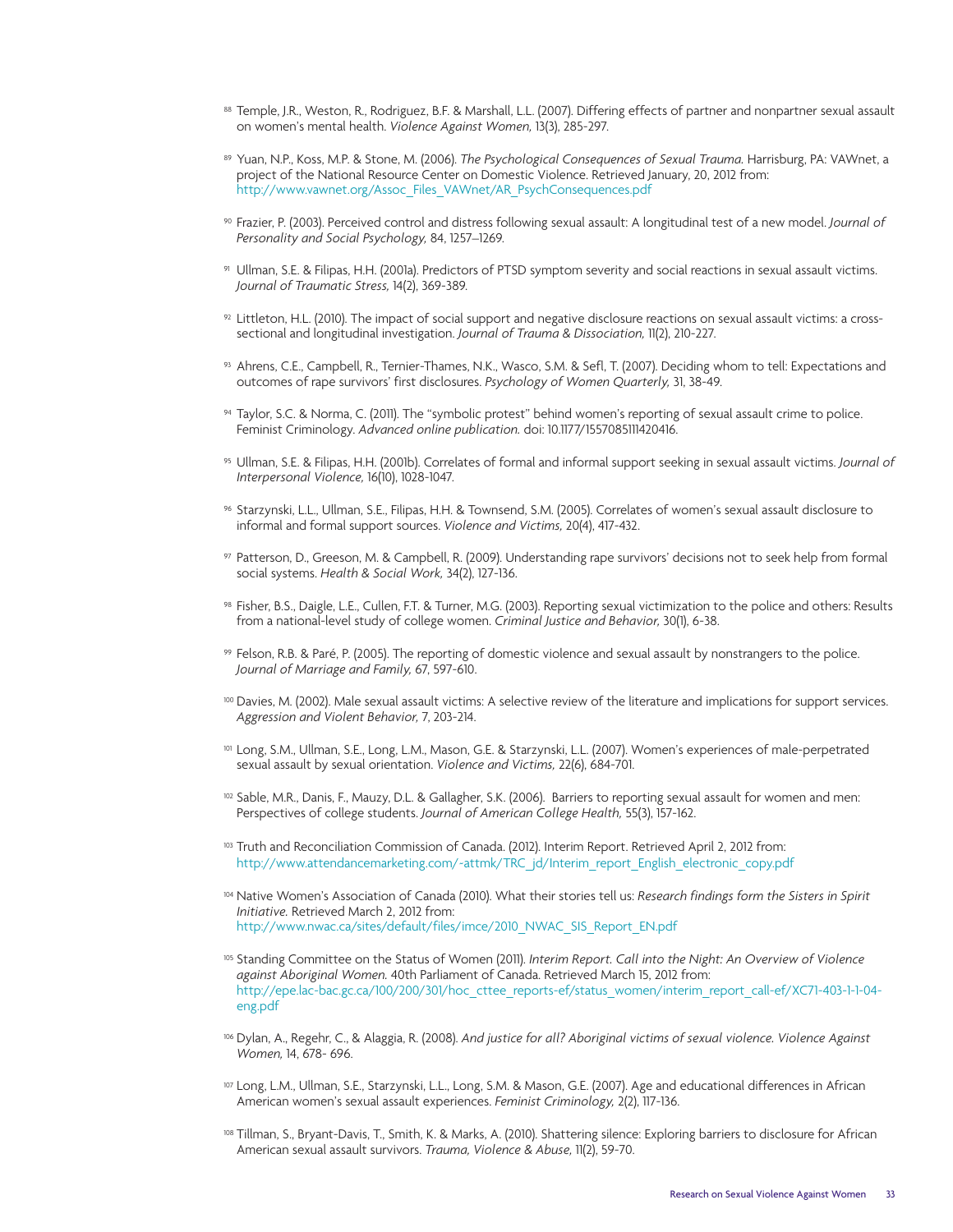- 88 Temple, J.R., Weston, R., Rodriguez, B.F. & Marshall, L.L. (2007). Differing effects of partner and nonpartner sexual assault on women's mental health. *Violence Against Women,* 13(3), 285-297.
- 89 Yuan, N.P., Koss, M.P. & Stone, M. (2006). *The Psychological Consequences of Sexual Trauma.* Harrisburg, PA: VAWnet, a project of the National Resource Center on Domestic Violence. Retrieved January, 20, 2012 from: http://www.vawnet.org/Assoc\_Files\_VAWnet/AR\_PsychConsequences.pdf
- <sup>90</sup> Frazier, P. (2003). Perceived control and distress following sexual assault: A longitudinal test of a new model. *Journal of Personality and Social Psychology,* 84, 1257–1269.
- <sup>91</sup> Ullman, S.E. & Filipas, H.H. (2001a). Predictors of PTSD symptom severity and social reactions in sexual assault victims. *Journal of Traumatic Stress,* 14(2), 369-389.
- $92$  Littleton, H.L. (2010). The impact of social support and negative disclosure reactions on sexual assault victims: a crosssectional and longitudinal investigation. *Journal of Trauma & Dissociation,* 11(2), 210-227.
- <sup>93</sup> Ahrens, C.E., Campbell, R., Ternier-Thames, N.K., Wasco, S.M. & Sefl, T. (2007). Deciding whom to tell: Expectations and outcomes of rape survivors' first disclosures. *Psychology of Women Quarterly,* 31, 38-49.
- 94 Taylor, S.C. & Norma, C. (2011). The "symbolic protest" behind women's reporting of sexual assault crime to police. Feminist Criminology. *Advanced online publication.* doi: 10.1177/1557085111420416.
- <sup>95</sup> Ullman, S.E. & Filipas, H.H. (2001b). Correlates of formal and informal support seeking in sexual assault victims. *Journal of Interpersonal Violence,* 16(10), 1028-1047.
- <sup>96</sup> Starzynski, L.L., Ullman, S.E., Filipas, H.H. & Townsend, S.M. (2005). Correlates of women's sexual assault disclosure to informal and formal support sources. *Violence and Victims,* 20(4), 417-432.
- <sup>97</sup> Patterson, D., Greeson, M. & Campbell, R. (2009). Understanding rape survivors' decisions not to seek help from formal social systems. *Health & Social Work,* 34(2), 127-136.
- <sup>98</sup> Fisher, B.S., Daigle, L.E., Cullen, F.T. & Turner, M.G. (2003). Reporting sexual victimization to the police and others: Results from a national-level study of college women. *Criminal Justice and Behavior,* 30(1), 6-38.
- <sup>99</sup> Felson, R.B. & Paré, P. (2005). The reporting of domestic violence and sexual assault by nonstrangers to the police. *Journal of Marriage and Family,* 67, 597-610.
- 100 Davies, M. (2002). Male sexual assault victims: A selective review of the literature and implications for support services. *Aggression and Violent Behavior,* 7, 203-214.
- <sup>101</sup> Long, S.M., Ullman, S.E., Long, L.M., Mason, G.E. & Starzynski, L.L. (2007). Women's experiences of male-perpetrated sexual assault by sexual orientation. *Violence and Victims,* 22(6), 684-701.
- 102 Sable, M.R., Danis, F., Mauzy, D.L. & Gallagher, S.K. (2006). Barriers to reporting sexual assault for women and men: Perspectives of college students. *Journal of American College Health,* 55(3), 157-162.
- 103 Truth and Reconciliation Commission of Canada. (2012). Interim Report. Retrieved April 2, 2012 from: http://www.attendancemarketing.com/~attmk/TRC\_jd/Interim\_report\_English\_electronic\_copy.pdf
- <sup>104</sup> Native Women's Association of Canada (2010). What their stories tell us: *Research findings form the Sisters in Spirit Initiative.* Retrieved March 2, 2012 from: http://www.nwac.ca/sites/default/files/imce/2010\_NWAC\_SIS\_Report\_EN.pdf
- <sup>105</sup> Standing Committee on the Status of Women (2011). *Interim Report. Call into the Night: An Overview of Violence against Aboriginal Women.* 40th Parliament of Canada. Retrieved March 15, 2012 from: http://epe.lac-bac.gc.ca/100/200/301/hoc\_cttee\_reports-ef/status\_women/interim\_report\_call-ef/XC71-403-1-1-04 eng.pdf
- <sup>106</sup> Dylan, A., Regehr, C., & Alaggia, R. (2008). *And justice for all? Aboriginal victims of sexual violence. Violence Against Women,* 14, 678- 696.
- 107 Long, L.M., Ullman, S.E., Starzynski, L.L., Long, S.M. & Mason, G.E. (2007). Age and educational differences in African American women's sexual assault experiences. *Feminist Criminology,* 2(2), 117-136.
- <sup>108</sup> Tillman, S., Bryant-Davis, T., Smith, K. & Marks, A. (2010). Shattering silence: Exploring barriers to disclosure for African American sexual assault survivors. *Trauma, Violence & Abuse,* 11(2), 59-70.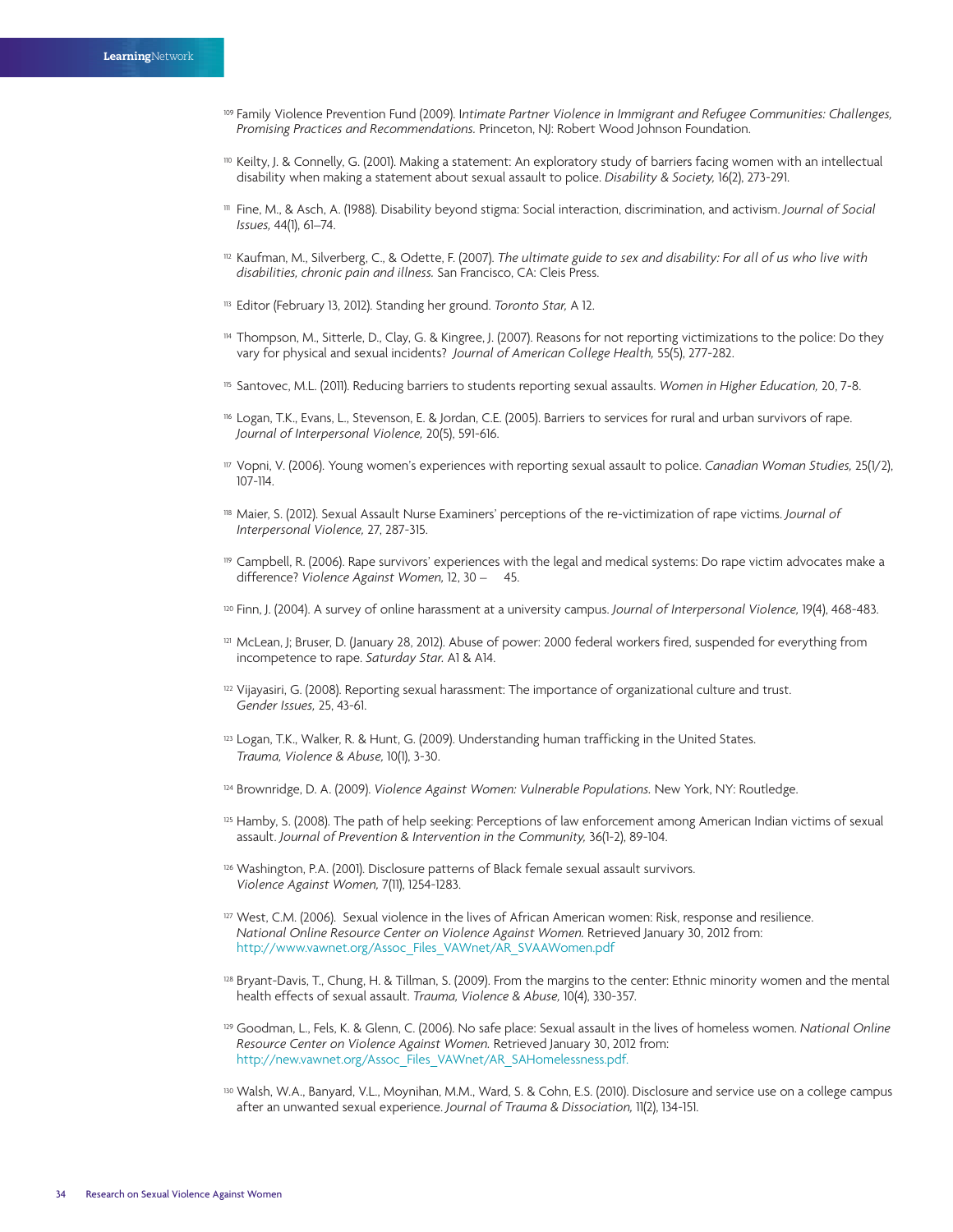- <sup>109</sup> Family Violence Prevention Fund (2009). I*ntimate Partner Violence in Immigrant and Refugee Communities: Challenges, Promising Practices and Recommendations.* Princeton, NJ: Robert Wood Johnson Foundation.
- 10 Keilty, J. & Connelly, G. (2001). Making a statement: An exploratory study of barriers facing women with an intellectual disability when making a statement about sexual assault to police. *Disability & Society,* 16(2), 273-291.
- <sup>111</sup> Fine, M., & Asch, A. (1988). Disability beyond stigma: Social interaction, discrimination, and activism. *Journal of Social Issues,* 44(1), 61–74.
- <sup>112</sup> Kaufman, M., Silverberg, C., & Odette, F. (2007). *The ultimate guide to sex and disability: For all of us who live with disabilities, chronic pain and illness.* San Francisco, CA: Cleis Press.
- <sup>113</sup> Editor (February 13, 2012). Standing her ground. *Toronto Star,* A 12.
- <sup>114</sup> Thompson, M., Sitterle, D., Clay, G. & Kingree, J. (2007). Reasons for not reporting victimizations to the police: Do they vary for physical and sexual incidents? *Journal of American College Health,* 55(5), 277-282.
- <sup>115</sup> Santovec, M.L. (2011). Reducing barriers to students reporting sexual assaults. *Women in Higher Education,* 20, 7-8.
- 116 Logan, T.K., Evans, L., Stevenson, E. & Jordan, C.E. (2005). Barriers to services for rural and urban survivors of rape. *Journal of Interpersonal Violence,* 20(5), 591-616.
- <sup>117</sup> Vopni, V. (2006). Young women's experiences with reporting sexual assault to police. *Canadian Woman Studies,* 25(1/2), 107-114.
- <sup>118</sup> Maier, S. (2012). Sexual Assault Nurse Examiners' perceptions of the re-victimization of rape victims. *Journal of Interpersonal Violence,* 27, 287-315.
- <sup>119</sup> Campbell, R. (2006). Rape survivors' experiences with the legal and medical systems: Do rape victim advocates make a difference? *Violence Against Women,* 12, 30 – 45.
- <sup>120</sup> Finn, J. (2004). A survey of online harassment at a university campus. *Journal of Interpersonal Violence,* 19(4), 468-483.
- 121 McLean, J; Bruser, D. (January 28, 2012). Abuse of power: 2000 federal workers fired, suspended for everything from incompetence to rape. *Saturday Star.* A1 & A14.
- <sup>122</sup> Vijayasiri, G. (2008). Reporting sexual harassment: The importance of organizational culture and trust. *Gender Issues,* 25, 43-61.
- $123$  Logan, T.K., Walker, R. & Hunt, G. (2009). Understanding human trafficking in the United States. *Trauma, Violence & Abuse,* 10(1), 3-30.
- <sup>124</sup> Brownridge, D. A. (2009). *Violence Against Women: Vulnerable Populations.* New York, NY: Routledge.
- 125 Hamby, S. (2008). The path of help seeking: Perceptions of law enforcement among American Indian victims of sexual assault. *Journal of Prevention & Intervention in the Community,* 36(1-2), 89-104.
- 126 Washington, P.A. (2001). Disclosure patterns of Black female sexual assault survivors. *Violence Against Women,* 7(11), 1254-1283.
- 127 West, C.M. (2006). Sexual violence in the lives of African American women: Risk, response and resilience. *National Online Resource Center on Violence Against Women.* Retrieved January 30, 2012 from: http://www.vawnet.org/Assoc\_Files\_VAWnet/AR\_SVAAWomen.pdf
- 128 Bryant-Davis, T., Chung, H. & Tillman, S. (2009). From the margins to the center: Ethnic minority women and the mental health effects of sexual assault. *Trauma, Violence & Abuse,* 10(4), 330-357.
- <sup>129</sup> Goodman, L., Fels, K. & Glenn, C. (2006). No safe place: Sexual assault in the lives of homeless women. *National Online Resource Center on Violence Against Women.* Retrieved January 30, 2012 from: http://new.vawnet.org/Assoc\_Files\_VAWnet/AR\_SAHomelessness.pdf.
- 130 Walsh, W.A., Banyard, V.L., Moynihan, M.M., Ward, S. & Cohn, E.S. (2010). Disclosure and service use on a college campus after an unwanted sexual experience. *Journal of Trauma & Dissociation,* 11(2), 134-151.